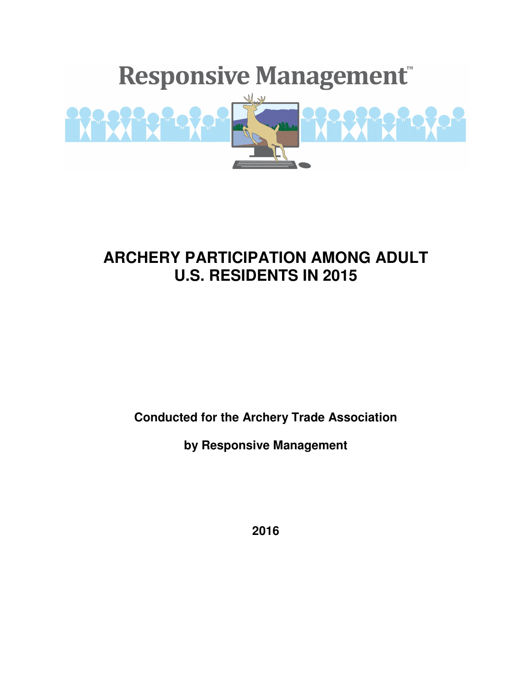

# **ARCHERY PARTICIPATION AMONG ADULT U.S. RESIDENTS IN 2015**

**Conducted for the Archery Trade Association** 

**by Responsive Management** 

**2016**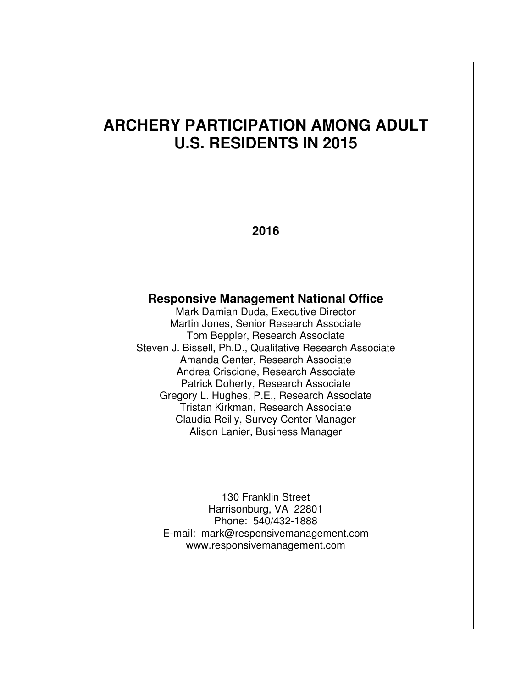# **ARCHERY PARTICIPATION AMONG ADULT U.S. RESIDENTS IN 2015**

**2016** 

## **Responsive Management National Office**

Mark Damian Duda, Executive Director Martin Jones, Senior Research Associate Tom Beppler, Research Associate Steven J. Bissell, Ph.D., Qualitative Research Associate Amanda Center, Research Associate Andrea Criscione, Research Associate Patrick Doherty, Research Associate Gregory L. Hughes, P.E., Research Associate Tristan Kirkman, Research Associate Claudia Reilly, Survey Center Manager Alison Lanier, Business Manager

> 130 Franklin Street Harrisonburg, VA 22801 Phone: 540/432-1888 E-mail: mark@responsivemanagement.com www.responsivemanagement.com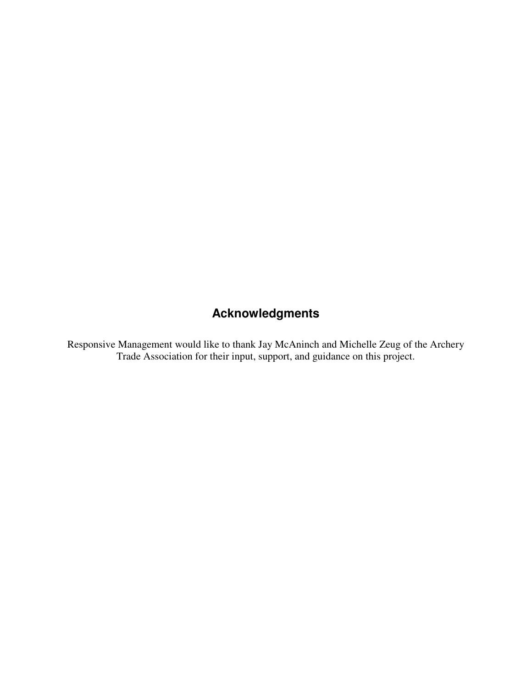# **Acknowledgments**

Responsive Management would like to thank Jay McAninch and Michelle Zeug of the Archery Trade Association for their input, support, and guidance on this project.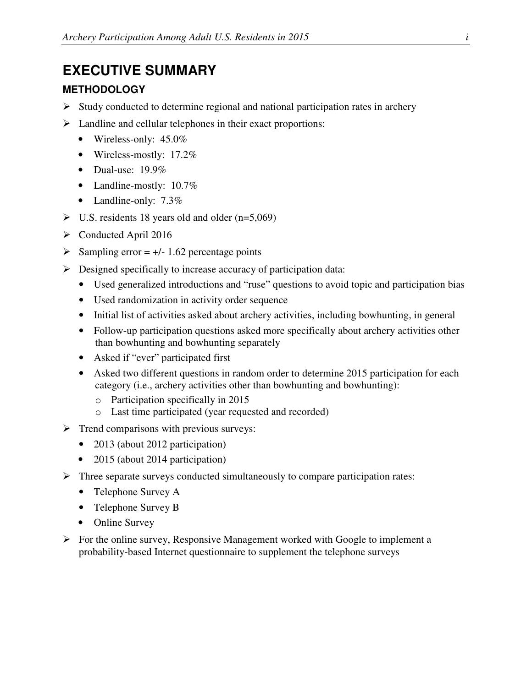## **EXECUTIVE SUMMARY**

### **METHODOLOGY**

- $\triangleright$  Study conducted to determine regional and national participation rates in archery
- $\triangleright$  Landline and cellular telephones in their exact proportions:
	- Wireless-only: 45.0%
	- Wireless-mostly: 17.2%
	- Dual-use:  $19.9\%$
	- Landline-mostly: 10.7%
	- Landline-only: 7.3%
- $\triangleright$  U.S. residents 18 years old and older (n=5,069)
- Conducted April 2016
- $\triangleright$  Sampling error = +/- 1.62 percentage points
- $\triangleright$  Designed specifically to increase accuracy of participation data:
	- Used generalized introductions and "ruse" questions to avoid topic and participation bias
	- Used randomization in activity order sequence
	- Initial list of activities asked about archery activities, including bowhunting, in general
	- Follow-up participation questions asked more specifically about archery activities other than bowhunting and bowhunting separately
	- Asked if "ever" participated first
	- Asked two different questions in random order to determine 2015 participation for each category (i.e., archery activities other than bowhunting and bowhunting):
		- o Participation specifically in 2015
		- o Last time participated (year requested and recorded)
- $\triangleright$  Trend comparisons with previous surveys:
	- 2013 (about 2012 participation)
	- 2015 (about 2014 participation)
- $\triangleright$  Three separate surveys conducted simultaneously to compare participation rates:
	- Telephone Survey A
	- Telephone Survey B
	- Online Survey
- $\triangleright$  For the online survey, Responsive Management worked with Google to implement a probability-based Internet questionnaire to supplement the telephone surveys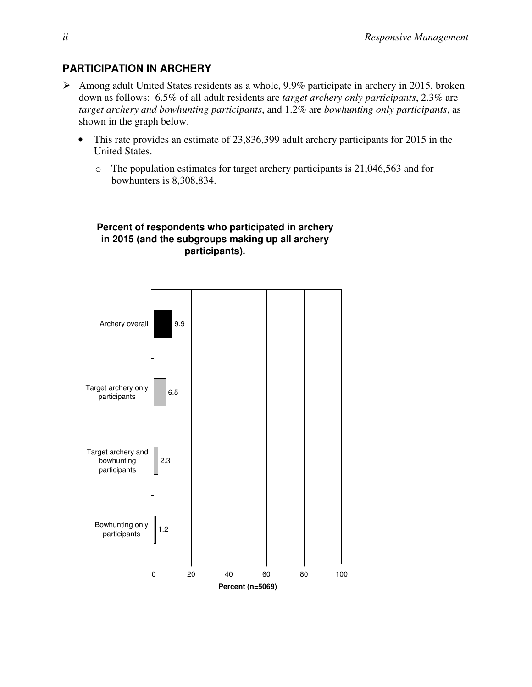### **PARTICIPATION IN ARCHERY**

- Among adult United States residents as a whole, 9.9% participate in archery in 2015, broken down as follows: 6.5% of all adult residents are *target archery only participants*, 2.3% are *target archery and bowhunting participants*, and 1.2% are *bowhunting only participants*, as shown in the graph below.
	- This rate provides an estimate of 23,836,399 adult archery participants for 2015 in the United States.
		- o The population estimates for target archery participants is 21,046,563 and for bowhunters is 8,308,834.



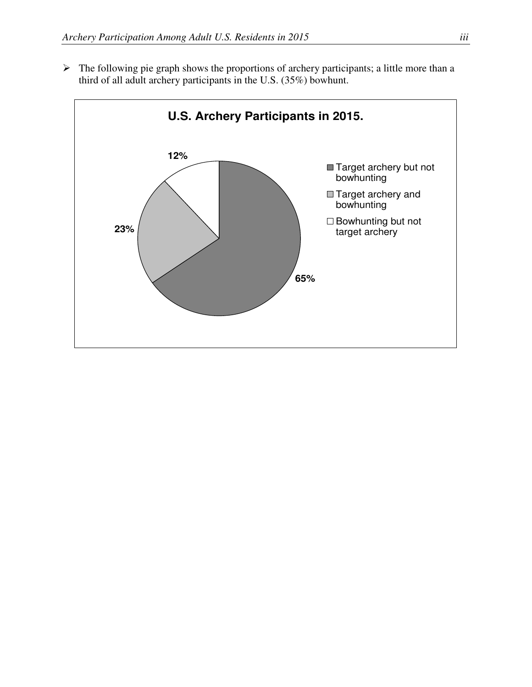$\triangleright$  The following pie graph shows the proportions of archery participants; a little more than a third of all adult archery participants in the U.S. (35%) bowhunt.

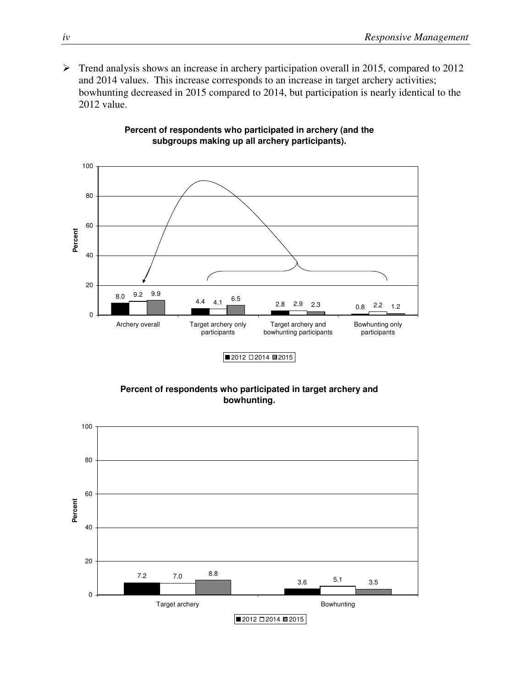$\triangleright$  Trend analysis shows an increase in archery participation overall in 2015, compared to 2012 and 2014 values. This increase corresponds to an increase in target archery activities; bowhunting decreased in 2015 compared to 2014, but participation is nearly identical to the 2012 value.



#### **Percent of respondents who participated in archery (and the subgroups making up all archery participants).**



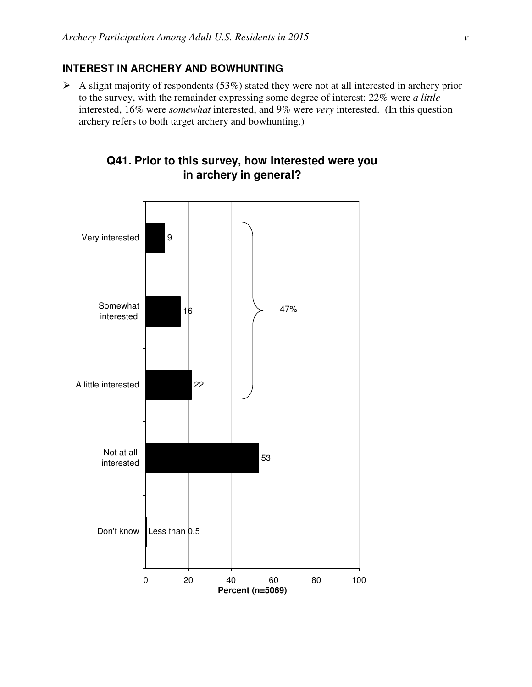### **INTEREST IN ARCHERY AND BOWHUNTING**

 $\triangleright$  A slight majority of respondents (53%) stated they were not at all interested in archery prior to the survey, with the remainder expressing some degree of interest: 22% were *a little* interested, 16% were *somewhat* interested, and 9% were *very* interested. (In this question archery refers to both target archery and bowhunting.)



## **Q41. Prior to this survey, how interested were you in archery in general?**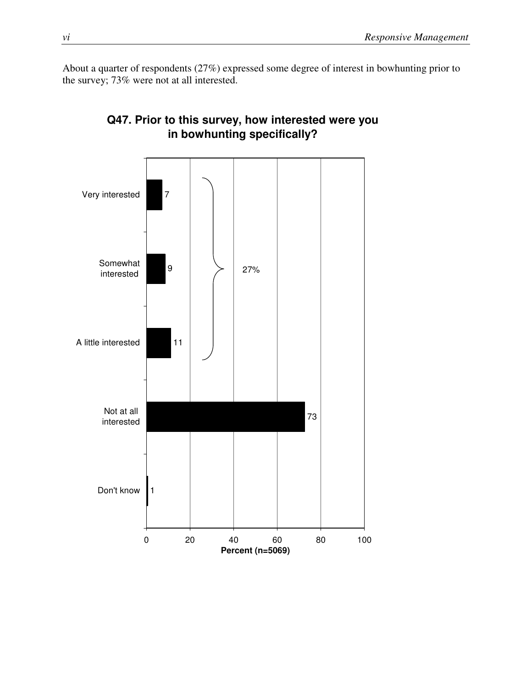About a quarter of respondents (27%) expressed some degree of interest in bowhunting prior to the survey; 73% were not at all interested.



## **Q47. Prior to this survey, how interested were you in bowhunting specifically?**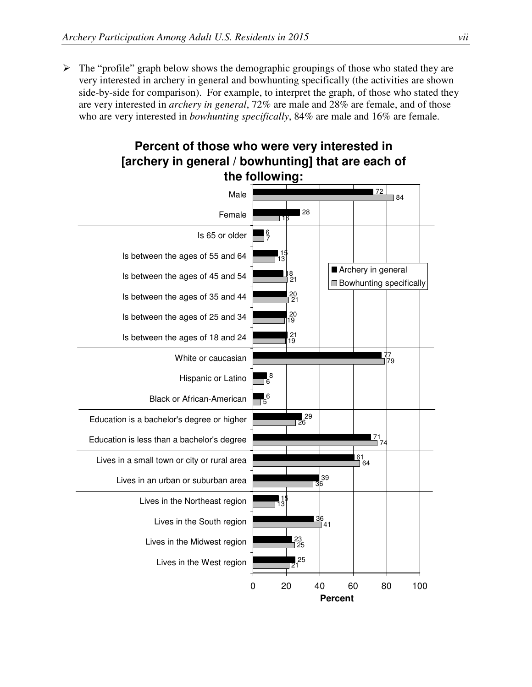$\triangleright$  The "profile" graph below shows the demographic groupings of those who stated they are very interested in archery in general and bowhunting specifically (the activities are shown side-by-side for comparison). For example, to interpret the graph, of those who stated they are very interested in *archery in general*, 72% are male and 28% are female, and of those who are very interested in *bowhunting specifically*, 84% are male and 16% are female.



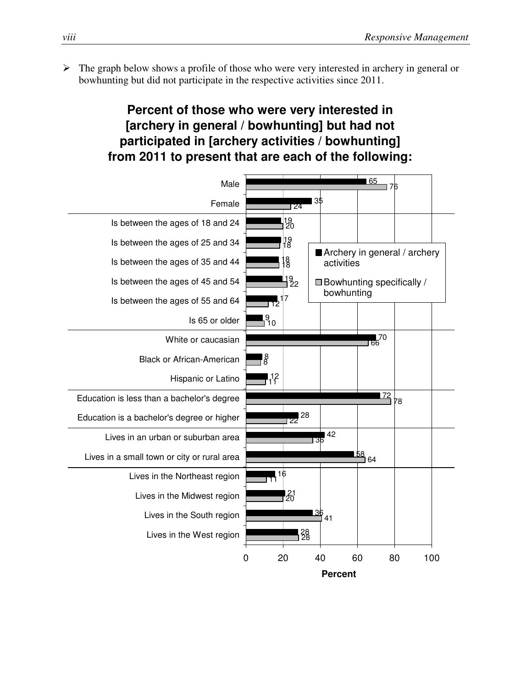$\triangleright$  The graph below shows a profile of those who were very interested in archery in general or bowhunting but did not participate in the respective activities since 2011.

## **Percent of those who were very interested in [archery in general / bowhunting] but had not participated in [archery activities / bowhunting] from 2011 to present that are each of the following:**

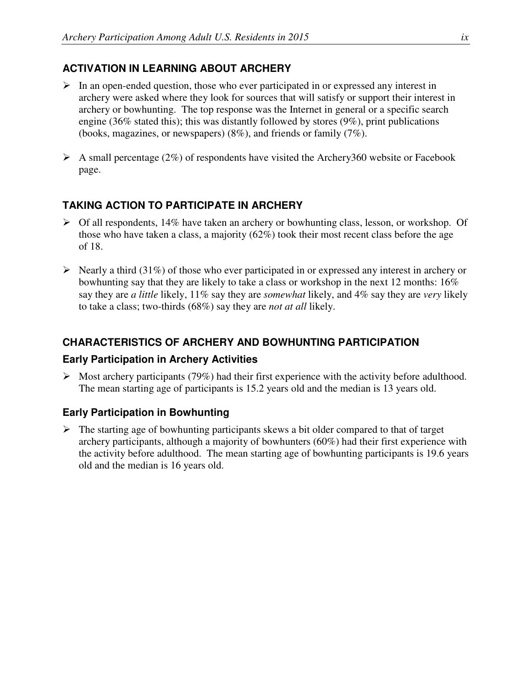## **ACTIVATION IN LEARNING ABOUT ARCHERY**

- $\triangleright$  In an open-ended question, those who ever participated in or expressed any interest in archery were asked where they look for sources that will satisfy or support their interest in archery or bowhunting. The top response was the Internet in general or a specific search engine (36% stated this); this was distantly followed by stores (9%), print publications (books, magazines, or newspapers) (8%), and friends or family (7%).
- $\triangleright$  A small percentage (2%) of respondents have visited the Archery360 website or Facebook page.

## **TAKING ACTION TO PARTICIPATE IN ARCHERY**

- $\triangleright$  Of all respondents, 14% have taken an archery or bowhunting class, lesson, or workshop. Of those who have taken a class, a majority (62%) took their most recent class before the age of 18.
- $\triangleright$  Nearly a third (31%) of those who ever participated in or expressed any interest in archery or bowhunting say that they are likely to take a class or workshop in the next 12 months: 16% say they are *a little* likely, 11% say they are *somewhat* likely, and 4% say they are *very* likely to take a class; two-thirds (68%) say they are *not at all* likely.

## **CHARACTERISTICS OF ARCHERY AND BOWHUNTING PARTICIPATION**

### **Early Participation in Archery Activities**

 $\triangleright$  Most archery participants (79%) had their first experience with the activity before adulthood. The mean starting age of participants is 15.2 years old and the median is 13 years old.

## **Early Participation in Bowhunting**

 $\triangleright$  The starting age of bowhunting participants skews a bit older compared to that of target archery participants, although a majority of bowhunters (60%) had their first experience with the activity before adulthood. The mean starting age of bowhunting participants is 19.6 years old and the median is 16 years old.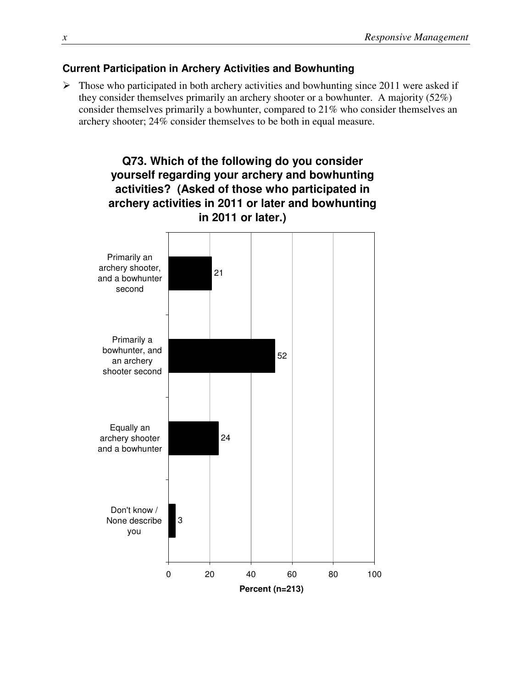### **Current Participation in Archery Activities and Bowhunting**

 $\triangleright$  Those who participated in both archery activities and bowhunting since 2011 were asked if they consider themselves primarily an archery shooter or a bowhunter. A majority (52%) consider themselves primarily a bowhunter, compared to 21% who consider themselves an archery shooter; 24% consider themselves to be both in equal measure.

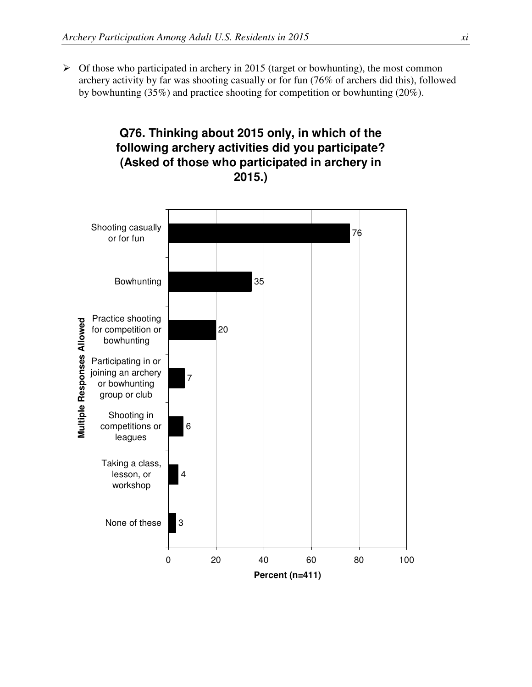$\triangleright$  Of those who participated in archery in 2015 (target or bowhunting), the most common archery activity by far was shooting casually or for fun (76% of archers did this), followed by bowhunting (35%) and practice shooting for competition or bowhunting (20%).

**Q76. Thinking about 2015 only, in which of the** 

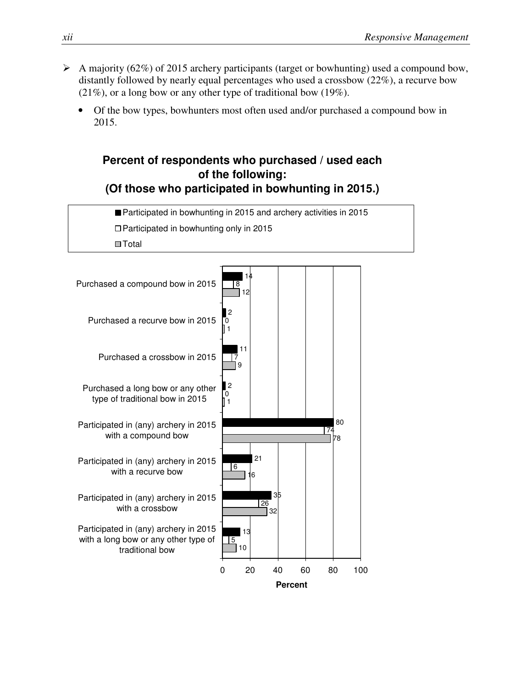- $\triangleright$  A majority (62%) of 2015 archery participants (target or bowhunting) used a compound bow, distantly followed by nearly equal percentages who used a crossbow (22%), a recurve bow (21%), or a long bow or any other type of traditional bow (19%).
	- Of the bow types, bowhunters most often used and/or purchased a compound bow in 2015.

## **Percent of respondents who purchased / used each of the following: (Of those who participated in bowhunting in 2015.)**

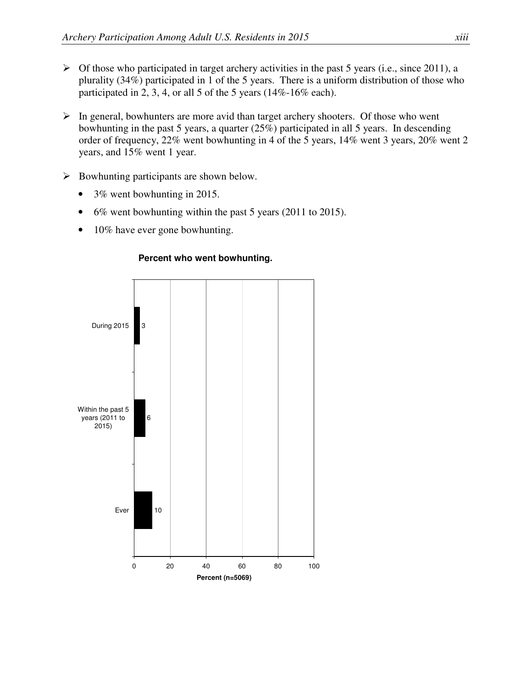- $\triangleright$  Of those who participated in target archery activities in the past 5 years (i.e., since 2011), a plurality (34%) participated in 1 of the 5 years. There is a uniform distribution of those who participated in 2, 3, 4, or all 5 of the 5 years (14%-16% each).
- $\triangleright$  In general, bowhunters are more avid than target archery shooters. Of those who went bowhunting in the past 5 years, a quarter (25%) participated in all 5 years. In descending order of frequency, 22% went bowhunting in 4 of the 5 years, 14% went 3 years, 20% went 2 years, and 15% went 1 year.
- $\triangleright$  Bowhunting participants are shown below.
	- 3% went bowhunting in 2015.
	- 6% went bowhunting within the past 5 years (2011 to 2015).
	- 10% have ever gone bowhunting.



#### **Percent who went bowhunting.**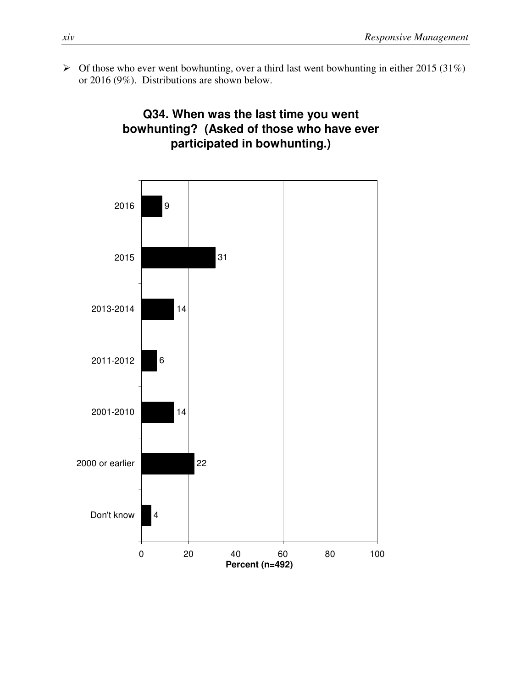$\triangleright$  Of those who ever went bowhunting, over a third last went bowhunting in either 2015 (31%) or 2016 (9%). Distributions are shown below.

## **Q34. When was the last time you went bowhunting? (Asked of those who have ever participated in bowhunting.)**

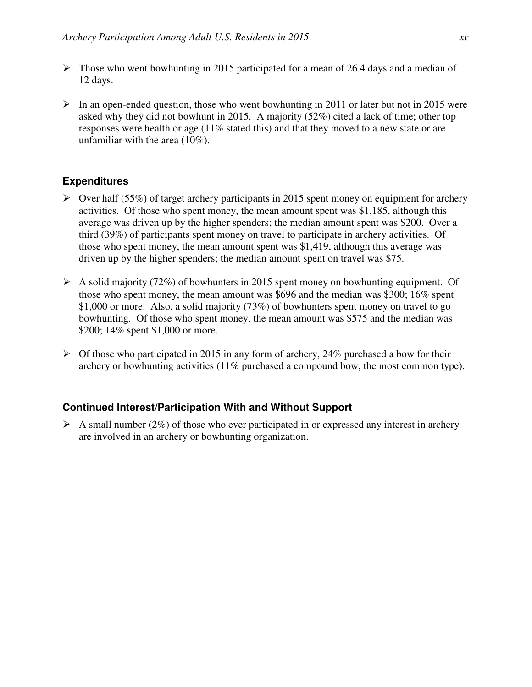- $\triangleright$  Those who went bowhunting in 2015 participated for a mean of 26.4 days and a median of 12 days.
- $\triangleright$  In an open-ended question, those who went bowhunting in 2011 or later but not in 2015 were asked why they did not bowhunt in 2015. A majority (52%) cited a lack of time; other top responses were health or age (11% stated this) and that they moved to a new state or are unfamiliar with the area (10%).

### **Expenditures**

- $\triangleright$  Over half (55%) of target archery participants in 2015 spent money on equipment for archery activities. Of those who spent money, the mean amount spent was \$1,185, although this average was driven up by the higher spenders; the median amount spent was \$200. Over a third (39%) of participants spent money on travel to participate in archery activities. Of those who spent money, the mean amount spent was \$1,419, although this average was driven up by the higher spenders; the median amount spent on travel was \$75.
- $\triangleright$  A solid majority (72%) of bowhunters in 2015 spent money on bowhunting equipment. Of those who spent money, the mean amount was \$696 and the median was \$300; 16% spent \$1,000 or more. Also, a solid majority (73%) of bowhunters spent money on travel to go bowhunting. Of those who spent money, the mean amount was \$575 and the median was \$200; 14% spent \$1,000 or more.
- $\triangleright$  Of those who participated in 2015 in any form of archery, 24% purchased a bow for their archery or bowhunting activities (11% purchased a compound bow, the most common type).

### **Continued Interest/Participation With and Without Support**

 $\triangleright$  A small number (2%) of those who ever participated in or expressed any interest in archery are involved in an archery or bowhunting organization.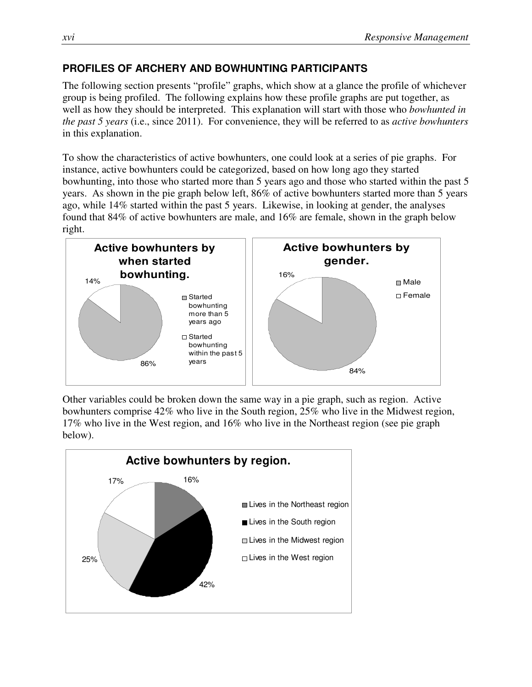## **PROFILES OF ARCHERY AND BOWHUNTING PARTICIPANTS**

The following section presents "profile" graphs, which show at a glance the profile of whichever group is being profiled. The following explains how these profile graphs are put together, as well as how they should be interpreted. This explanation will start with those who *bowhunted in the past 5 years* (i.e., since 2011). For convenience, they will be referred to as *active bowhunters* in this explanation.

To show the characteristics of active bowhunters, one could look at a series of pie graphs. For instance, active bowhunters could be categorized, based on how long ago they started bowhunting, into those who started more than 5 years ago and those who started within the past 5 years. As shown in the pie graph below left, 86% of active bowhunters started more than 5 years ago, while 14% started within the past 5 years. Likewise, in looking at gender, the analyses found that 84% of active bowhunters are male, and 16% are female, shown in the graph below right.



Other variables could be broken down the same way in a pie graph, such as region. Active bowhunters comprise 42% who live in the South region, 25% who live in the Midwest region, 17% who live in the West region, and 16% who live in the Northeast region (see pie graph below).

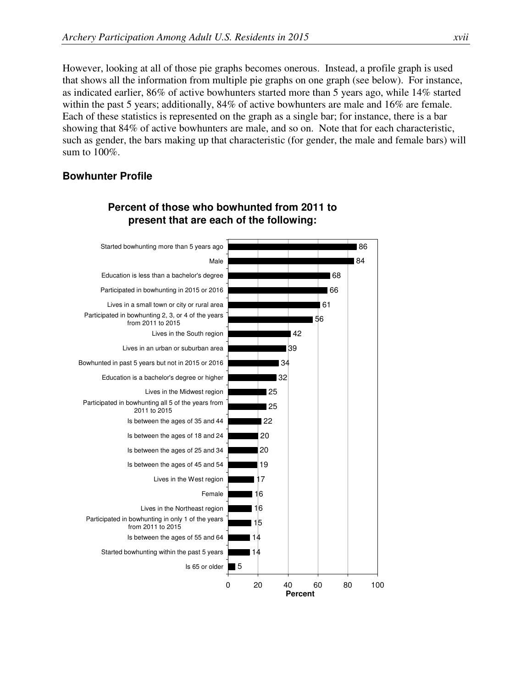However, looking at all of those pie graphs becomes onerous. Instead, a profile graph is used that shows all the information from multiple pie graphs on one graph (see below). For instance, as indicated earlier, 86% of active bowhunters started more than 5 years ago, while 14% started within the past 5 years; additionally, 84% of active bowhunters are male and 16% are female. Each of these statistics is represented on the graph as a single bar; for instance, there is a bar showing that 84% of active bowhunters are male, and so on. Note that for each characteristic, such as gender, the bars making up that characteristic (for gender, the male and female bars) will sum to 100%.

#### **Bowhunter Profile**



## **Percent of those who bowhunted from 2011 to present that are each of the following:**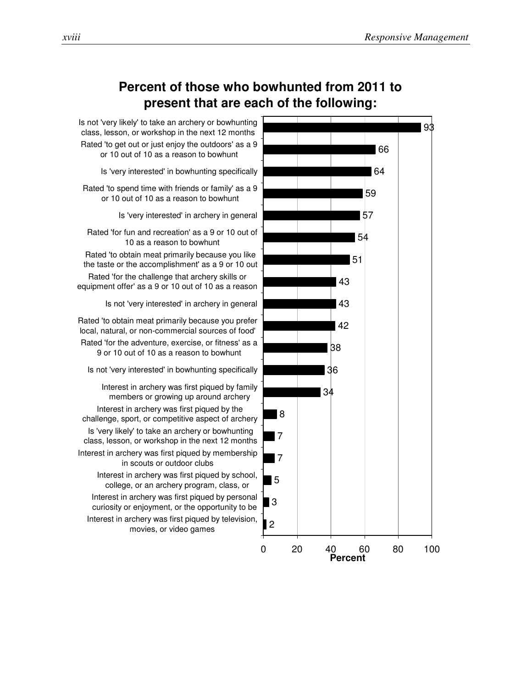

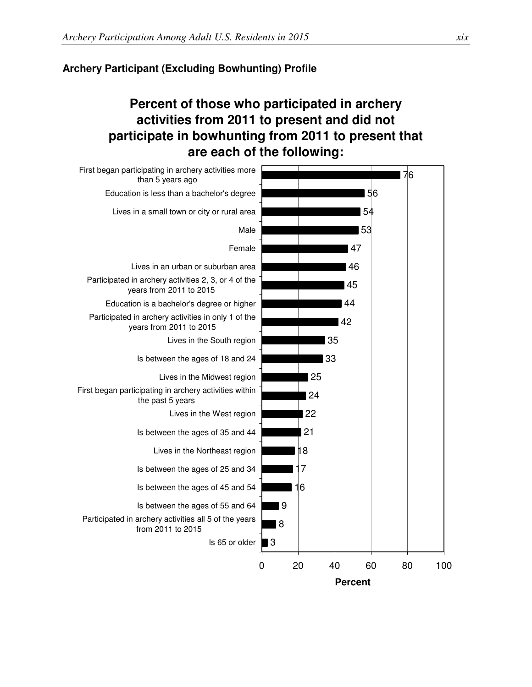#### **Archery Participant (Excluding Bowhunting) Profile**

## **Percent of those who participated in archery activities from 2011 to present and did not participate in bowhunting from 2011 to present that are each of the following:**

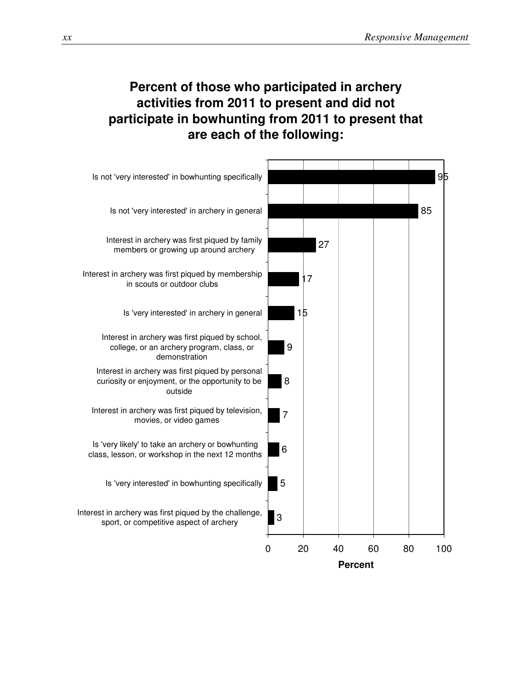## **Percent of those who participated in archery activities from 2011 to present and did not participate in bowhunting from 2011 to present that are each of the following:**

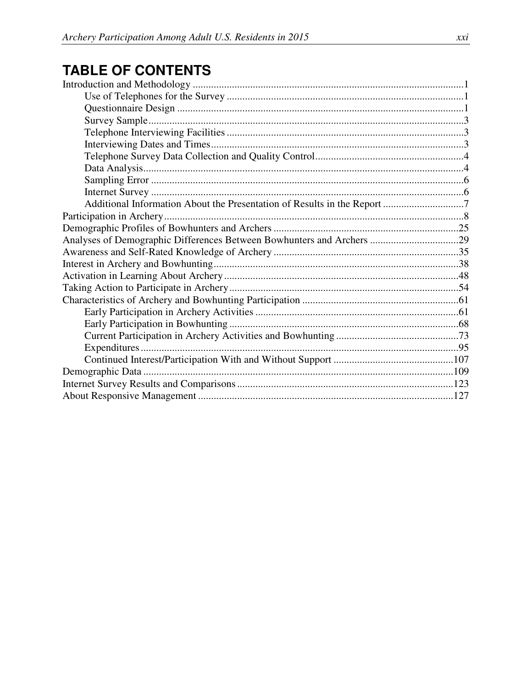# **TABLE OF CONTENTS**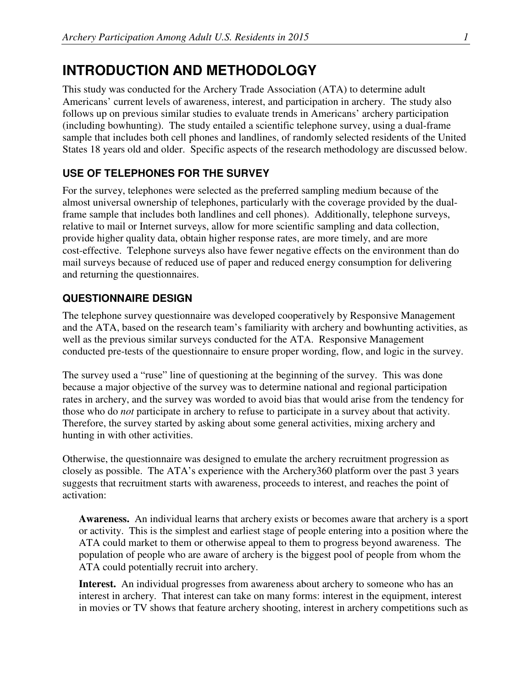## **INTRODUCTION AND METHODOLOGY**

This study was conducted for the Archery Trade Association (ATA) to determine adult Americans' current levels of awareness, interest, and participation in archery. The study also follows up on previous similar studies to evaluate trends in Americans' archery participation (including bowhunting). The study entailed a scientific telephone survey, using a dual-frame sample that includes both cell phones and landlines, of randomly selected residents of the United States 18 years old and older. Specific aspects of the research methodology are discussed below.

## **USE OF TELEPHONES FOR THE SURVEY**

For the survey, telephones were selected as the preferred sampling medium because of the almost universal ownership of telephones, particularly with the coverage provided by the dualframe sample that includes both landlines and cell phones). Additionally, telephone surveys, relative to mail or Internet surveys, allow for more scientific sampling and data collection, provide higher quality data, obtain higher response rates, are more timely, and are more cost-effective. Telephone surveys also have fewer negative effects on the environment than do mail surveys because of reduced use of paper and reduced energy consumption for delivering and returning the questionnaires.

## **QUESTIONNAIRE DESIGN**

The telephone survey questionnaire was developed cooperatively by Responsive Management and the ATA, based on the research team's familiarity with archery and bowhunting activities, as well as the previous similar surveys conducted for the ATA. Responsive Management conducted pre-tests of the questionnaire to ensure proper wording, flow, and logic in the survey.

The survey used a "ruse" line of questioning at the beginning of the survey. This was done because a major objective of the survey was to determine national and regional participation rates in archery, and the survey was worded to avoid bias that would arise from the tendency for those who do *not* participate in archery to refuse to participate in a survey about that activity. Therefore, the survey started by asking about some general activities, mixing archery and hunting in with other activities.

Otherwise, the questionnaire was designed to emulate the archery recruitment progression as closely as possible. The ATA's experience with the Archery360 platform over the past 3 years suggests that recruitment starts with awareness, proceeds to interest, and reaches the point of activation:

**Awareness.** An individual learns that archery exists or becomes aware that archery is a sport or activity. This is the simplest and earliest stage of people entering into a position where the ATA could market to them or otherwise appeal to them to progress beyond awareness. The population of people who are aware of archery is the biggest pool of people from whom the ATA could potentially recruit into archery.

**Interest.** An individual progresses from awareness about archery to someone who has an interest in archery. That interest can take on many forms: interest in the equipment, interest in movies or TV shows that feature archery shooting, interest in archery competitions such as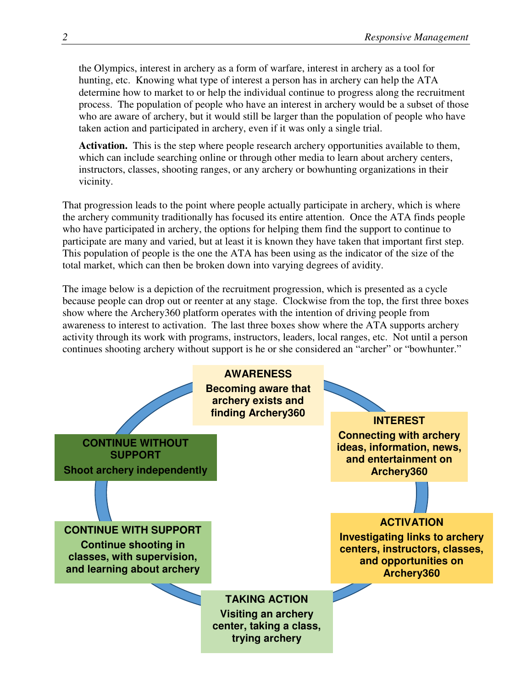the Olympics, interest in archery as a form of warfare, interest in archery as a tool for hunting, etc. Knowing what type of interest a person has in archery can help the ATA determine how to market to or help the individual continue to progress along the recruitment process. The population of people who have an interest in archery would be a subset of those who are aware of archery, but it would still be larger than the population of people who have taken action and participated in archery, even if it was only a single trial.

**Activation.** This is the step where people research archery opportunities available to them, which can include searching online or through other media to learn about archery centers, instructors, classes, shooting ranges, or any archery or bowhunting organizations in their vicinity.

That progression leads to the point where people actually participate in archery, which is where the archery community traditionally has focused its entire attention. Once the ATA finds people who have participated in archery, the options for helping them find the support to continue to participate are many and varied, but at least it is known they have taken that important first step. This population of people is the one the ATA has been using as the indicator of the size of the total market, which can then be broken down into varying degrees of avidity.

The image below is a depiction of the recruitment progression, which is presented as a cycle because people can drop out or reenter at any stage. Clockwise from the top, the first three boxes show where the Archery360 platform operates with the intention of driving people from awareness to interest to activation. The last three boxes show where the ATA supports archery activity through its work with programs, instructors, leaders, local ranges, etc. Not until a person continues shooting archery without support is he or she considered an "archer" or "bowhunter."

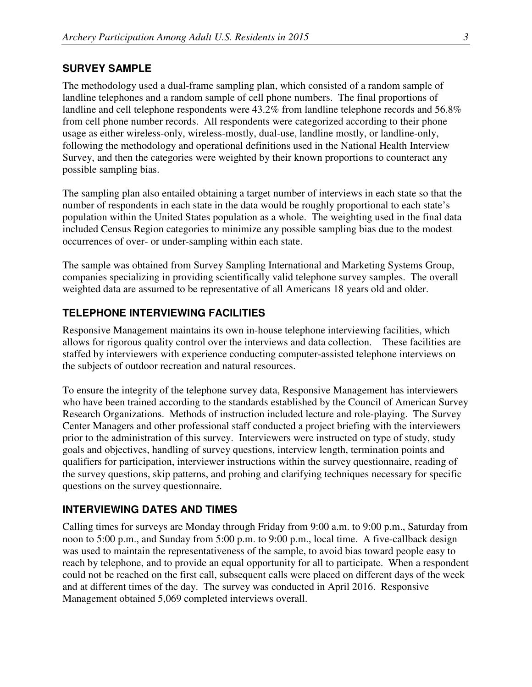#### **SURVEY SAMPLE**

The methodology used a dual-frame sampling plan, which consisted of a random sample of landline telephones and a random sample of cell phone numbers. The final proportions of landline and cell telephone respondents were 43.2% from landline telephone records and 56.8% from cell phone number records. All respondents were categorized according to their phone usage as either wireless-only, wireless-mostly, dual-use, landline mostly, or landline-only, following the methodology and operational definitions used in the National Health Interview Survey, and then the categories were weighted by their known proportions to counteract any possible sampling bias.

The sampling plan also entailed obtaining a target number of interviews in each state so that the number of respondents in each state in the data would be roughly proportional to each state's population within the United States population as a whole. The weighting used in the final data included Census Region categories to minimize any possible sampling bias due to the modest occurrences of over- or under-sampling within each state.

The sample was obtained from Survey Sampling International and Marketing Systems Group, companies specializing in providing scientifically valid telephone survey samples. The overall weighted data are assumed to be representative of all Americans 18 years old and older.

#### **TELEPHONE INTERVIEWING FACILITIES**

Responsive Management maintains its own in-house telephone interviewing facilities, which allows for rigorous quality control over the interviews and data collection. These facilities are staffed by interviewers with experience conducting computer-assisted telephone interviews on the subjects of outdoor recreation and natural resources.

To ensure the integrity of the telephone survey data, Responsive Management has interviewers who have been trained according to the standards established by the Council of American Survey Research Organizations. Methods of instruction included lecture and role-playing. The Survey Center Managers and other professional staff conducted a project briefing with the interviewers prior to the administration of this survey. Interviewers were instructed on type of study, study goals and objectives, handling of survey questions, interview length, termination points and qualifiers for participation, interviewer instructions within the survey questionnaire, reading of the survey questions, skip patterns, and probing and clarifying techniques necessary for specific questions on the survey questionnaire.

#### **INTERVIEWING DATES AND TIMES**

Calling times for surveys are Monday through Friday from 9:00 a.m. to 9:00 p.m., Saturday from noon to 5:00 p.m., and Sunday from 5:00 p.m. to 9:00 p.m., local time. A five-callback design was used to maintain the representativeness of the sample, to avoid bias toward people easy to reach by telephone, and to provide an equal opportunity for all to participate. When a respondent could not be reached on the first call, subsequent calls were placed on different days of the week and at different times of the day. The survey was conducted in April 2016. Responsive Management obtained 5,069 completed interviews overall.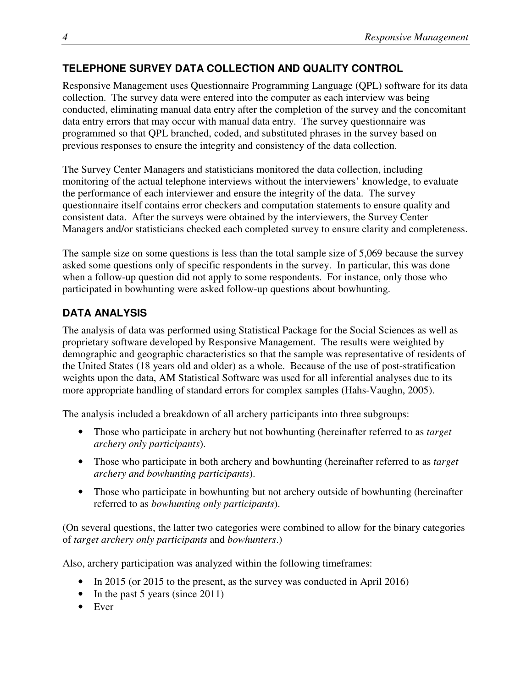## **TELEPHONE SURVEY DATA COLLECTION AND QUALITY CONTROL**

Responsive Management uses Questionnaire Programming Language (QPL) software for its data collection. The survey data were entered into the computer as each interview was being conducted, eliminating manual data entry after the completion of the survey and the concomitant data entry errors that may occur with manual data entry. The survey questionnaire was programmed so that QPL branched, coded, and substituted phrases in the survey based on previous responses to ensure the integrity and consistency of the data collection.

The Survey Center Managers and statisticians monitored the data collection, including monitoring of the actual telephone interviews without the interviewers' knowledge, to evaluate the performance of each interviewer and ensure the integrity of the data. The survey questionnaire itself contains error checkers and computation statements to ensure quality and consistent data. After the surveys were obtained by the interviewers, the Survey Center Managers and/or statisticians checked each completed survey to ensure clarity and completeness.

The sample size on some questions is less than the total sample size of 5,069 because the survey asked some questions only of specific respondents in the survey. In particular, this was done when a follow-up question did not apply to some respondents. For instance, only those who participated in bowhunting were asked follow-up questions about bowhunting.

## **DATA ANALYSIS**

The analysis of data was performed using Statistical Package for the Social Sciences as well as proprietary software developed by Responsive Management. The results were weighted by demographic and geographic characteristics so that the sample was representative of residents of the United States (18 years old and older) as a whole. Because of the use of post-stratification weights upon the data, AM Statistical Software was used for all inferential analyses due to its more appropriate handling of standard errors for complex samples (Hahs-Vaughn, 2005).

The analysis included a breakdown of all archery participants into three subgroups:

- Those who participate in archery but not bowhunting (hereinafter referred to as *target archery only participants*).
- Those who participate in both archery and bowhunting (hereinafter referred to as *target archery and bowhunting participants*).
- Those who participate in bowhunting but not archery outside of bowhunting (hereinafter referred to as *bowhunting only participants*).

(On several questions, the latter two categories were combined to allow for the binary categories of *target archery only participants* and *bowhunters*.)

Also, archery participation was analyzed within the following timeframes:

- In 2015 (or 2015 to the present, as the survey was conducted in April 2016)
- In the past 5 years (since 2011)
- Ever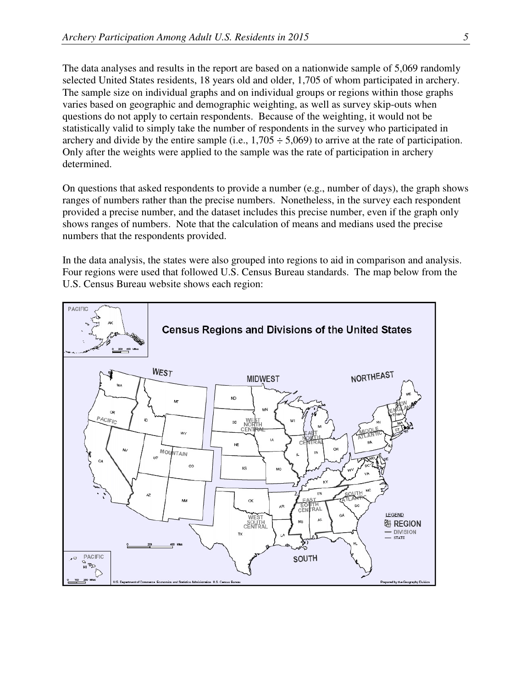The data analyses and results in the report are based on a nationwide sample of 5,069 randomly selected United States residents, 18 years old and older, 1,705 of whom participated in archery. The sample size on individual graphs and on individual groups or regions within those graphs varies based on geographic and demographic weighting, as well as survey skip-outs when questions do not apply to certain respondents. Because of the weighting, it would not be statistically valid to simply take the number of respondents in the survey who participated in archery and divide by the entire sample (i.e.,  $1,705 \div 5,069$ ) to arrive at the rate of participation. Only after the weights were applied to the sample was the rate of participation in archery determined.

On questions that asked respondents to provide a number (e.g., number of days), the graph shows ranges of numbers rather than the precise numbers. Nonetheless, in the survey each respondent provided a precise number, and the dataset includes this precise number, even if the graph only shows ranges of numbers. Note that the calculation of means and medians used the precise numbers that the respondents provided.

In the data analysis, the states were also grouped into regions to aid in comparison and analysis. Four regions were used that followed U.S. Census Bureau standards. The map below from the U.S. Census Bureau website shows each region:

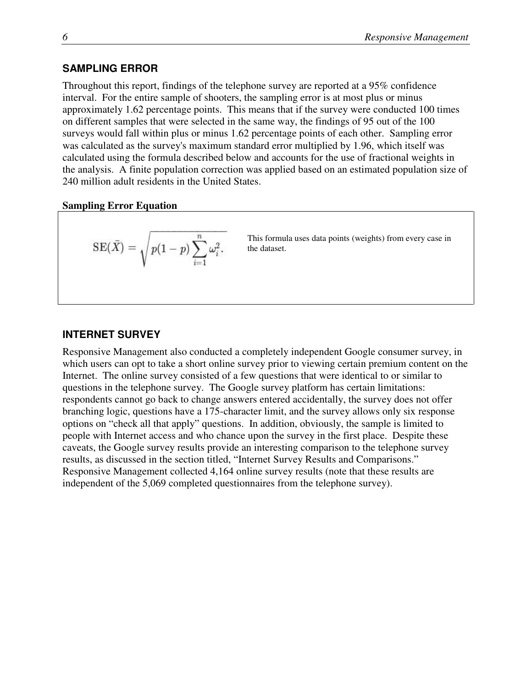### **SAMPLING ERROR**

Throughout this report, findings of the telephone survey are reported at a 95% confidence interval. For the entire sample of shooters, the sampling error is at most plus or minus approximately 1.62 percentage points. This means that if the survey were conducted 100 times on different samples that were selected in the same way, the findings of 95 out of the 100 surveys would fall within plus or minus 1.62 percentage points of each other. Sampling error was calculated as the survey's maximum standard error multiplied by 1.96, which itself was calculated using the formula described below and accounts for the use of fractional weights in the analysis. A finite population correction was applied based on an estimated population size of 240 million adult residents in the United States.

#### **Sampling Error Equation**

$$
\mathrm{SE}(\bar{X}) = \sqrt{p(1-p)\sum_{i=1}^n \omega_i^2}.
$$

This formula uses data points (weights) from every case in the dataset.

#### **INTERNET SURVEY**

Responsive Management also conducted a completely independent Google consumer survey, in which users can opt to take a short online survey prior to viewing certain premium content on the Internet. The online survey consisted of a few questions that were identical to or similar to questions in the telephone survey. The Google survey platform has certain limitations: respondents cannot go back to change answers entered accidentally, the survey does not offer branching logic, questions have a 175-character limit, and the survey allows only six response options on "check all that apply" questions. In addition, obviously, the sample is limited to people with Internet access and who chance upon the survey in the first place. Despite these caveats, the Google survey results provide an interesting comparison to the telephone survey results, as discussed in the section titled, "Internet Survey Results and Comparisons." Responsive Management collected 4,164 online survey results (note that these results are independent of the 5,069 completed questionnaires from the telephone survey).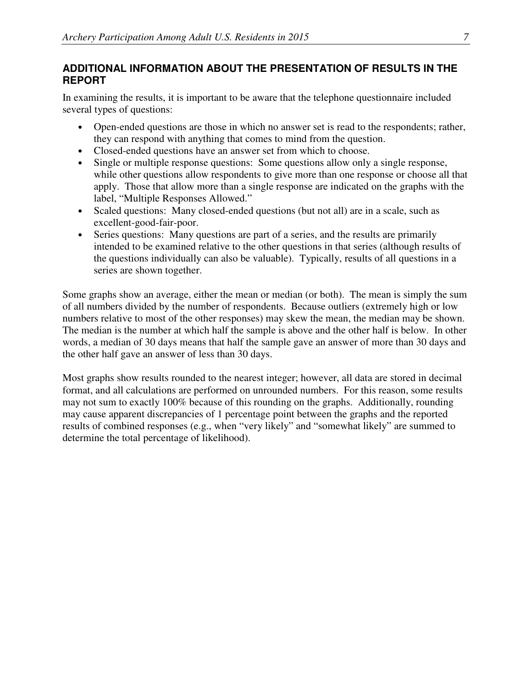### **ADDITIONAL INFORMATION ABOUT THE PRESENTATION OF RESULTS IN THE REPORT**

In examining the results, it is important to be aware that the telephone questionnaire included several types of questions:

- Open-ended questions are those in which no answer set is read to the respondents; rather, they can respond with anything that comes to mind from the question.
- Closed-ended questions have an answer set from which to choose.
- Single or multiple response questions: Some questions allow only a single response, while other questions allow respondents to give more than one response or choose all that apply. Those that allow more than a single response are indicated on the graphs with the label, "Multiple Responses Allowed."
- Scaled questions: Many closed-ended questions (but not all) are in a scale, such as excellent-good-fair-poor.
- Series questions: Many questions are part of a series, and the results are primarily intended to be examined relative to the other questions in that series (although results of the questions individually can also be valuable). Typically, results of all questions in a series are shown together.

Some graphs show an average, either the mean or median (or both). The mean is simply the sum of all numbers divided by the number of respondents. Because outliers (extremely high or low numbers relative to most of the other responses) may skew the mean, the median may be shown. The median is the number at which half the sample is above and the other half is below. In other words, a median of 30 days means that half the sample gave an answer of more than 30 days and the other half gave an answer of less than 30 days.

Most graphs show results rounded to the nearest integer; however, all data are stored in decimal format, and all calculations are performed on unrounded numbers. For this reason, some results may not sum to exactly 100% because of this rounding on the graphs. Additionally, rounding may cause apparent discrepancies of 1 percentage point between the graphs and the reported results of combined responses (e.g., when "very likely" and "somewhat likely" are summed to determine the total percentage of likelihood).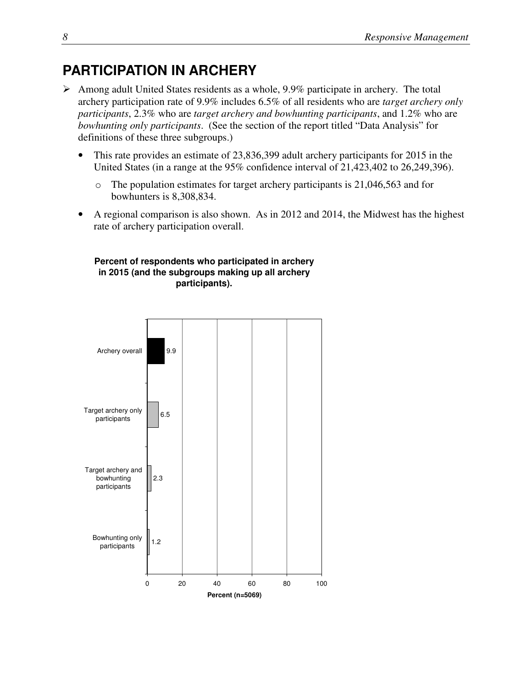## **PARTICIPATION IN ARCHERY**

- $\triangleright$  Among adult United States residents as a whole, 9.9% participate in archery. The total archery participation rate of 9.9% includes 6.5% of all residents who are *target archery only participants*, 2.3% who are *target archery and bowhunting participants*, and 1.2% who are *bowhunting only participants*. (See the section of the report titled "Data Analysis" for definitions of these three subgroups.)
	- This rate provides an estimate of 23,836,399 adult archery participants for 2015 in the United States (in a range at the 95% confidence interval of 21,423,402 to 26,249,396).
		- o The population estimates for target archery participants is 21,046,563 and for bowhunters is 8,308,834.
	- A regional comparison is also shown. As in 2012 and 2014, the Midwest has the highest rate of archery participation overall.

#### **Percent of respondents who participated in archery in 2015 (and the subgroups making up all archery participants).**

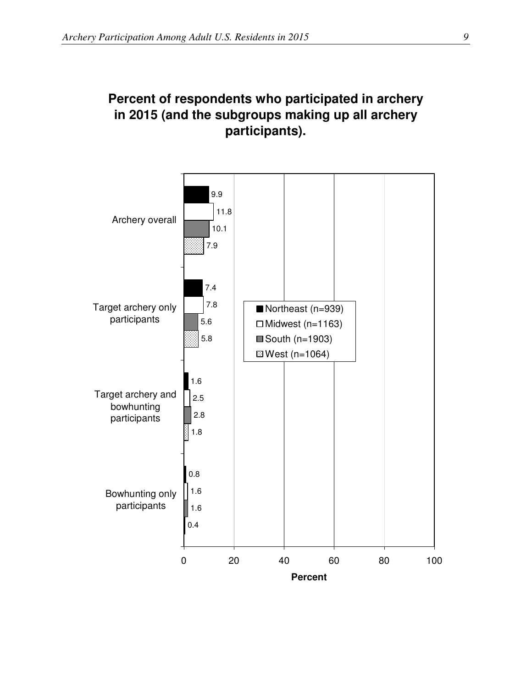## **Percent of respondents who participated in archery in 2015 (and the subgroups making up all archery participants).**

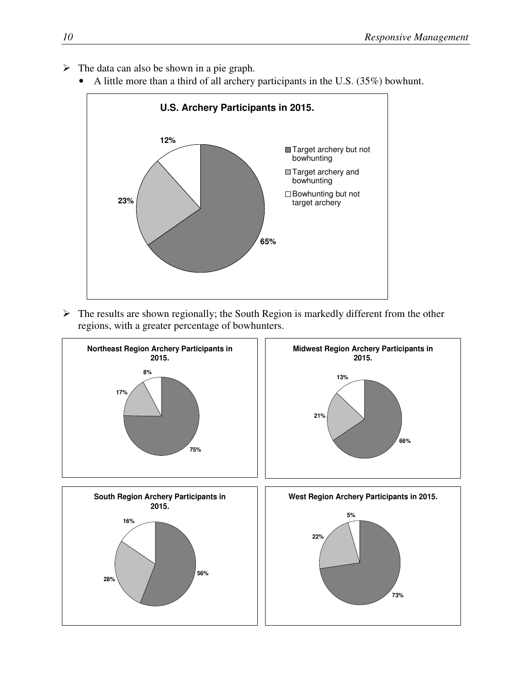- $\triangleright$  The data can also be shown in a pie graph.
	- A little more than a third of all archery participants in the U.S. (35%) bowhunt.



 $\triangleright$  The results are shown regionally; the South Region is markedly different from the other regions, with a greater percentage of bowhunters.

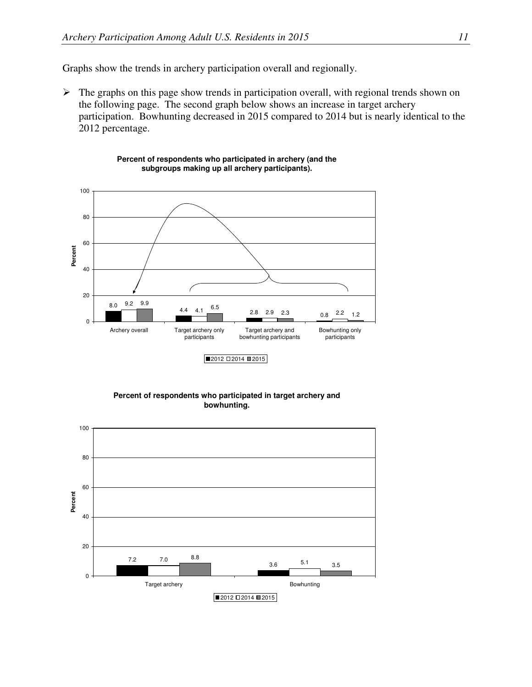Graphs show the trends in archery participation overall and regionally.

 $\triangleright$  The graphs on this page show trends in participation overall, with regional trends shown on the following page. The second graph below shows an increase in target archery participation. Bowhunting decreased in 2015 compared to 2014 but is nearly identical to the 2012 percentage.



**Percent of respondents who participated in archery (and the subgroups making up all archery participants).**

**Percent of respondents who participated in target archery and bowhunting.**

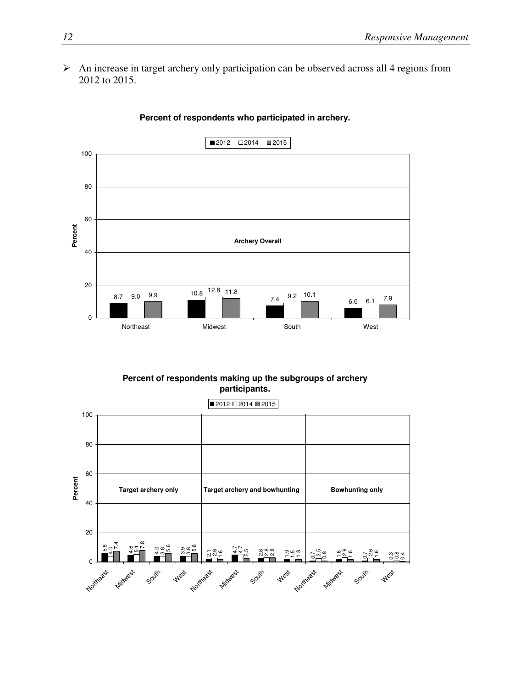An increase in target archery only participation can be observed across all 4 regions from 2012 to 2015.



#### **Percent of respondents who participated in archery.**

**Percent of respondents making up the subgroups of archery participants.**

თ ფ უ<br>თ ო ლ ო<br>ა — 4.7 ဖ ထ ထ<br>လ လ လ  $9.58$ ي<br>ما თ.<br>ი م .<br>ما 0.84<br>0.94 .<br>2.5 0.8  $\frac{1}{\epsilon}$  $\frac{1}{\epsilon}$ .<br>م .<br>ب 4.7 .<br>آه ب<br>4.  $\frac{1}{2}$ .<br>ი<br>ი .<br>ما ا<br>14 5.1 .<br>თ.  $7.4$ .<br>7. 5.6 0 20 40 60 80 100 Northeasts Midwest South West Northeasts Midwest South West Northeast 1 Midwest South **West Percent**  $2012 \square 2014 \square 2015$ **Target archery only Target archery and bowhunting | Bowhunting only**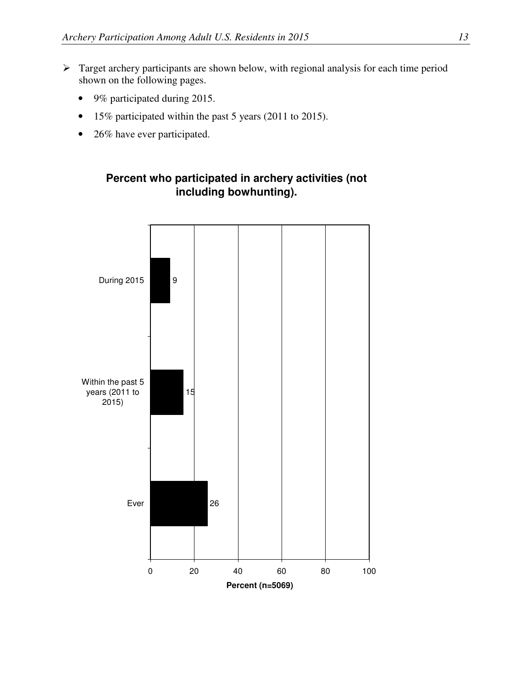- $\triangleright$  Target archery participants are shown below, with regional analysis for each time period shown on the following pages.
	- 9% participated during 2015.
	- 15% participated within the past 5 years (2011 to 2015).
	- 26% have ever participated.

#### **Percent who participated in archery activities (not including bowhunting).**

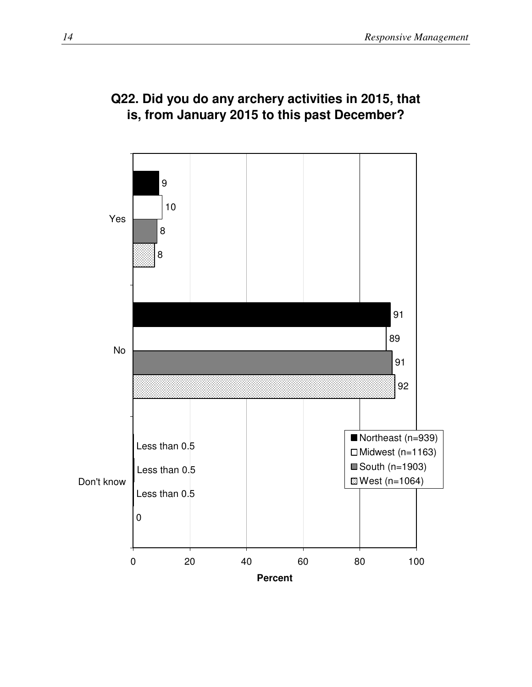## **Q22. Did you do any archery activities in 2015, that is, from January 2015 to this past December?**

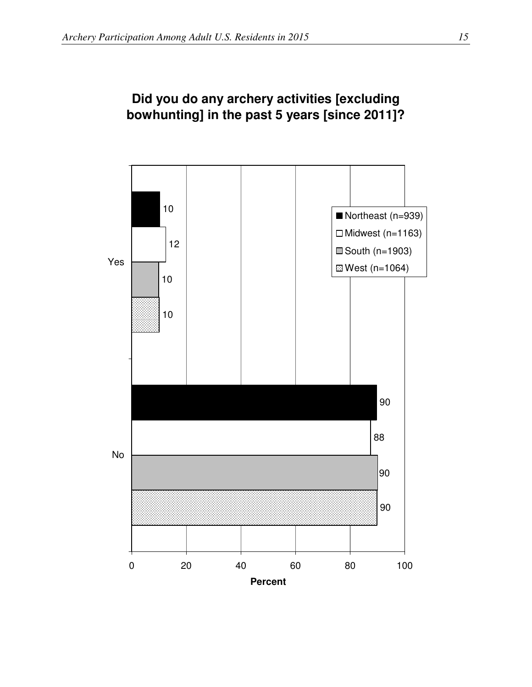

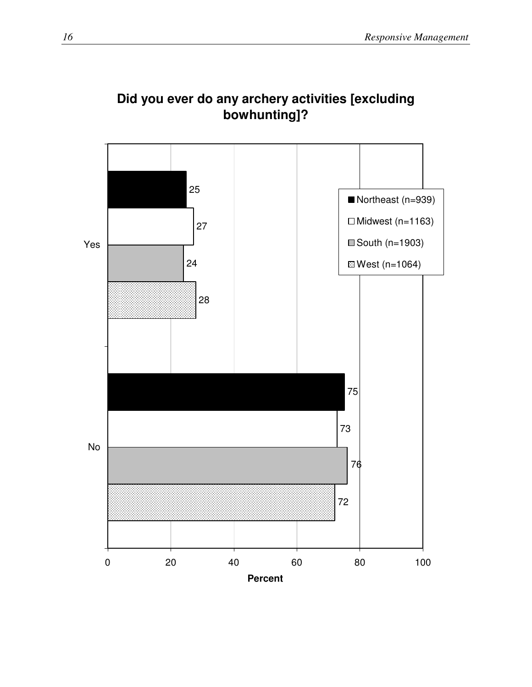

## **Did you ever do any archery activities [excluding bowhunting]?**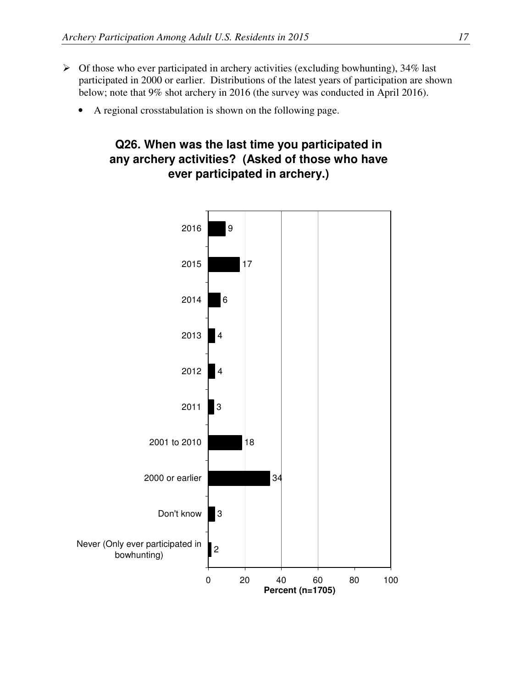- $\triangleright$  Of those who ever participated in archery activities (excluding bowhunting), 34% last participated in 2000 or earlier. Distributions of the latest years of participation are shown below; note that 9% shot archery in 2016 (the survey was conducted in April 2016).
	- A regional crosstabulation is shown on the following page.

## **Q26. When was the last time you participated in any archery activities? (Asked of those who have ever participated in archery.)**

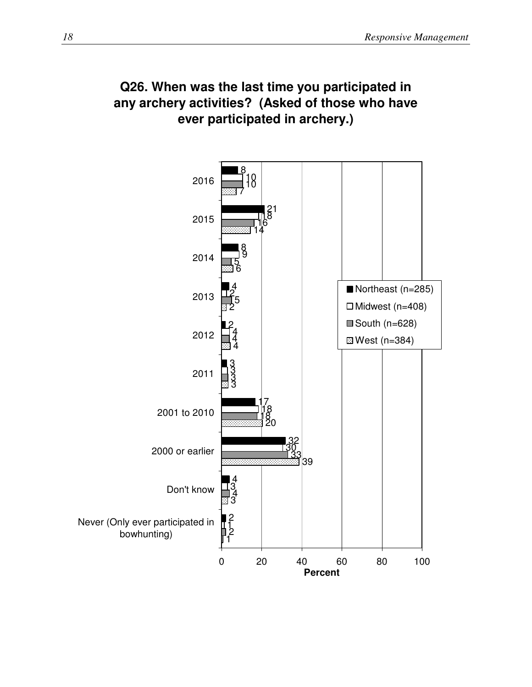## **Q26. When was the last time you participated in any archery activities? (Asked of those who have ever participated in archery.)**

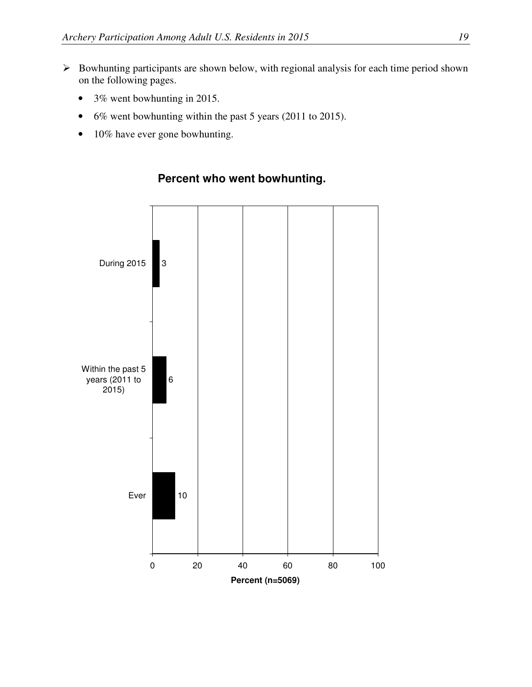- $\triangleright$  Bowhunting participants are shown below, with regional analysis for each time period shown on the following pages.
	- 3% went bowhunting in 2015.
	- 6% went bowhunting within the past 5 years (2011 to 2015).
	- 10% have ever gone bowhunting.



#### **Percent who went bowhunting.**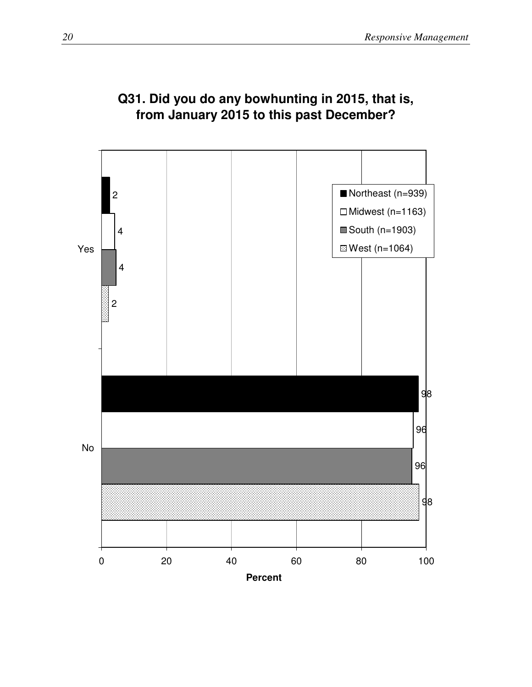

## **Q31. Did you do any bowhunting in 2015, that is, from January 2015 to this past December?**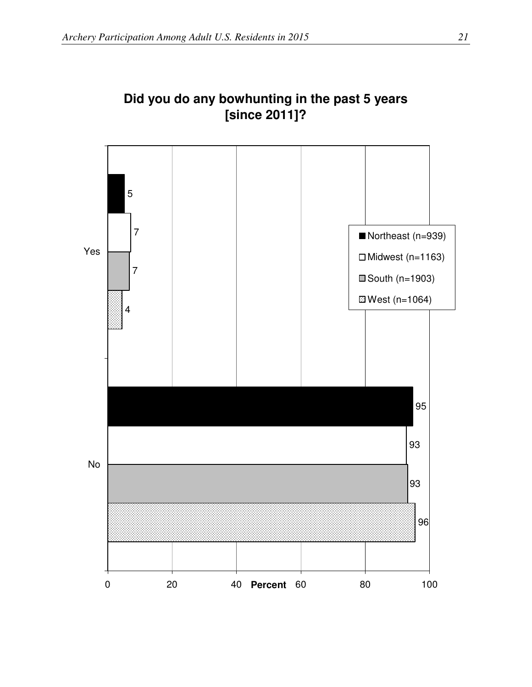

## **Did you do any bowhunting in the past 5 years [since 2011]?**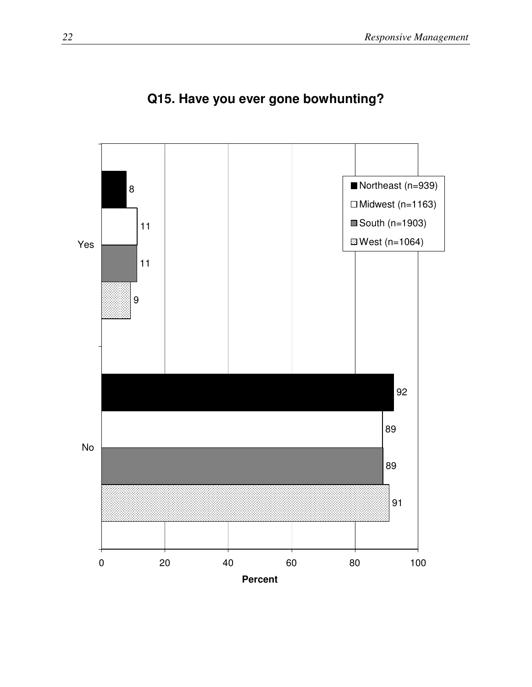

# **Q15. Have you ever gone bowhunting?**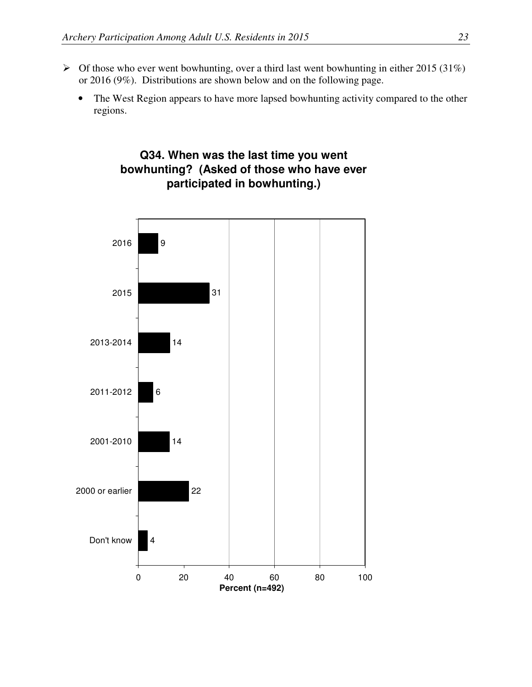- $\triangleright$  Of those who ever went bowhunting, over a third last went bowhunting in either 2015 (31%) or 2016 (9%). Distributions are shown below and on the following page.
	- The West Region appears to have more lapsed bowhunting activity compared to the other regions.



## **Q34. When was the last time you went bowhunting? (Asked of those who have ever participated in bowhunting.)**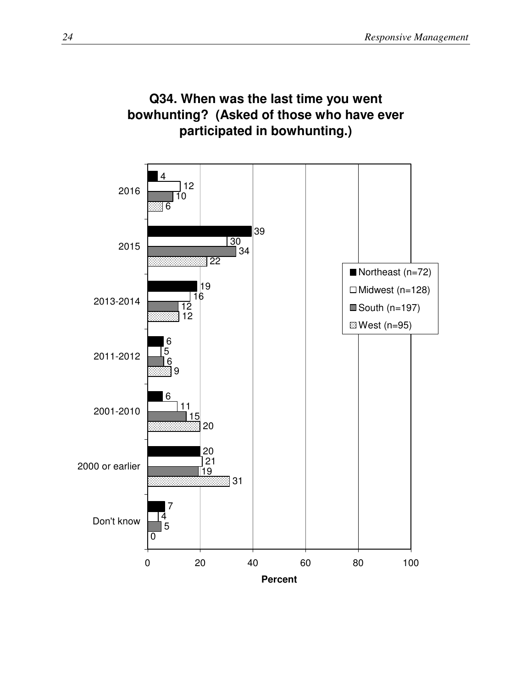

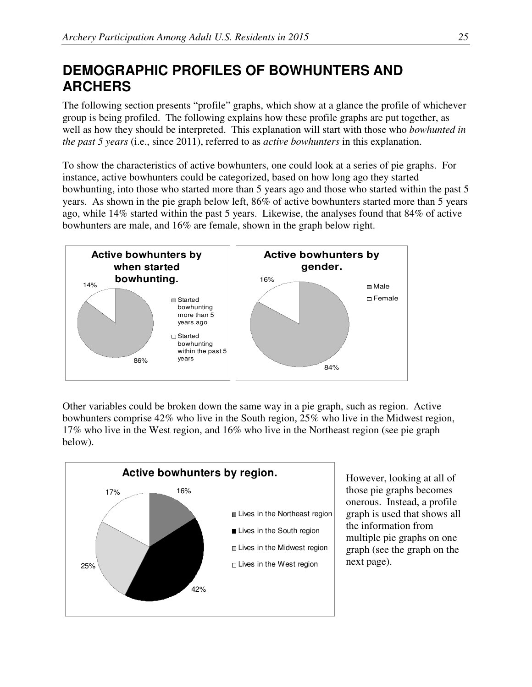# **DEMOGRAPHIC PROFILES OF BOWHUNTERS AND ARCHERS**

The following section presents "profile" graphs, which show at a glance the profile of whichever group is being profiled. The following explains how these profile graphs are put together, as well as how they should be interpreted. This explanation will start with those who *bowhunted in the past 5 years* (i.e., since 2011), referred to as *active bowhunters* in this explanation.

To show the characteristics of active bowhunters, one could look at a series of pie graphs. For instance, active bowhunters could be categorized, based on how long ago they started bowhunting, into those who started more than 5 years ago and those who started within the past 5 years. As shown in the pie graph below left, 86% of active bowhunters started more than 5 years ago, while 14% started within the past 5 years. Likewise, the analyses found that 84% of active bowhunters are male, and 16% are female, shown in the graph below right.



Other variables could be broken down the same way in a pie graph, such as region. Active bowhunters comprise 42% who live in the South region, 25% who live in the Midwest region, 17% who live in the West region, and 16% who live in the Northeast region (see pie graph below).



However, looking at all of those pie graphs becomes onerous. Instead, a profile graph is used that shows all the information from multiple pie graphs on one graph (see the graph on the next page).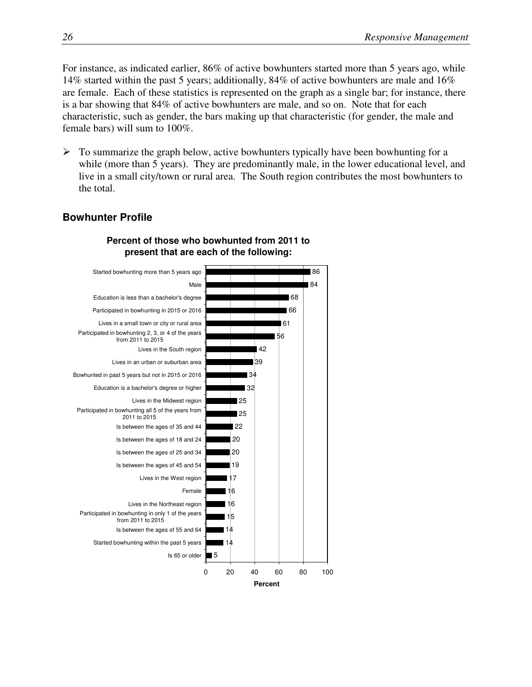For instance, as indicated earlier, 86% of active bowhunters started more than 5 years ago, while 14% started within the past 5 years; additionally, 84% of active bowhunters are male and 16% are female. Each of these statistics is represented on the graph as a single bar; for instance, there is a bar showing that 84% of active bowhunters are male, and so on. Note that for each characteristic, such as gender, the bars making up that characteristic (for gender, the male and female bars) will sum to 100%.

 $\triangleright$  To summarize the graph below, active bowhunters typically have been bowhunting for a while (more than 5 years). They are predominantly male, in the lower educational level, and live in a small city/town or rural area. The South region contributes the most bowhunters to the total.

#### **Bowhunter Profile**



#### **Percent of those who bowhunted from 2011 to present that are each of the following:**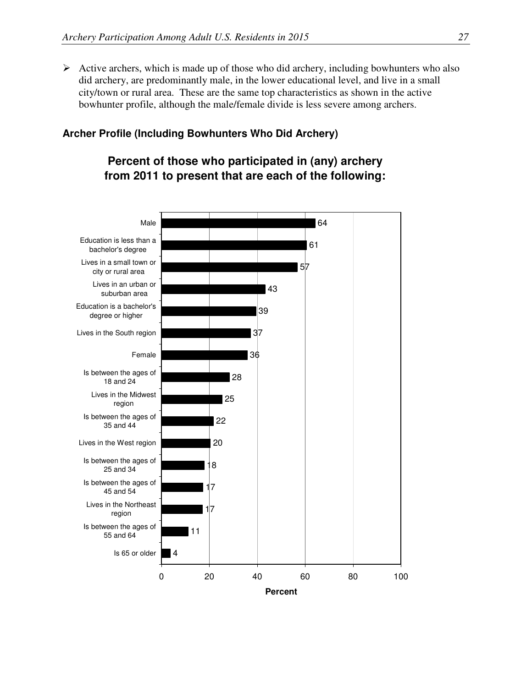$\triangleright$  Active archers, which is made up of those who did archery, including bowhunters who also did archery, are predominantly male, in the lower educational level, and live in a small city/town or rural area. These are the same top characteristics as shown in the active bowhunter profile, although the male/female divide is less severe among archers.

#### **Archer Profile (Including Bowhunters Who Did Archery)**

#### **Percent of those who participated in (any) archery from 2011 to present that are each of the following:**

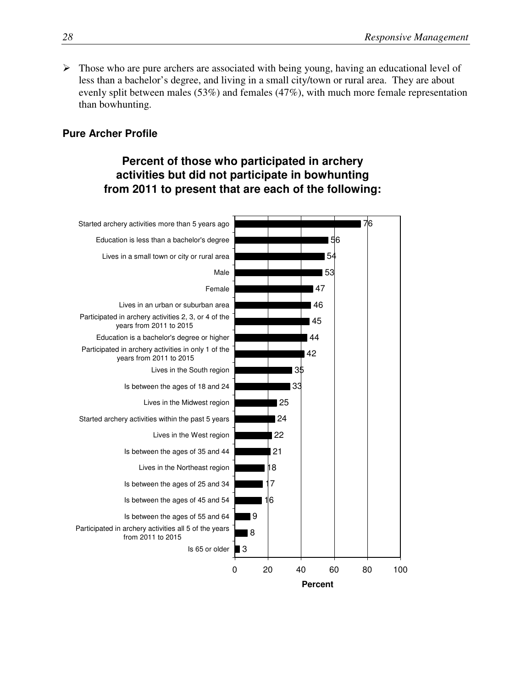$\triangleright$  Those who are pure archers are associated with being young, having an educational level of less than a bachelor's degree, and living in a small city/town or rural area. They are about evenly split between males (53%) and females (47%), with much more female representation than bowhunting.

#### **Pure Archer Profile**

## **Percent of those who participated in archery activities but did not participate in bowhunting from 2011 to present that are each of the following:**

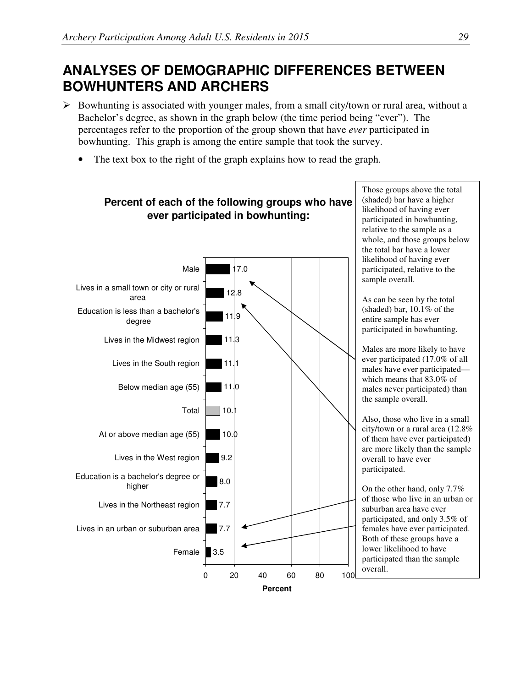# **ANALYSES OF DEMOGRAPHIC DIFFERENCES BETWEEN BOWHUNTERS AND ARCHERS**

- $\triangleright$  Bowhunting is associated with younger males, from a small city/town or rural area, without a Bachelor's degree, as shown in the graph below (the time period being "ever"). The percentages refer to the proportion of the group shown that have *ever* participated in bowhunting. This graph is among the entire sample that took the survey.
	- The text box to the right of the graph explains how to read the graph.



# **Percent of each of the following groups who have**

Those groups above the total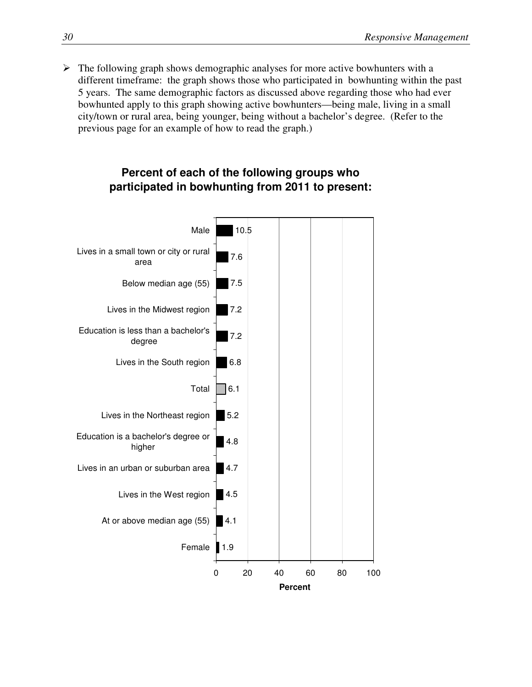$\triangleright$  The following graph shows demographic analyses for more active bowhunters with a different timeframe: the graph shows those who participated in bowhunting within the past 5 years. The same demographic factors as discussed above regarding those who had ever bowhunted apply to this graph showing active bowhunters—being male, living in a small city/town or rural area, being younger, being without a bachelor's degree. (Refer to the previous page for an example of how to read the graph.)

#### **Percent of each of the following groups who participated in bowhunting from 2011 to present:**

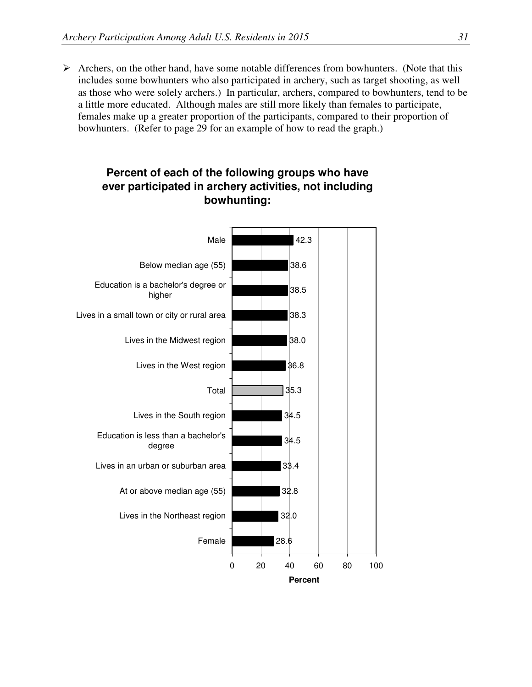$\triangleright$  Archers, on the other hand, have some notable differences from bowhunters. (Note that this includes some bowhunters who also participated in archery, such as target shooting, as well as those who were solely archers.) In particular, archers, compared to bowhunters, tend to be a little more educated. Although males are still more likely than females to participate, females make up a greater proportion of the participants, compared to their proportion of bowhunters. (Refer to page 29 for an example of how to read the graph.)



#### **Percent of each of the following groups who have ever participated in archery activities, not including bowhunting:**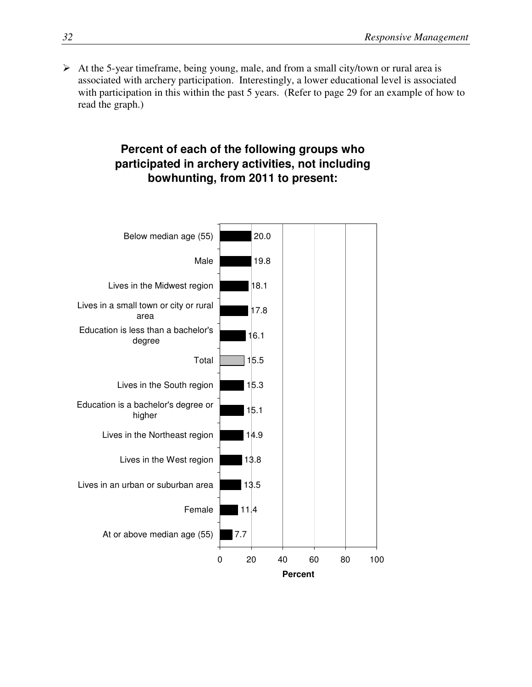$\triangleright$  At the 5-year timeframe, being young, male, and from a small city/town or rural area is associated with archery participation. Interestingly, a lower educational level is associated with participation in this within the past 5 years. (Refer to page 29 for an example of how to read the graph.)

## **Percent of each of the following groups who participated in archery activities, not including bowhunting, from 2011 to present:**

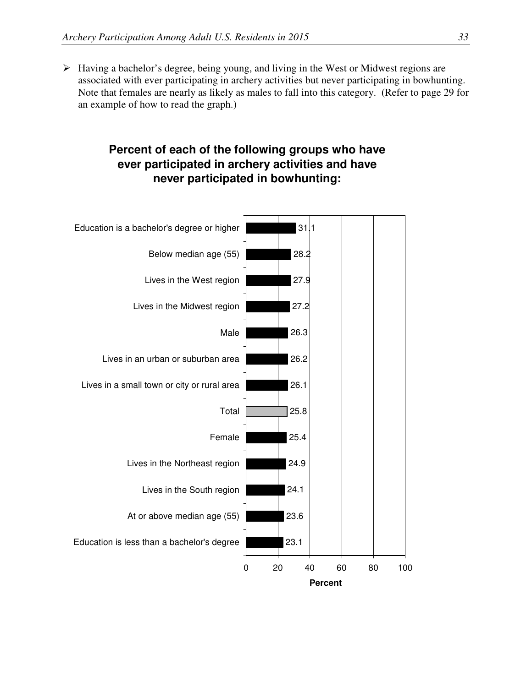$\triangleright$  Having a bachelor's degree, being young, and living in the West or Midwest regions are associated with ever participating in archery activities but never participating in bowhunting. Note that females are nearly as likely as males to fall into this category. (Refer to page 29 for an example of how to read the graph.)

## **Percent of each of the following groups who have ever participated in archery activities and have never participated in bowhunting:**

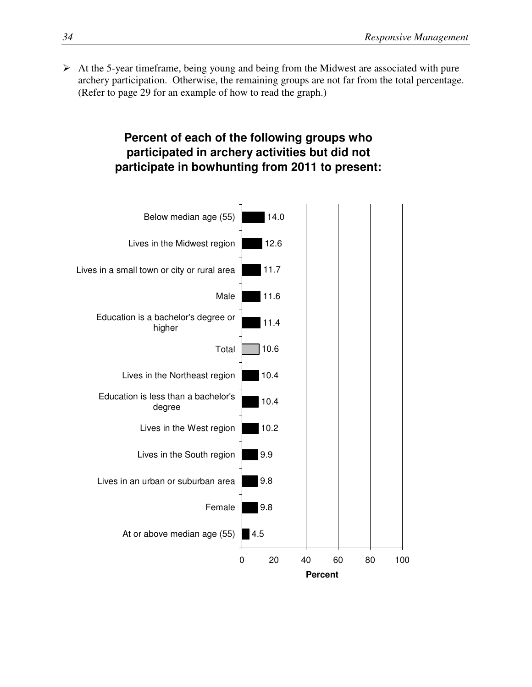$\triangleright$  At the 5-year timeframe, being young and being from the Midwest are associated with pure archery participation. Otherwise, the remaining groups are not far from the total percentage. (Refer to page 29 for an example of how to read the graph.)

## **Percent of each of the following groups who participated in archery activities but did not participate in bowhunting from 2011 to present:**

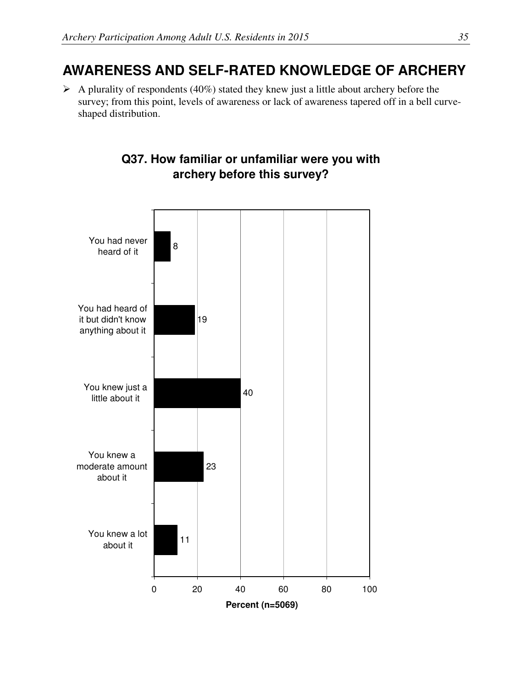## **AWARENESS AND SELF-RATED KNOWLEDGE OF ARCHERY**

 $\triangleright$  A plurality of respondents (40%) stated they knew just a little about archery before the survey; from this point, levels of awareness or lack of awareness tapered off in a bell curveshaped distribution.



## **Q37. How familiar or unfamiliar were you with archery before this survey?**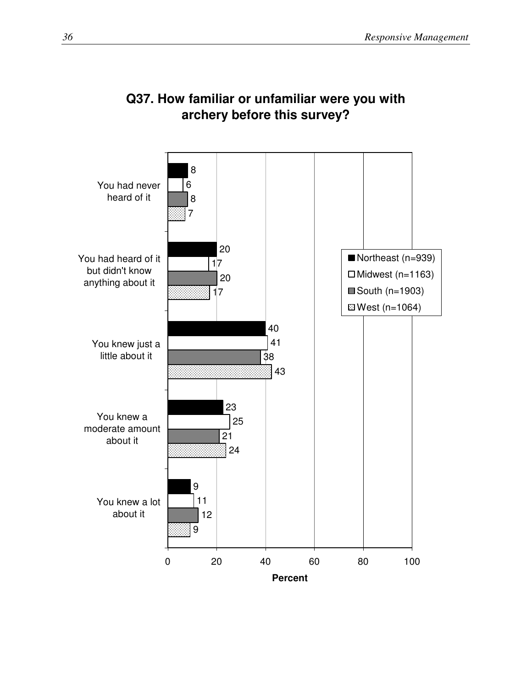

## **Q37. How familiar or unfamiliar were you with archery before this survey?**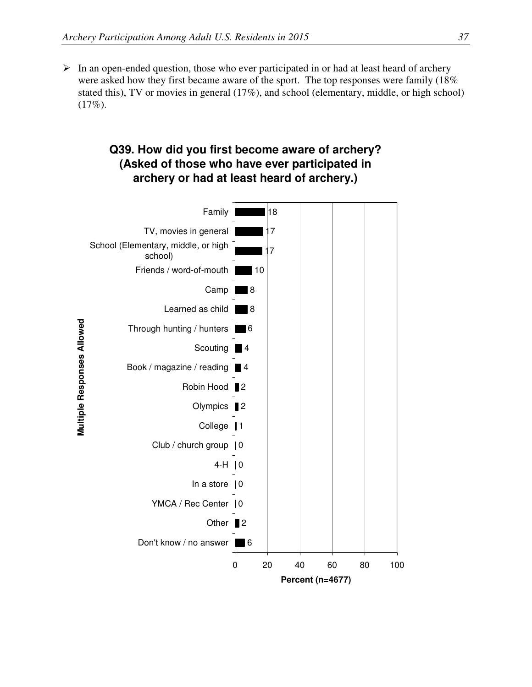$\triangleright$  In an open-ended question, those who ever participated in or had at least heard of archery were asked how they first became aware of the sport. The top responses were family (18% stated this), TV or movies in general (17%), and school (elementary, middle, or high school) (17%).

## **Q39. How did you first become aware of archery? (Asked of those who have ever participated in archery or had at least heard of archery.)**

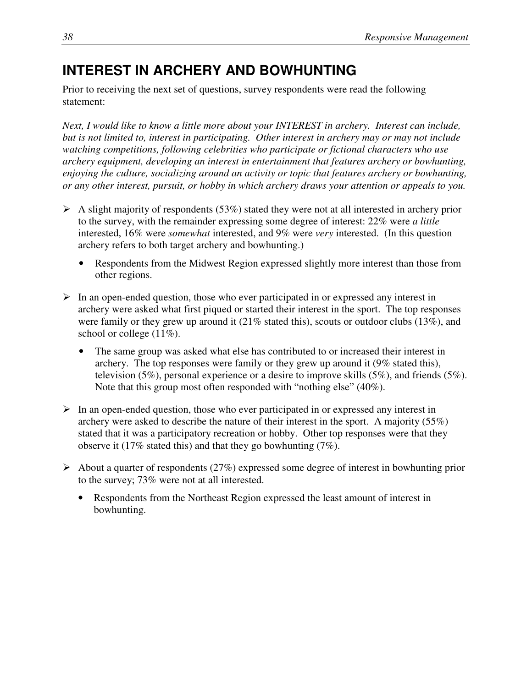# **INTEREST IN ARCHERY AND BOWHUNTING**

Prior to receiving the next set of questions, survey respondents were read the following statement:

*Next, I would like to know a little more about your INTEREST in archery. Interest can include, but is not limited to, interest in participating. Other interest in archery may or may not include watching competitions, following celebrities who participate or fictional characters who use archery equipment, developing an interest in entertainment that features archery or bowhunting, enjoying the culture, socializing around an activity or topic that features archery or bowhunting, or any other interest, pursuit, or hobby in which archery draws your attention or appeals to you.* 

- $\triangleright$  A slight majority of respondents (53%) stated they were not at all interested in archery prior to the survey, with the remainder expressing some degree of interest: 22% were *a little* interested, 16% were *somewhat* interested, and 9% were *very* interested. (In this question archery refers to both target archery and bowhunting.)
	- Respondents from the Midwest Region expressed slightly more interest than those from other regions.
- $\triangleright$  In an open-ended question, those who ever participated in or expressed any interest in archery were asked what first piqued or started their interest in the sport. The top responses were family or they grew up around it (21% stated this), scouts or outdoor clubs (13%), and school or college  $(11\%)$ .
	- The same group was asked what else has contributed to or increased their interest in archery. The top responses were family or they grew up around it (9% stated this), television (5%), personal experience or a desire to improve skills (5%), and friends (5%). Note that this group most often responded with "nothing else" (40%).
- $\triangleright$  In an open-ended question, those who ever participated in or expressed any interest in archery were asked to describe the nature of their interest in the sport. A majority (55%) stated that it was a participatory recreation or hobby. Other top responses were that they observe it (17% stated this) and that they go bowhunting (7%).
- $\triangleright$  About a quarter of respondents (27%) expressed some degree of interest in bowhunting prior to the survey; 73% were not at all interested.
	- Respondents from the Northeast Region expressed the least amount of interest in bowhunting.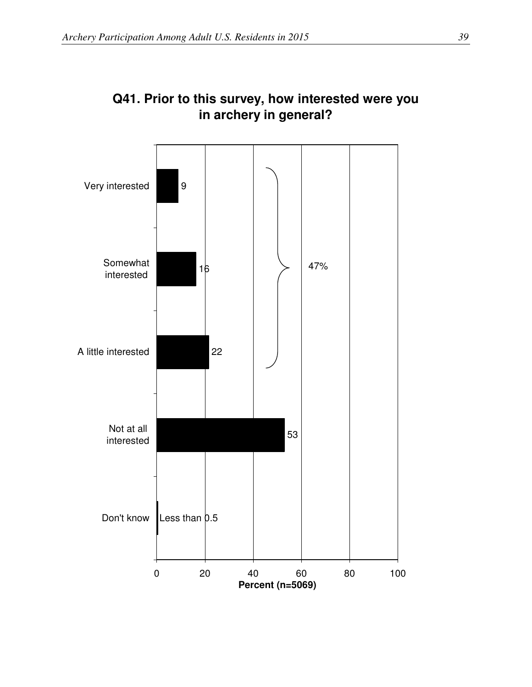

## **Q41. Prior to this survey, how interested were you in archery in general?**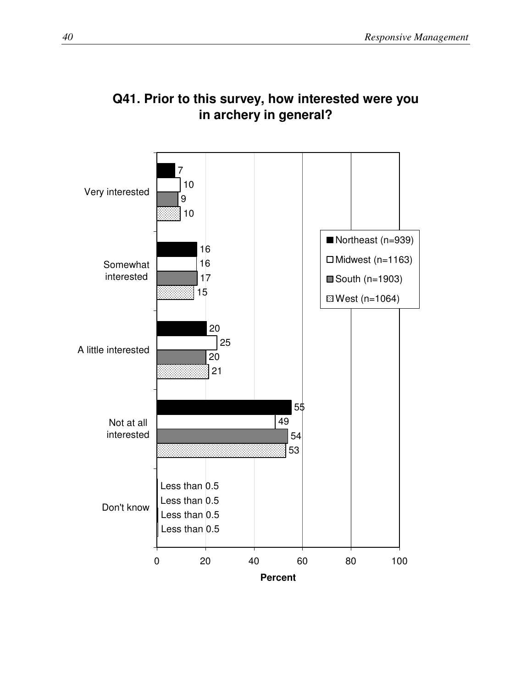

## **Q41. Prior to this survey, how interested were you in archery in general?**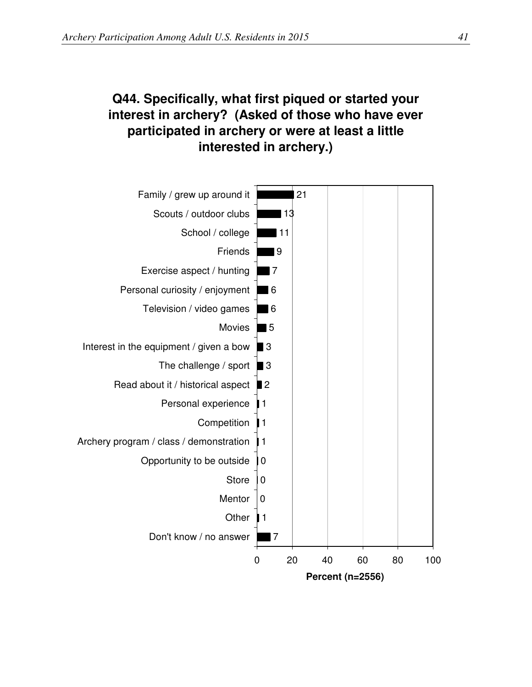## **Q44. Specifically, what first piqued or started your interest in archery? (Asked of those who have ever participated in archery or were at least a little interested in archery.)**

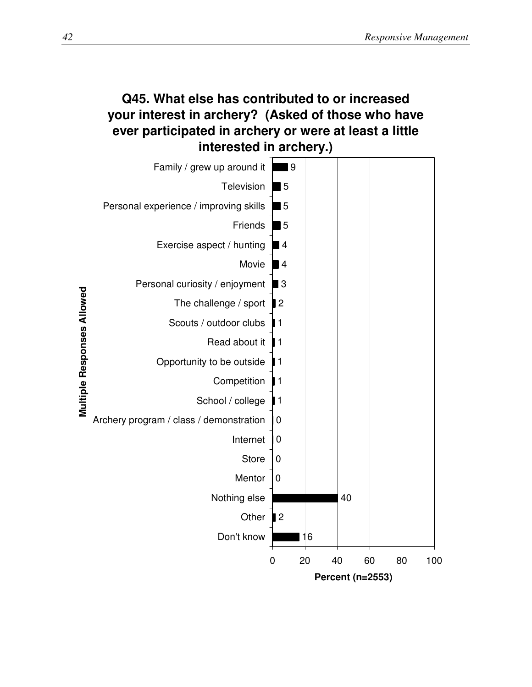## **Q45. What else has contributed to or increased your interest in archery? (Asked of those who have ever participated in archery or were at least a little interested in archery.)**

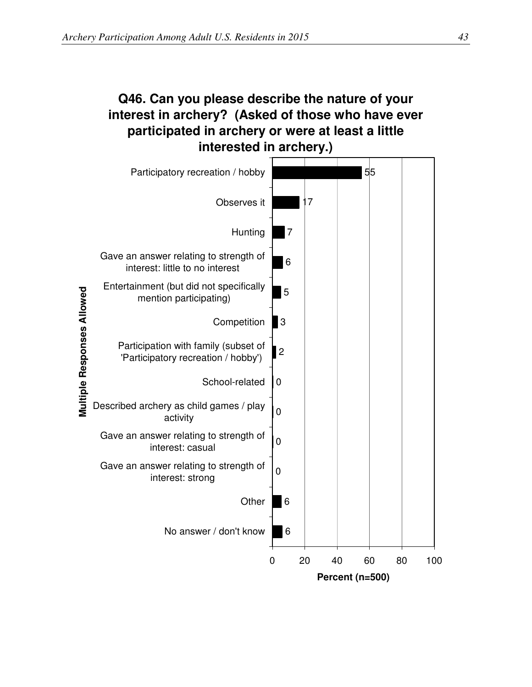## **Q46. Can you please describe the nature of your interest in archery? (Asked of those who have ever participated in archery or were at least a little interested in archery.)**

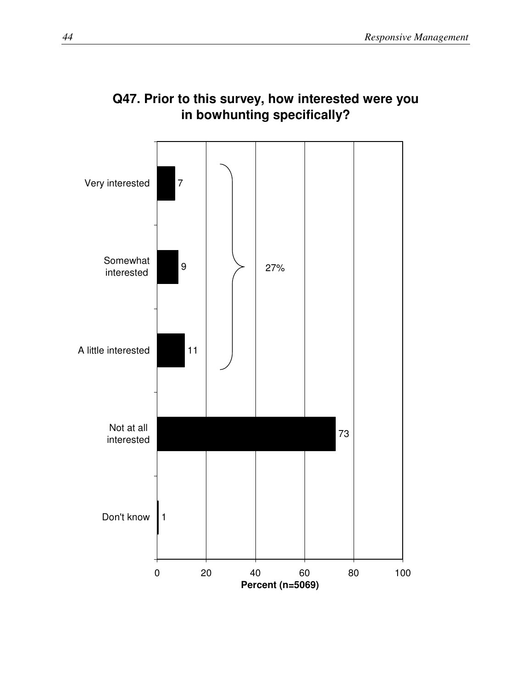

## **Q47. Prior to this survey, how interested were you in bowhunting specifically?**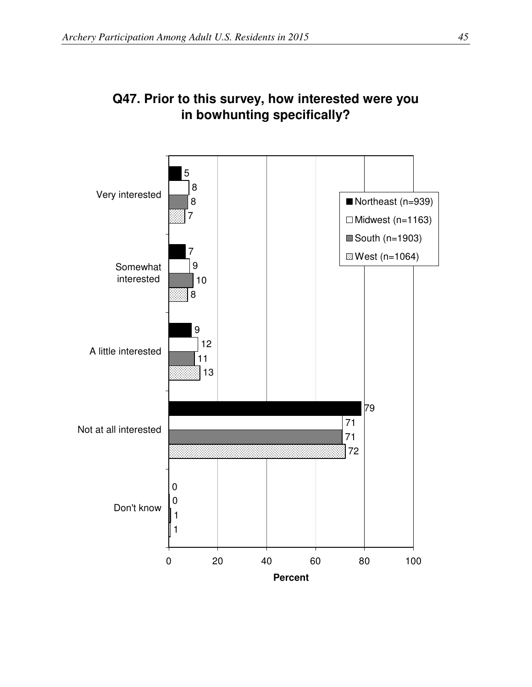

## **Q47. Prior to this survey, how interested were you in bowhunting specifically?**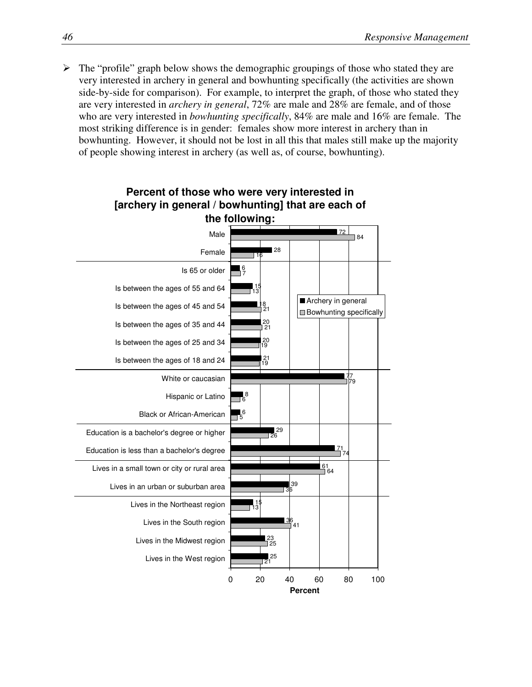$\triangleright$  The "profile" graph below shows the demographic groupings of those who stated they are very interested in archery in general and bowhunting specifically (the activities are shown side-by-side for comparison). For example, to interpret the graph, of those who stated they are very interested in *archery in general*, 72% are male and 28% are female, and of those who are very interested in *bowhunting specifically*, 84% are male and 16% are female. The most striking difference is in gender: females show more interest in archery than in bowhunting. However, it should not be lost in all this that males still make up the majority of people showing interest in archery (as well as, of course, bowhunting).

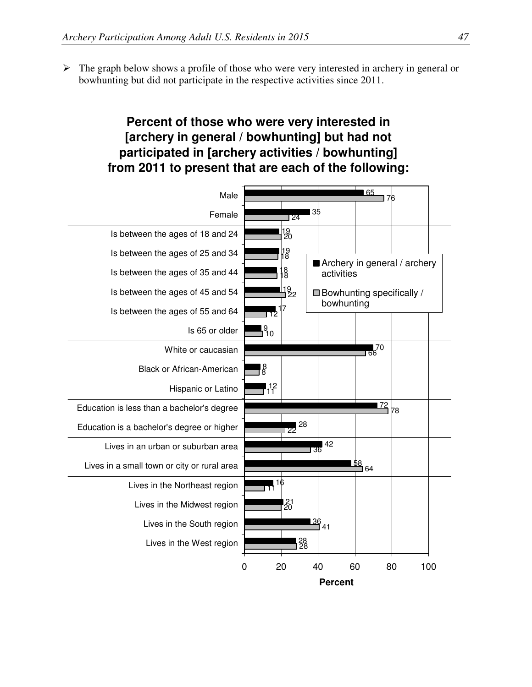$\triangleright$  The graph below shows a profile of those who were very interested in archery in general or bowhunting but did not participate in the respective activities since 2011.

#### **Percent of those who were very interested in [archery in general / bowhunting] but had not participated in [archery activities / bowhunting] from 2011 to present that are each of the following:**

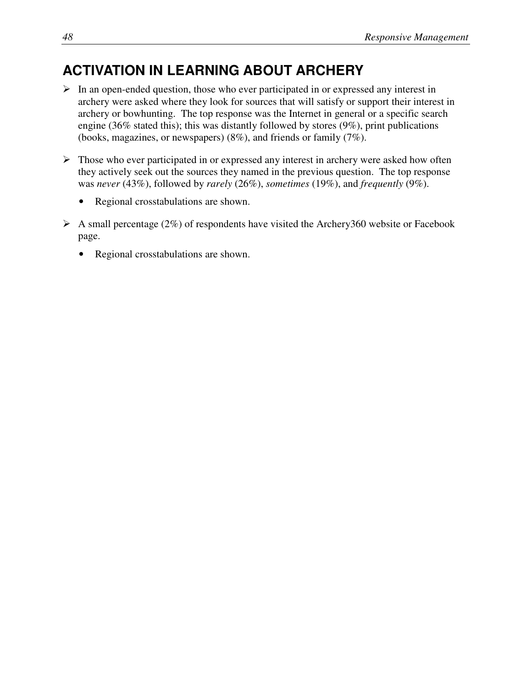# **ACTIVATION IN LEARNING ABOUT ARCHERY**

- $\triangleright$  In an open-ended question, those who ever participated in or expressed any interest in archery were asked where they look for sources that will satisfy or support their interest in archery or bowhunting. The top response was the Internet in general or a specific search engine (36% stated this); this was distantly followed by stores (9%), print publications (books, magazines, or newspapers) (8%), and friends or family (7%).
- $\triangleright$  Those who ever participated in or expressed any interest in archery were asked how often they actively seek out the sources they named in the previous question. The top response was *never* (43%), followed by *rarely* (26%), *sometimes* (19%), and *frequently* (9%).
	- Regional crosstabulations are shown.
- $\triangleright$  A small percentage (2%) of respondents have visited the Archery360 website or Facebook page.
	- Regional crosstabulations are shown.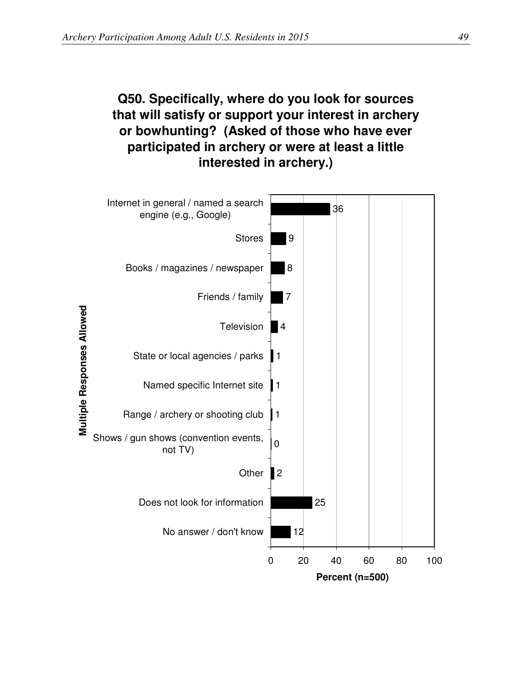# **Q50. Specifically, where do you look for sources that will satisfy or support your interest in archery or bowhunting? (Asked of those who have ever participated in archery or were at least a little interested in archery.)**

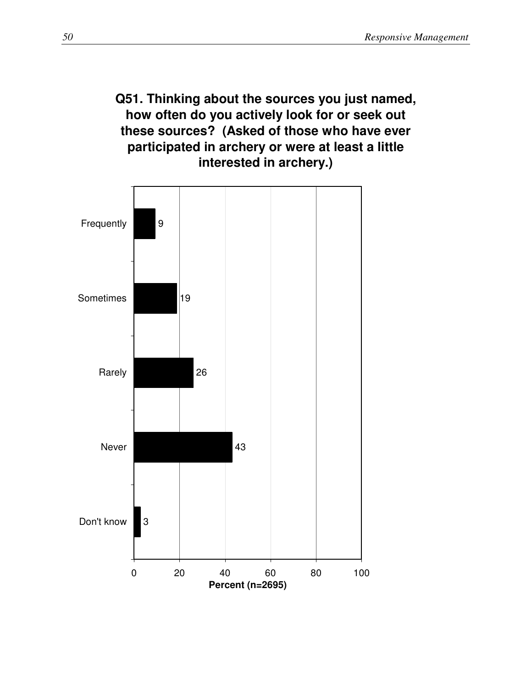## **Q51. Thinking about the sources you just named, how often do you actively look for or seek out these sources? (Asked of those who have ever participated in archery or were at least a little interested in archery.)**

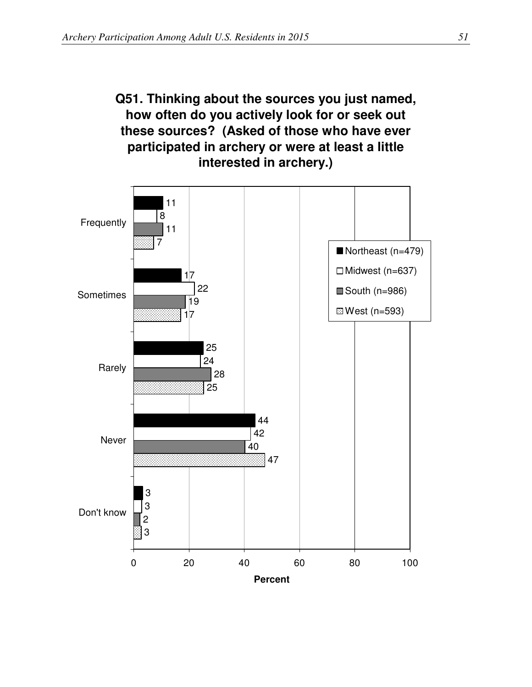# **Q51. Thinking about the sources you just named, how often do you actively look for or seek out these sources? (Asked of those who have ever participated in archery or were at least a little interested in archery.)**

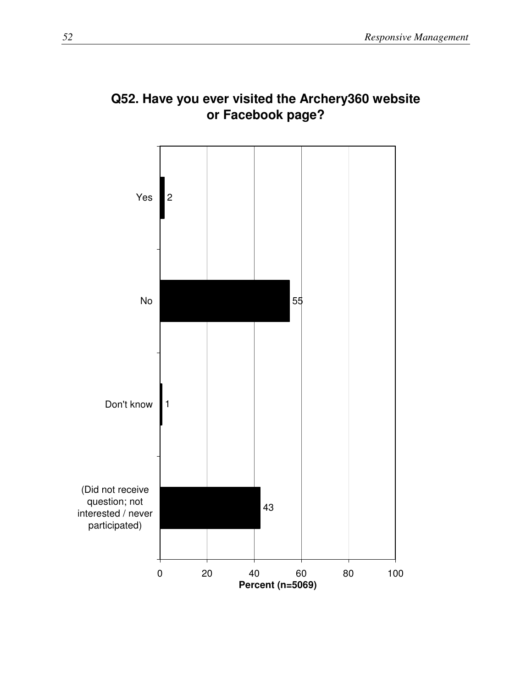

# **Q52. Have you ever visited the Archery360 website or Facebook page?**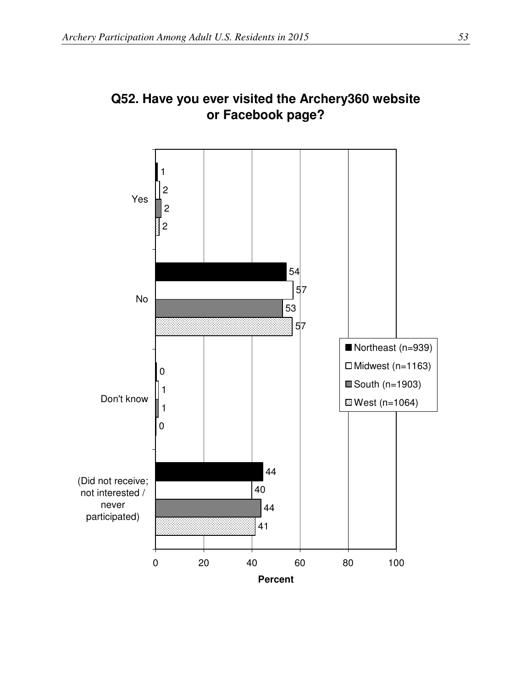

## **Q52. Have you ever visited the Archery360 website or Facebook page?**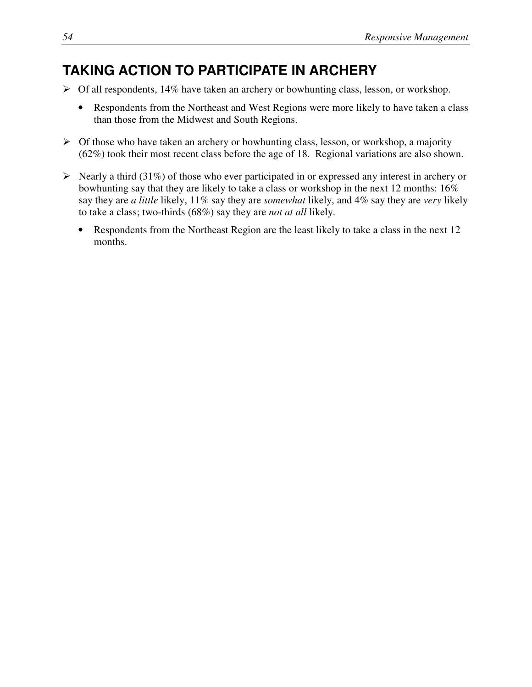# **TAKING ACTION TO PARTICIPATE IN ARCHERY**

- $\triangleright$  Of all respondents, 14% have taken an archery or bowhunting class, lesson, or workshop.
	- Respondents from the Northeast and West Regions were more likely to have taken a class than those from the Midwest and South Regions.
- $\triangleright$  Of those who have taken an archery or bowhunting class, lesson, or workshop, a majority (62%) took their most recent class before the age of 18. Regional variations are also shown.
- $\triangleright$  Nearly a third (31%) of those who ever participated in or expressed any interest in archery or bowhunting say that they are likely to take a class or workshop in the next 12 months: 16% say they are *a little* likely, 11% say they are *somewhat* likely, and 4% say they are *very* likely to take a class; two-thirds (68%) say they are *not at all* likely.
	- Respondents from the Northeast Region are the least likely to take a class in the next 12 months.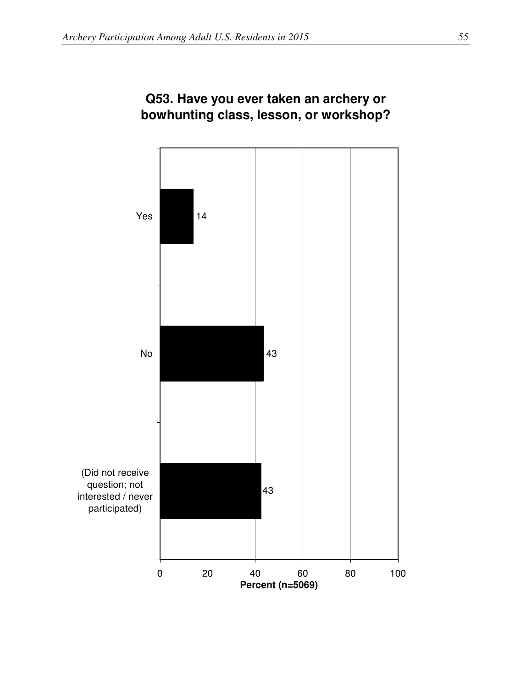

#### **Q53. Have you ever taken an archery or bowhunting class, lesson, or workshop?**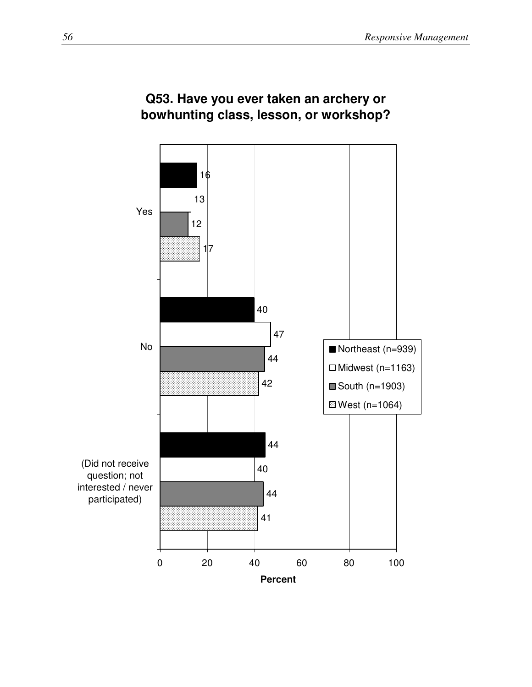

#### **Q53. Have you ever taken an archery or bowhunting class, lesson, or workshop?**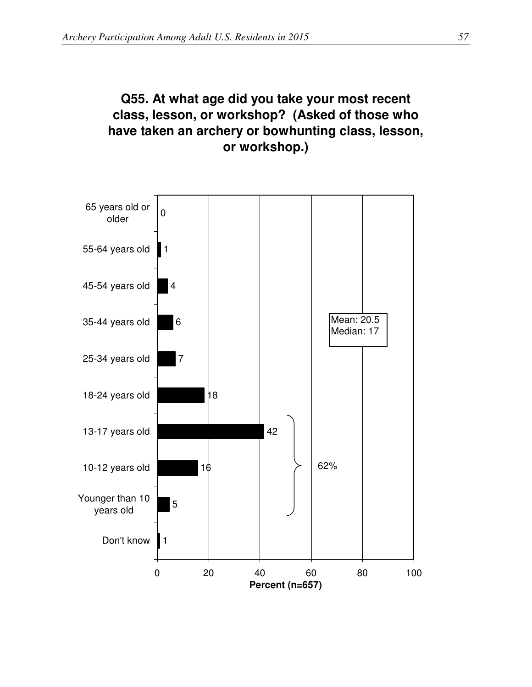# **Q55. At what age did you take your most recent class, lesson, or workshop? (Asked of those who have taken an archery or bowhunting class, lesson, or workshop.)**

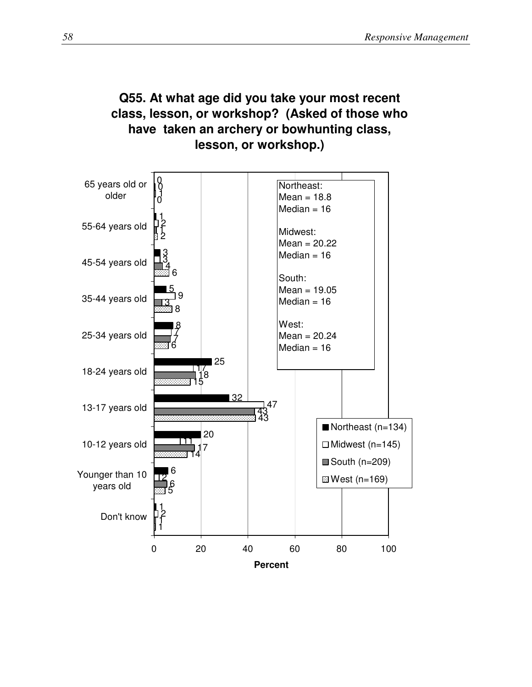#### **Q55. At what age did you take your most recent class, lesson, or workshop? (Asked of those who have taken an archery or bowhunting class, lesson, or workshop.)**

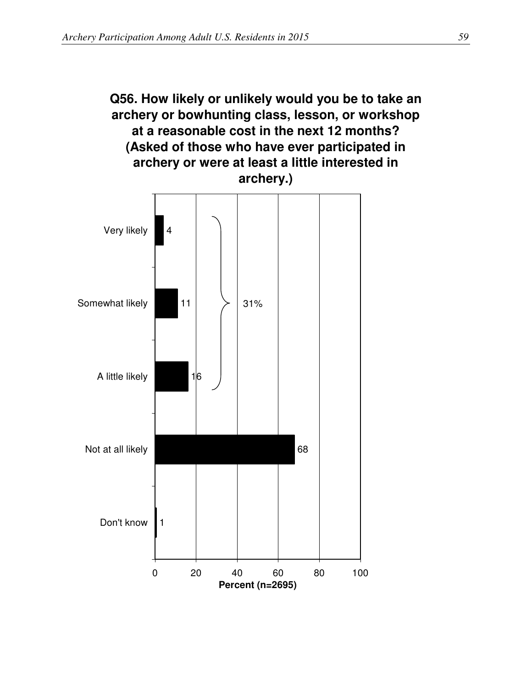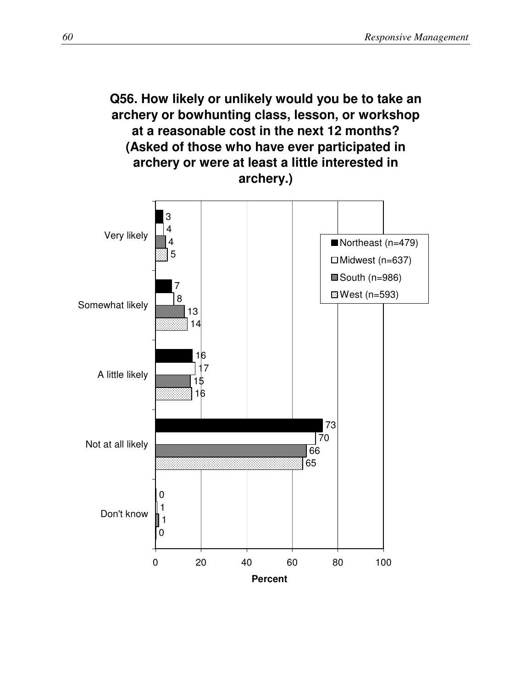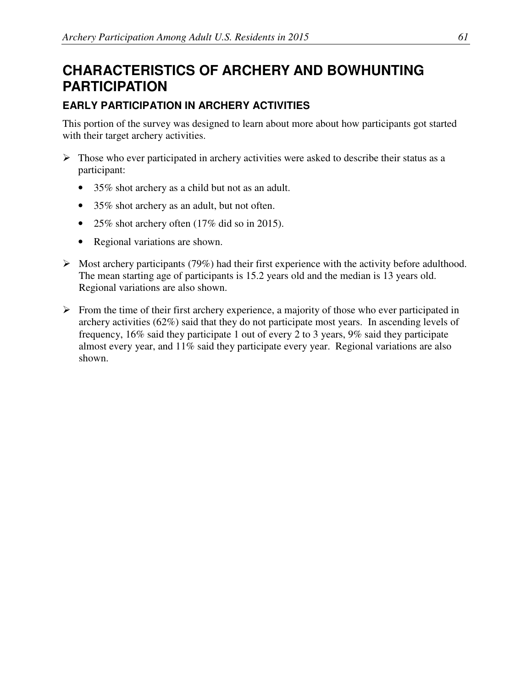# **CHARACTERISTICS OF ARCHERY AND BOWHUNTING PARTICIPATION**

#### **EARLY PARTICIPATION IN ARCHERY ACTIVITIES**

This portion of the survey was designed to learn about more about how participants got started with their target archery activities.

- $\triangleright$  Those who ever participated in archery activities were asked to describe their status as a participant:
	- 35% shot archery as a child but not as an adult.
	- 35% shot archery as an adult, but not often.
	- 25% shot archery often (17% did so in 2015).
	- Regional variations are shown.
- $\triangleright$  Most archery participants (79%) had their first experience with the activity before adulthood. The mean starting age of participants is 15.2 years old and the median is 13 years old. Regional variations are also shown.
- $\triangleright$  From the time of their first archery experience, a majority of those who ever participated in archery activities (62%) said that they do not participate most years. In ascending levels of frequency, 16% said they participate 1 out of every 2 to 3 years, 9% said they participate almost every year, and 11% said they participate every year. Regional variations are also shown.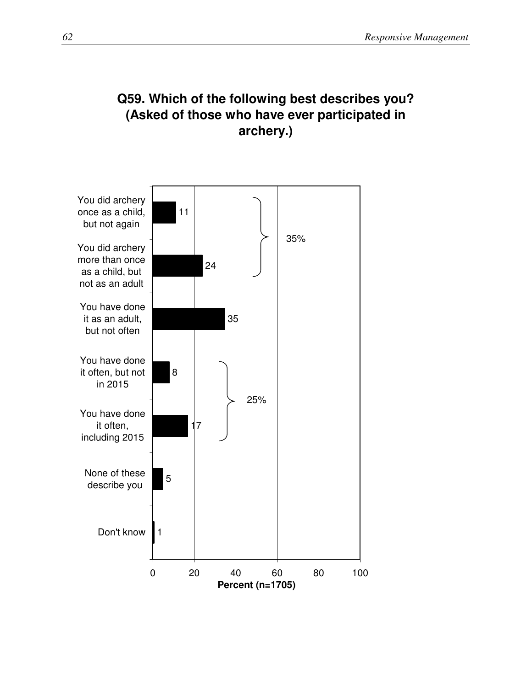### **Q59. Which of the following best describes you? (Asked of those who have ever participated in archery.)**

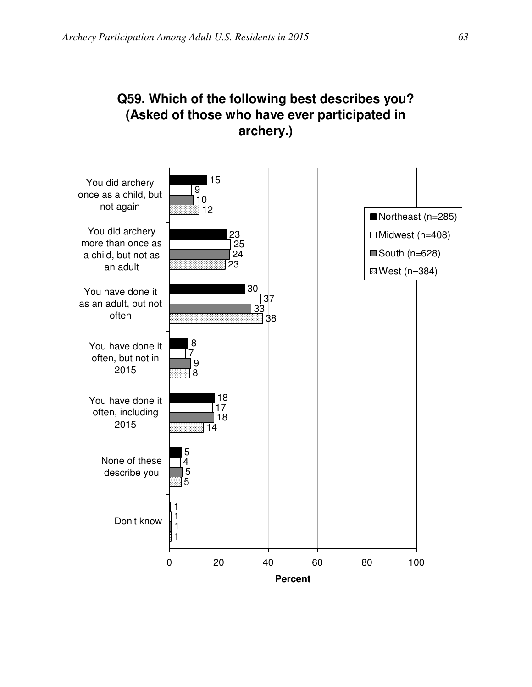# **Q59. Which of the following best describes you? (Asked of those who have ever participated in archery.)**

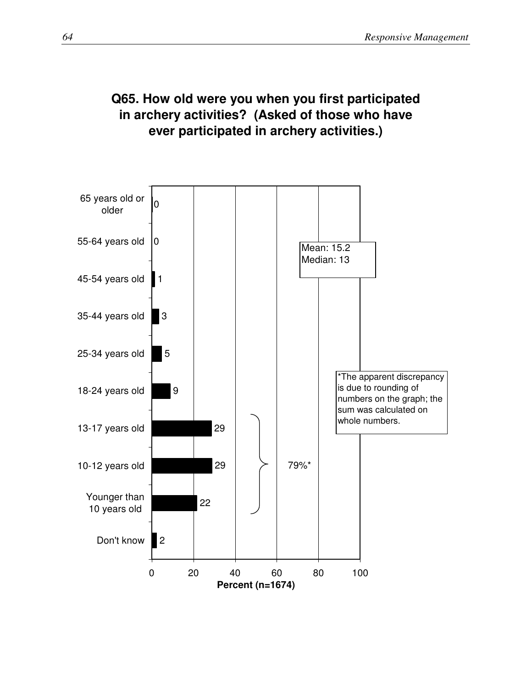# **Q65. How old were you when you first participated in archery activities? (Asked of those who have ever participated in archery activities.)**

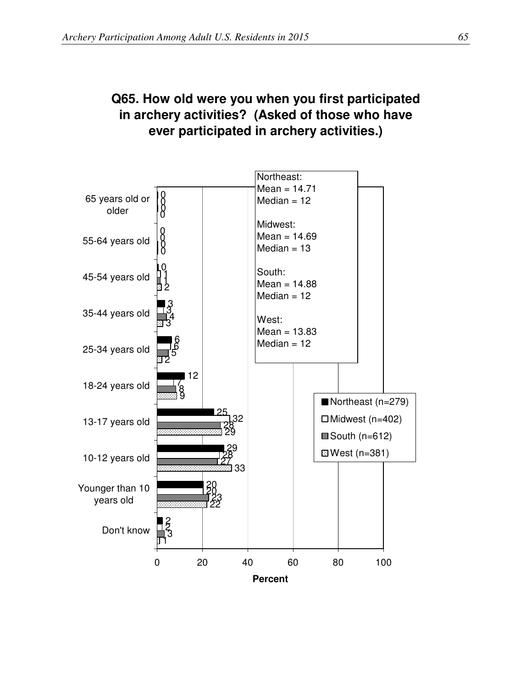# **Q65. How old were you when you first participated in archery activities? (Asked of those who have ever participated in archery activities.)**

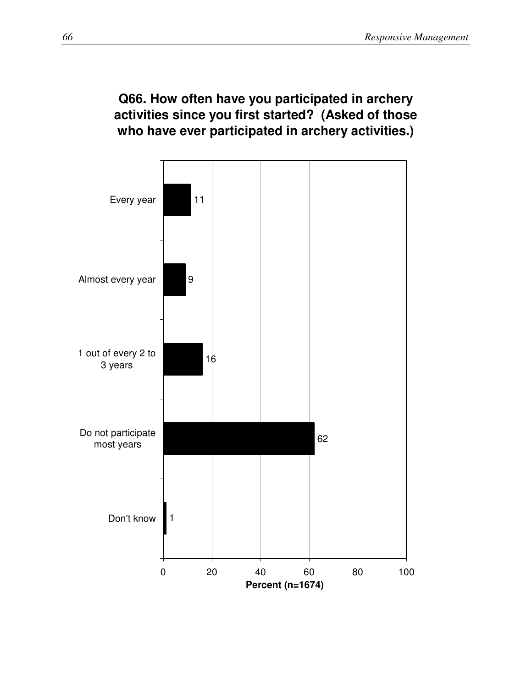## **Q66. How often have you participated in archery activities since you first started? (Asked of those who have ever participated in archery activities.)**

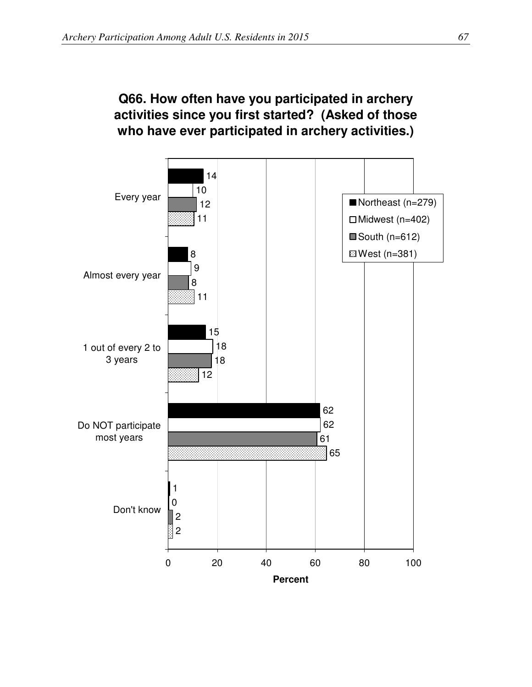#### **Q66. How often have you participated in archery activities since you first started? (Asked of those who have ever participated in archery activities.)**

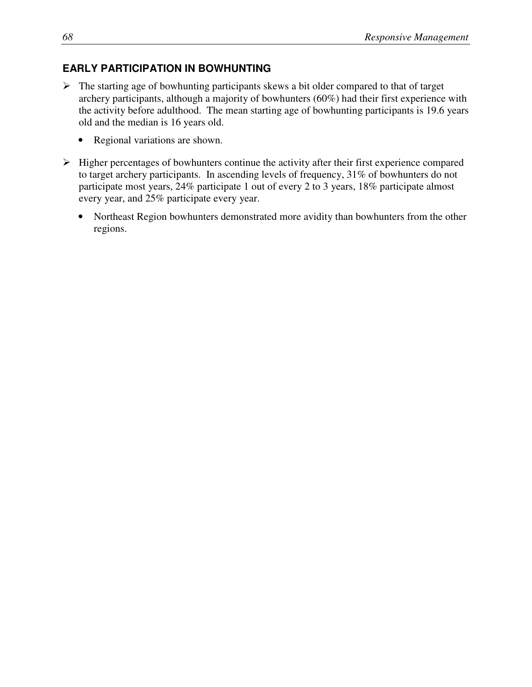#### **EARLY PARTICIPATION IN BOWHUNTING**

- $\triangleright$  The starting age of bowhunting participants skews a bit older compared to that of target archery participants, although a majority of bowhunters (60%) had their first experience with the activity before adulthood. The mean starting age of bowhunting participants is 19.6 years old and the median is 16 years old.
	- Regional variations are shown.
- $\triangleright$  Higher percentages of bowhunters continue the activity after their first experience compared to target archery participants. In ascending levels of frequency, 31% of bowhunters do not participate most years, 24% participate 1 out of every 2 to 3 years, 18% participate almost every year, and 25% participate every year.
	- Northeast Region bowhunters demonstrated more avidity than bowhunters from the other regions.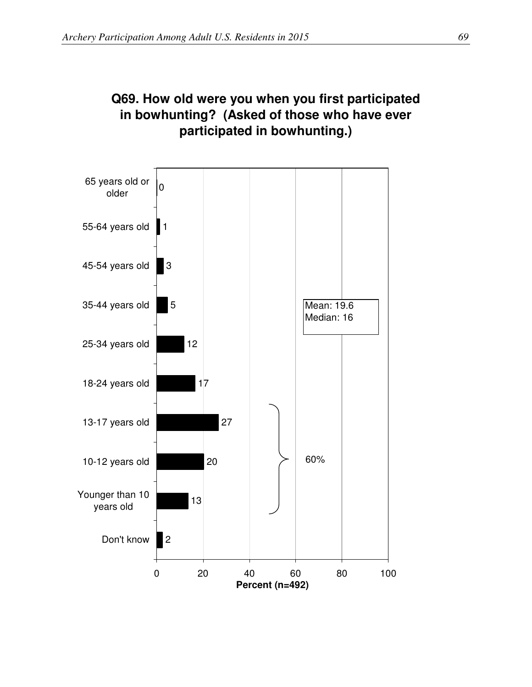

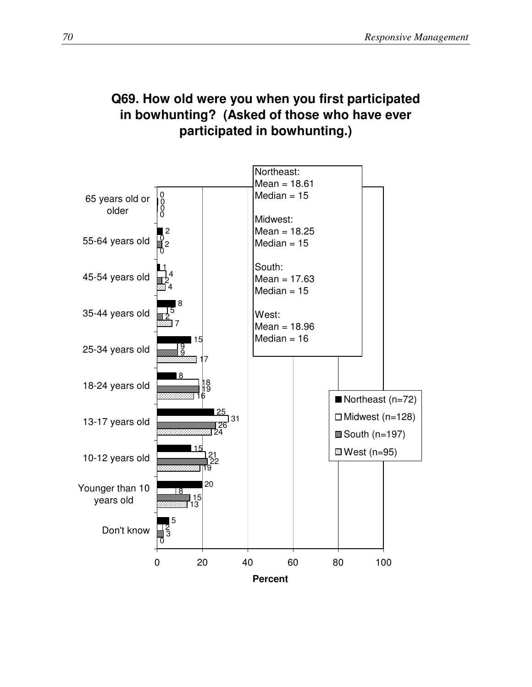# **Q69. How old were you when you first participated in bowhunting? (Asked of those who have ever participated in bowhunting.)**

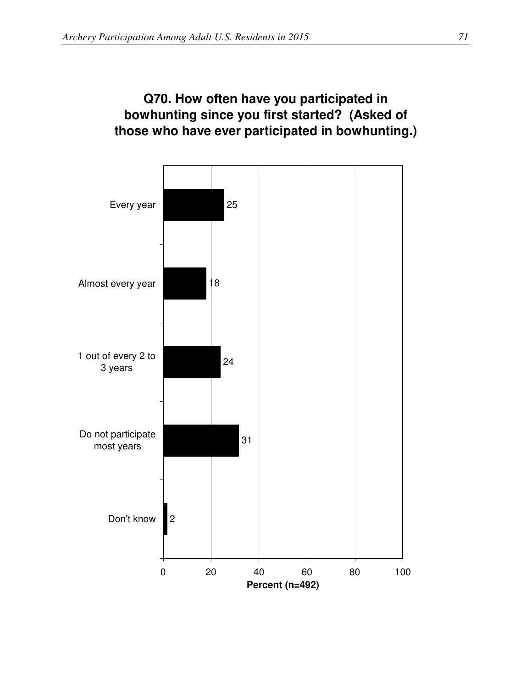# **Q70. How often have you participated in bowhunting since you first started? (Asked of those who have ever participated in bowhunting.)**

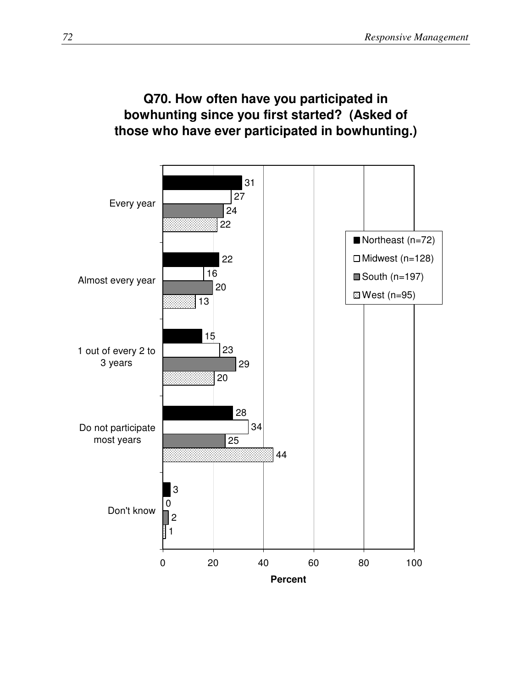## **Q70. How often have you participated in bowhunting since you first started? (Asked of those who have ever participated in bowhunting.)**

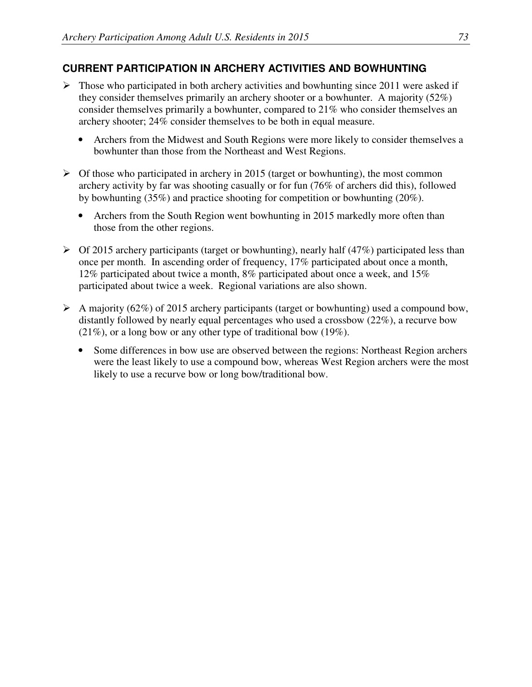#### **CURRENT PARTICIPATION IN ARCHERY ACTIVITIES AND BOWHUNTING**

- $\triangleright$  Those who participated in both archery activities and bowhunting since 2011 were asked if they consider themselves primarily an archery shooter or a bowhunter. A majority (52%) consider themselves primarily a bowhunter, compared to 21% who consider themselves an archery shooter; 24% consider themselves to be both in equal measure.
	- Archers from the Midwest and South Regions were more likely to consider themselves a bowhunter than those from the Northeast and West Regions.
- $\triangleright$  Of those who participated in archery in 2015 (target or bowhunting), the most common archery activity by far was shooting casually or for fun (76% of archers did this), followed by bowhunting (35%) and practice shooting for competition or bowhunting (20%).
	- Archers from the South Region went bowhunting in 2015 markedly more often than those from the other regions.
- $\triangleright$  Of 2015 archery participants (target or bowhunting), nearly half (47%) participated less than once per month. In ascending order of frequency, 17% participated about once a month, 12% participated about twice a month, 8% participated about once a week, and 15% participated about twice a week. Regional variations are also shown.
- $\triangleright$  A majority (62%) of 2015 archery participants (target or bowhunting) used a compound bow, distantly followed by nearly equal percentages who used a crossbow (22%), a recurve bow (21%), or a long bow or any other type of traditional bow (19%).
	- Some differences in bow use are observed between the regions: Northeast Region archers were the least likely to use a compound bow, whereas West Region archers were the most likely to use a recurve bow or long bow/traditional bow.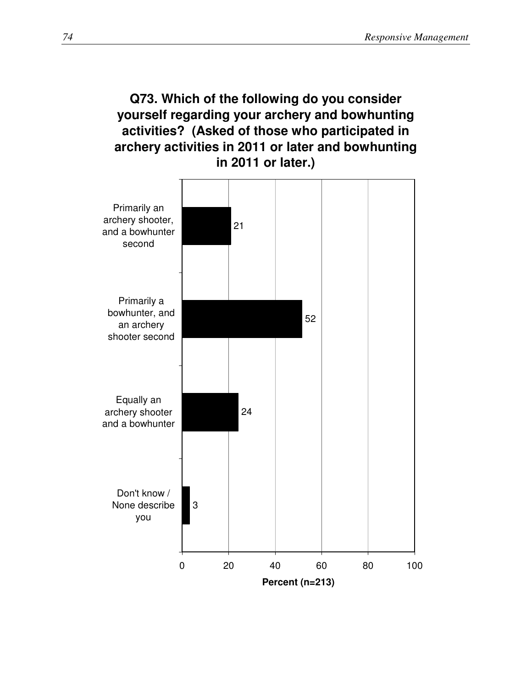### **Q73. Which of the following do you consider yourself regarding your archery and bowhunting activities? (Asked of those who participated in archery activities in 2011 or later and bowhunting in 2011 or later.)**

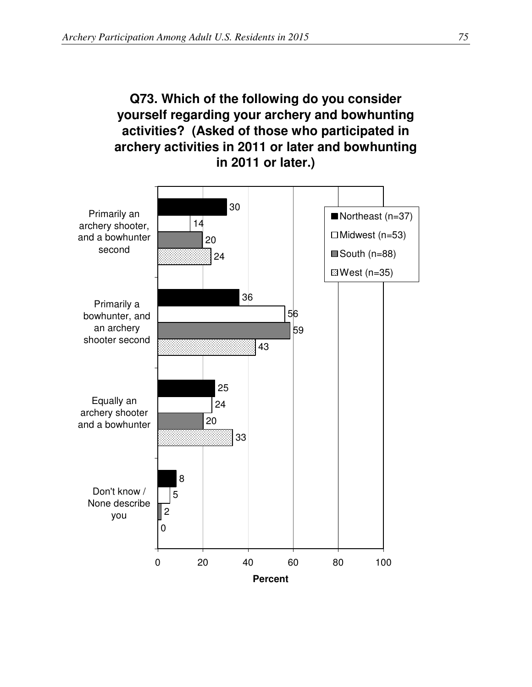# **Q73. Which of the following do you consider yourself regarding your archery and bowhunting activities? (Asked of those who participated in archery activities in 2011 or later and bowhunting in 2011 or later.)**

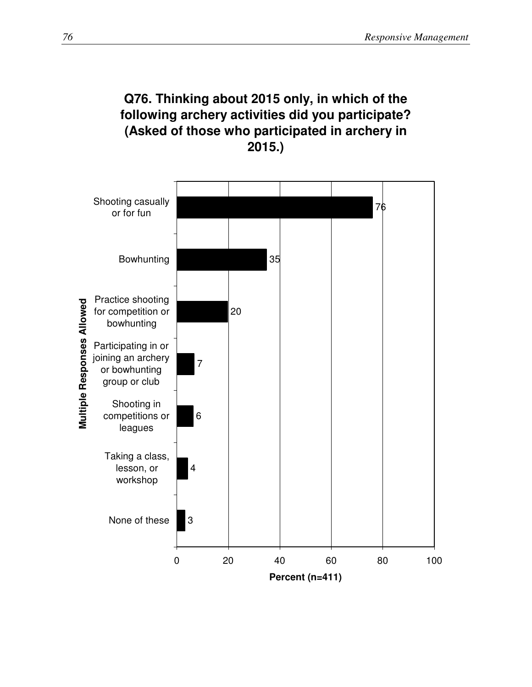### **Q76. Thinking about 2015 only, in which of the following archery activities did you participate? (Asked of those who participated in archery in 2015.)**

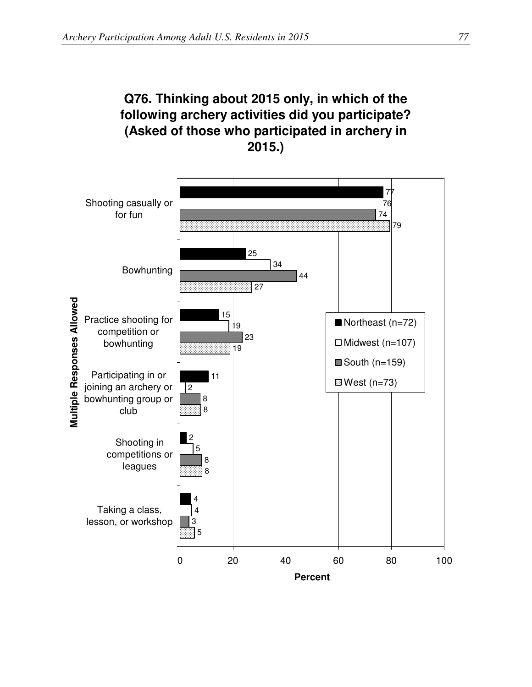# **Q76. Thinking about 2015 only, in which of the following archery activities did you participate? (Asked of those who participated in archery in 2015.)**

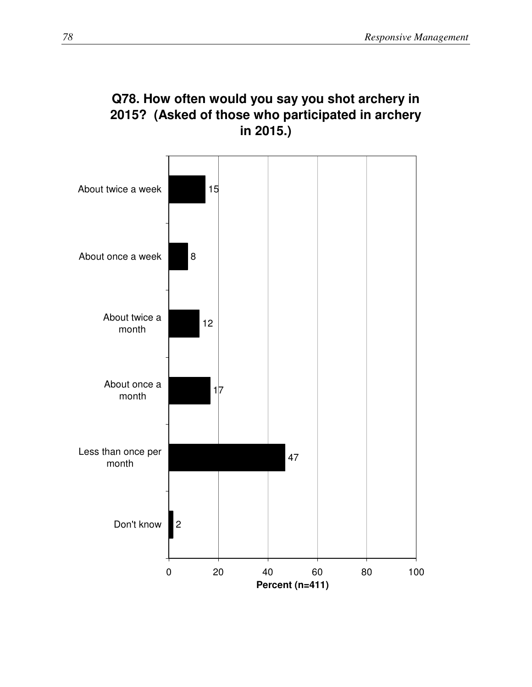

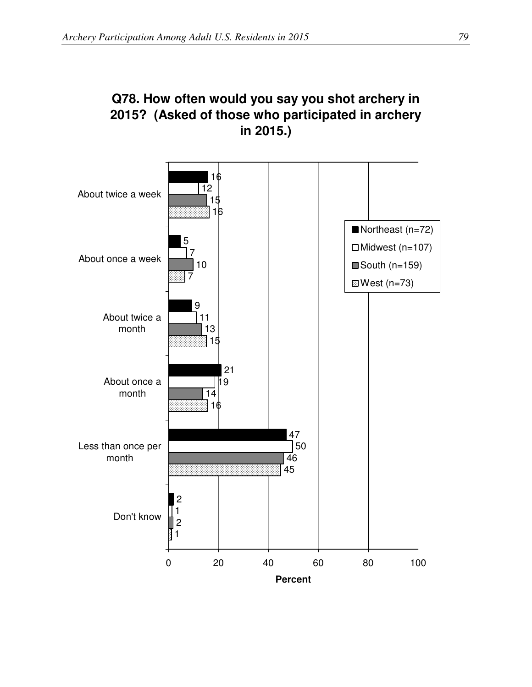

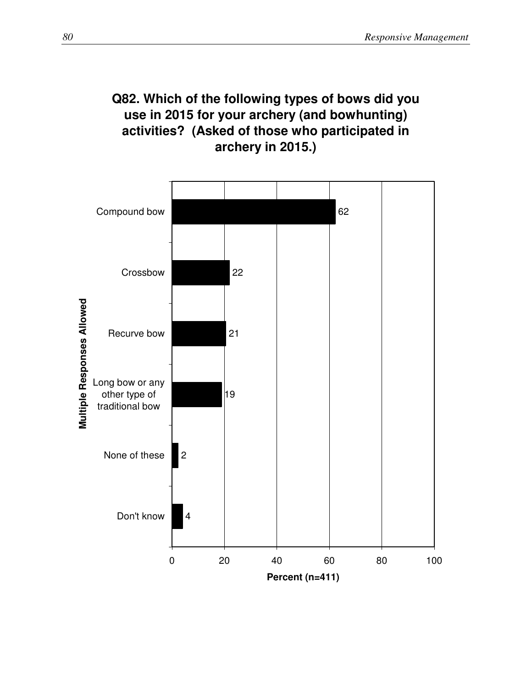### **Q82. Which of the following types of bows did you use in 2015 for your archery (and bowhunting) activities? (Asked of those who participated in archery in 2015.)**

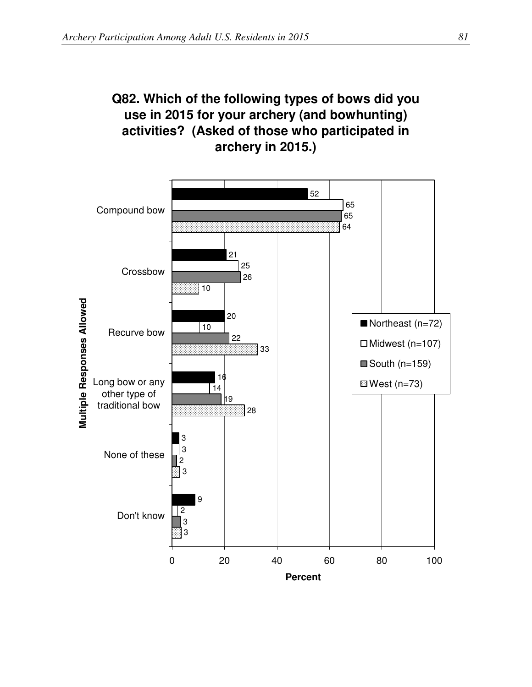# **Q82. Which of the following types of bows did you use in 2015 for your archery (and bowhunting) activities? (Asked of those who participated in archery in 2015.)**

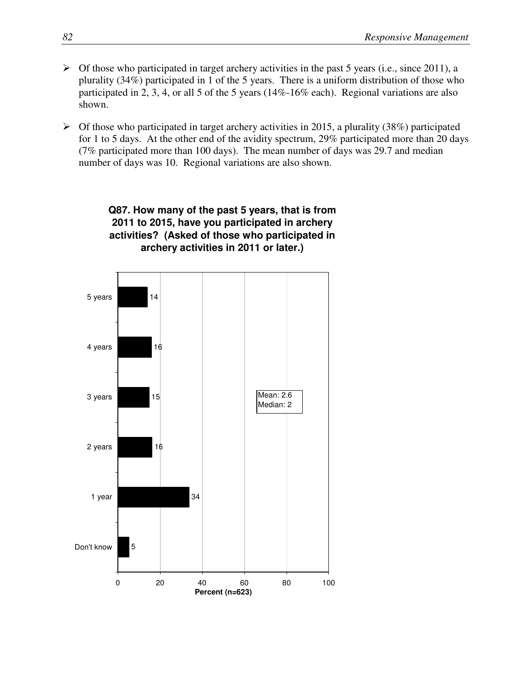- $\triangleright$  Of those who participated in target archery activities in the past 5 years (i.e., since 2011), a plurality (34%) participated in 1 of the 5 years. There is a uniform distribution of those who participated in 2, 3, 4, or all 5 of the 5 years (14%-16% each). Regional variations are also shown.
- $\triangleright$  Of those who participated in target archery activities in 2015, a plurality (38%) participated for 1 to 5 days. At the other end of the avidity spectrum, 29% participated more than 20 days (7% participated more than 100 days). The mean number of days was 29.7 and median number of days was 10. Regional variations are also shown.



#### **Q87. How many of the past 5 years, that is from 2011 to 2015, have you participated in archery activities? (Asked of those who participated in archery activities in 2011 or later.)**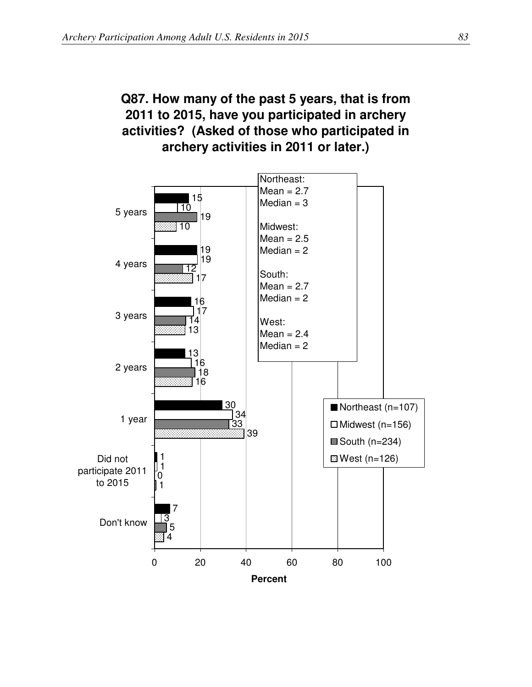## **Q87. How many of the past 5 years, that is from 2011 to 2015, have you participated in archery activities? (Asked of those who participated in archery activities in 2011 or later.)**

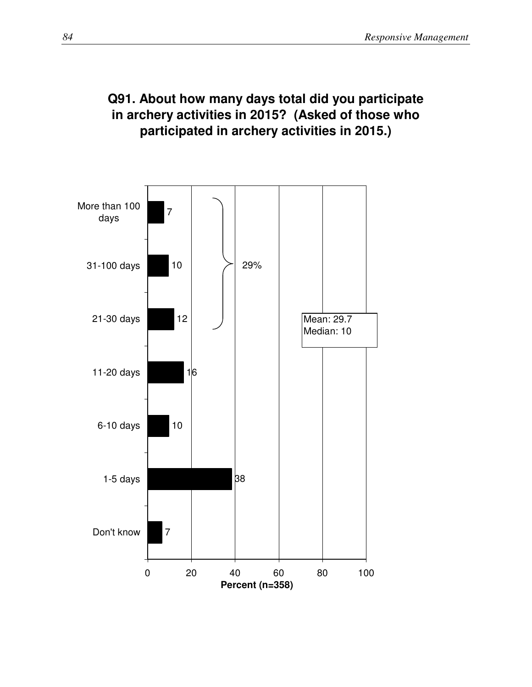## **Q91. About how many days total did you participate in archery activities in 2015? (Asked of those who participated in archery activities in 2015.)**

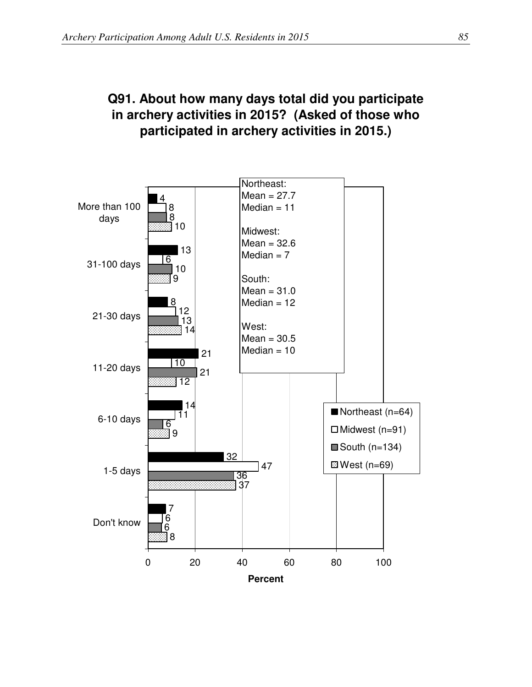## **Q91. About how many days total did you participate in archery activities in 2015? (Asked of those who participated in archery activities in 2015.)**

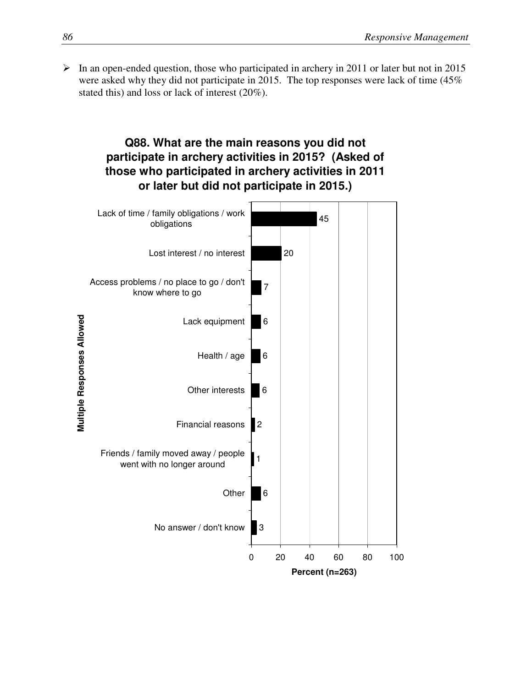$\triangleright$  In an open-ended question, those who participated in archery in 2011 or later but not in 2015 were asked why they did not participate in 2015. The top responses were lack of time (45% stated this) and loss or lack of interest (20%).

#### **Q88. What are the main reasons you did not participate in archery activities in 2015? (Asked of those who participated in archery activities in 2011 or later but did not participate in 2015.)**

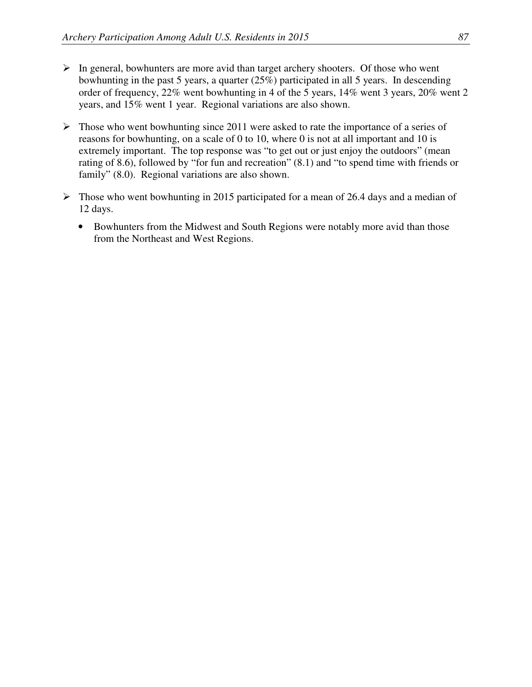- $\triangleright$  In general, bowhunters are more avid than target archery shooters. Of those who went bowhunting in the past 5 years, a quarter (25%) participated in all 5 years. In descending order of frequency, 22% went bowhunting in 4 of the 5 years, 14% went 3 years, 20% went 2 years, and 15% went 1 year. Regional variations are also shown.
- $\triangleright$  Those who went bowhunting since 2011 were asked to rate the importance of a series of reasons for bowhunting, on a scale of 0 to 10, where 0 is not at all important and 10 is extremely important. The top response was "to get out or just enjoy the outdoors" (mean rating of 8.6), followed by "for fun and recreation" (8.1) and "to spend time with friends or family" (8.0). Regional variations are also shown.
- $\triangleright$  Those who went bowhunting in 2015 participated for a mean of 26.4 days and a median of 12 days.
	- Bowhunters from the Midwest and South Regions were notably more avid than those from the Northeast and West Regions.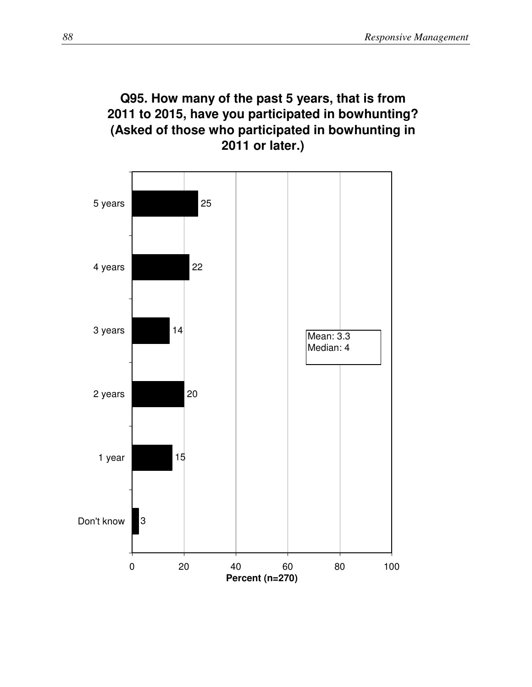## **Q95. How many of the past 5 years, that is from 2011 to 2015, have you participated in bowhunting? (Asked of those who participated in bowhunting in 2011 or later.)**

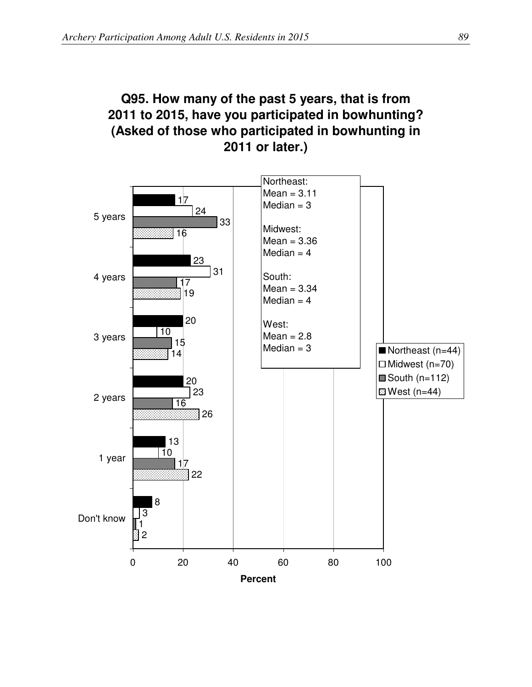## **Q95. How many of the past 5 years, that is from 2011 to 2015, have you participated in bowhunting? (Asked of those who participated in bowhunting in 2011 or later.)**

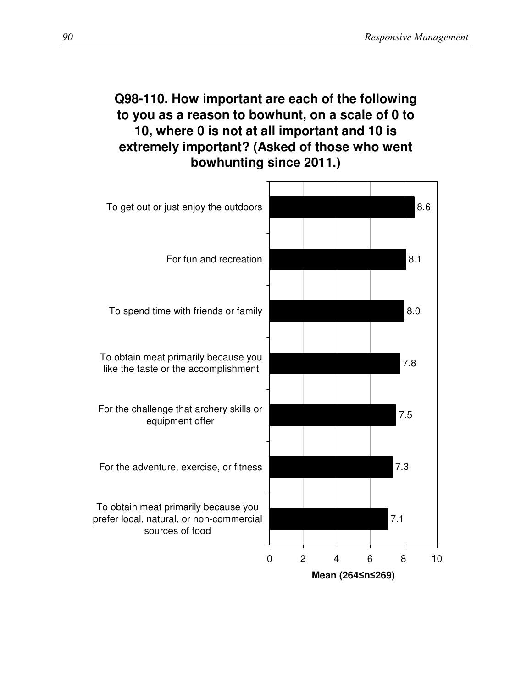## **Q98-110. How important are each of the following to you as a reason to bowhunt, on a scale of 0 to 10, where 0 is not at all important and 10 is extremely important? (Asked of those who went bowhunting since 2011.)**

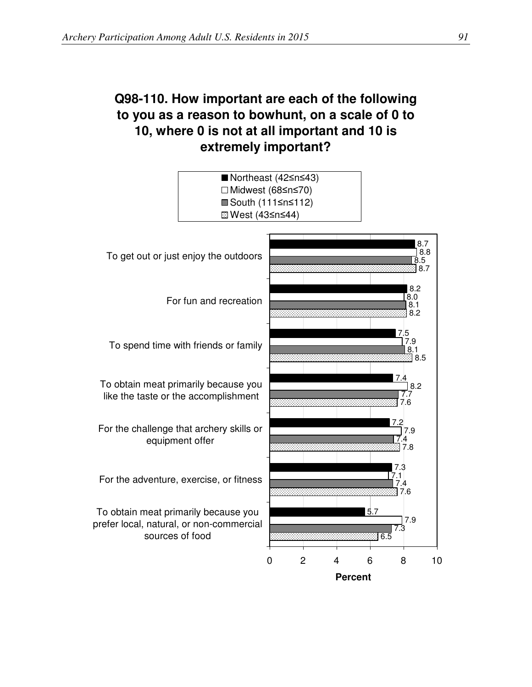## **Q98-110. How important are each of the following to you as a reason to bowhunt, on a scale of 0 to 10, where 0 is not at all important and 10 is extremely important?**

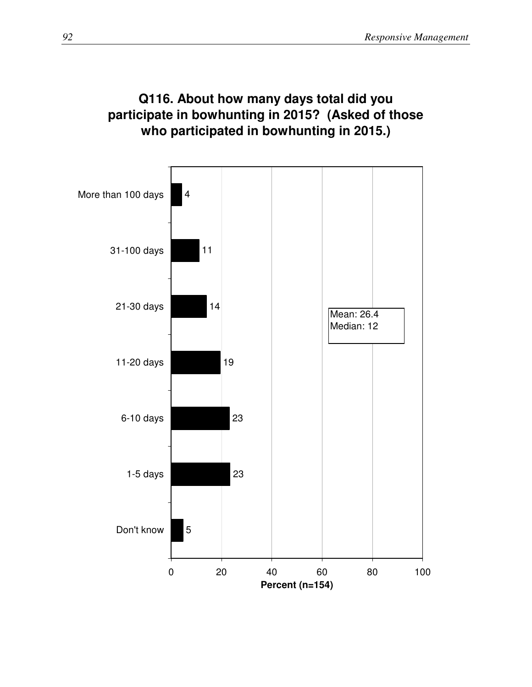## **Q116. About how many days total did you participate in bowhunting in 2015? (Asked of those who participated in bowhunting in 2015.)**

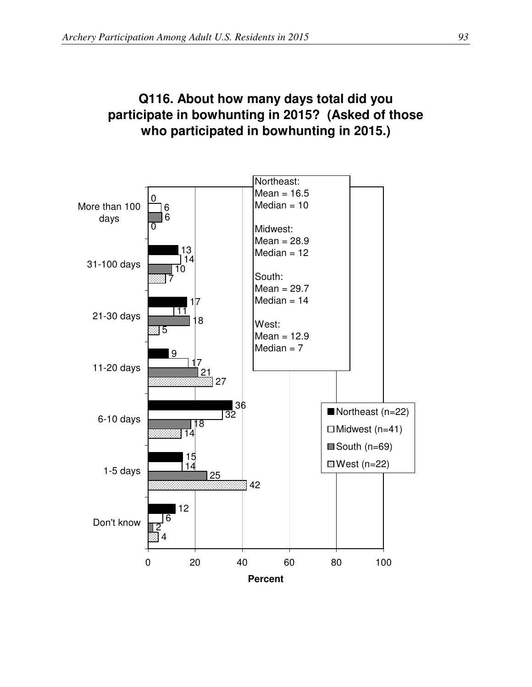## **Q116. About how many days total did you participate in bowhunting in 2015? (Asked of those who participated in bowhunting in 2015.)**

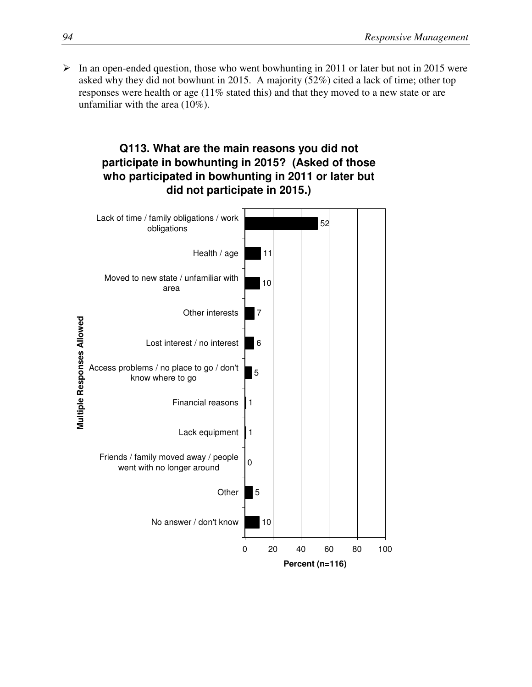$\triangleright$  In an open-ended question, those who went bowhunting in 2011 or later but not in 2015 were asked why they did not bowhunt in 2015. A majority (52%) cited a lack of time; other top responses were health or age (11% stated this) and that they moved to a new state or are unfamiliar with the area (10%).

#### **Q113. What are the main reasons you did not participate in bowhunting in 2015? (Asked of those who participated in bowhunting in 2011 or later but did not participate in 2015.)**

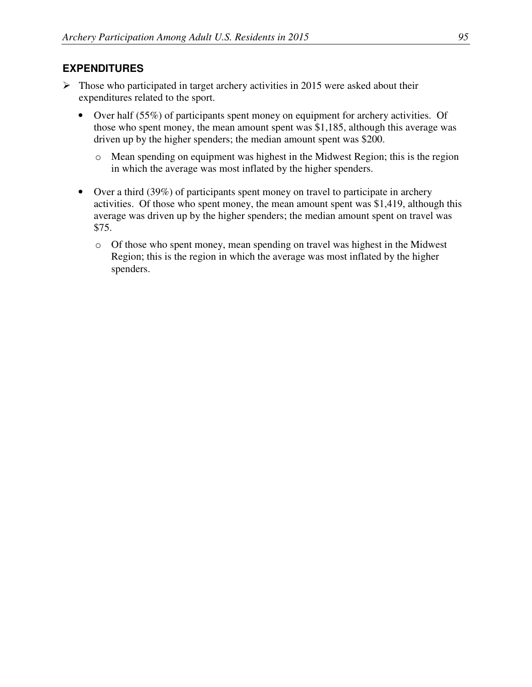#### **EXPENDITURES**

- $\triangleright$  Those who participated in target archery activities in 2015 were asked about their expenditures related to the sport.
	- Over half (55%) of participants spent money on equipment for archery activities. Of those who spent money, the mean amount spent was \$1,185, although this average was driven up by the higher spenders; the median amount spent was \$200.
		- o Mean spending on equipment was highest in the Midwest Region; this is the region in which the average was most inflated by the higher spenders.
	- Over a third (39%) of participants spent money on travel to participate in archery activities. Of those who spent money, the mean amount spent was \$1,419, although this average was driven up by the higher spenders; the median amount spent on travel was \$75.
		- o Of those who spent money, mean spending on travel was highest in the Midwest Region; this is the region in which the average was most inflated by the higher spenders.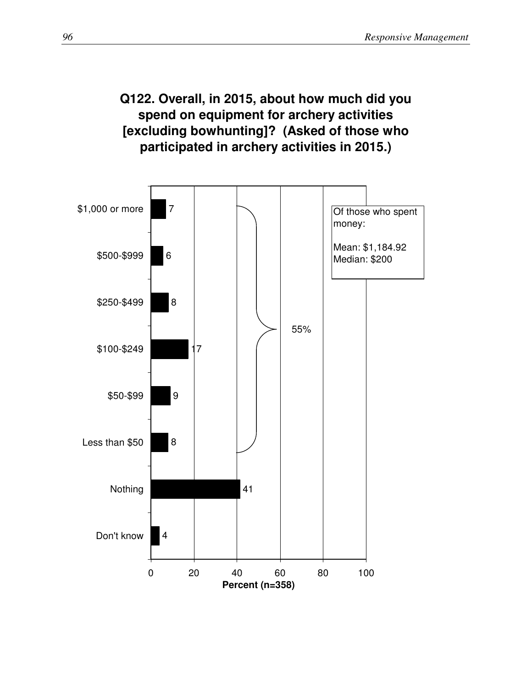## **Q122. Overall, in 2015, about how much did you spend on equipment for archery activities [excluding bowhunting]? (Asked of those who participated in archery activities in 2015.)**

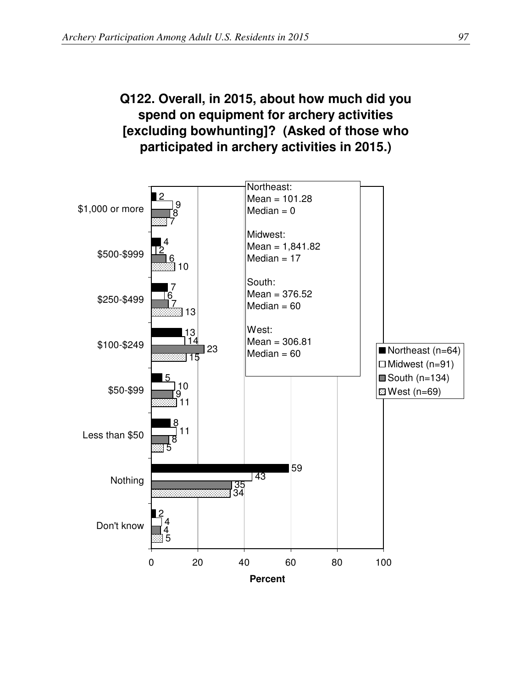## **Q122. Overall, in 2015, about how much did you spend on equipment for archery activities [excluding bowhunting]? (Asked of those who participated in archery activities in 2015.)**

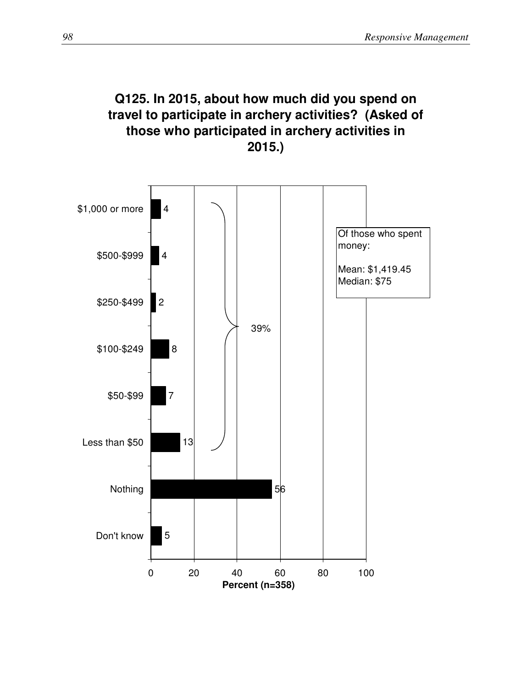## **Q125. In 2015, about how much did you spend on travel to participate in archery activities? (Asked of those who participated in archery activities in 2015.)**

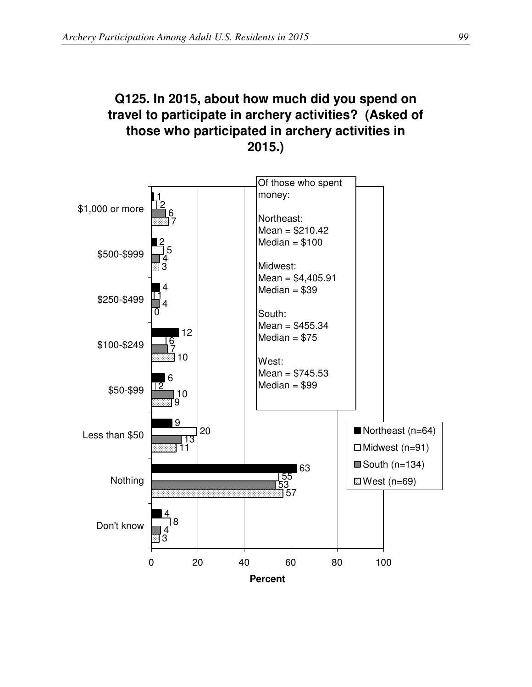## **Q125. In 2015, about how much did you spend on travel to participate in archery activities? (Asked of those who participated in archery activities in 2015.)**

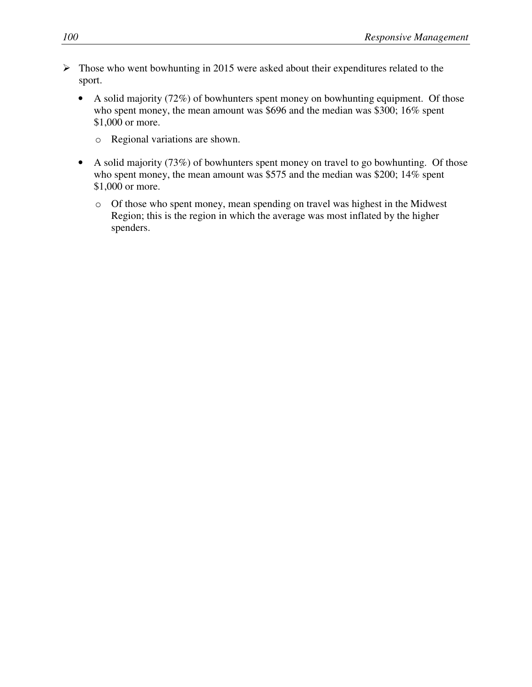- $\triangleright$  Those who went bowhunting in 2015 were asked about their expenditures related to the sport.
	- A solid majority (72%) of bowhunters spent money on bowhunting equipment. Of those who spent money, the mean amount was \$696 and the median was \$300; 16% spent \$1,000 or more.
		- o Regional variations are shown.
	- A solid majority (73%) of bowhunters spent money on travel to go bowhunting. Of those who spent money, the mean amount was \$575 and the median was \$200; 14% spent \$1,000 or more.
		- o Of those who spent money, mean spending on travel was highest in the Midwest Region; this is the region in which the average was most inflated by the higher spenders.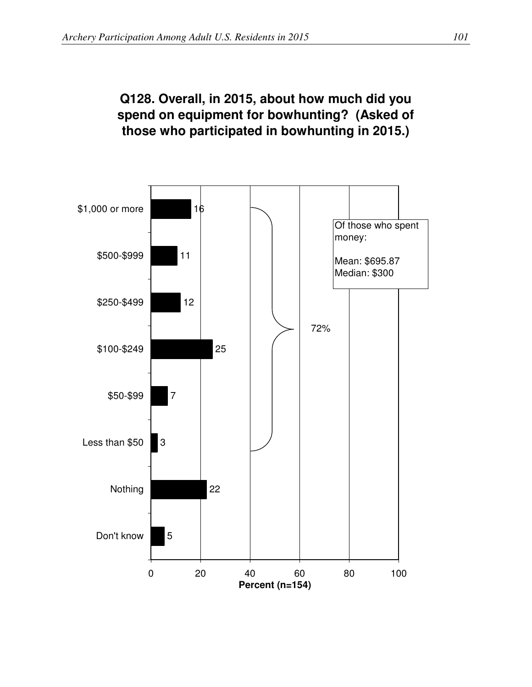## **Q128. Overall, in 2015, about how much did you spend on equipment for bowhunting? (Asked of those who participated in bowhunting in 2015.)**

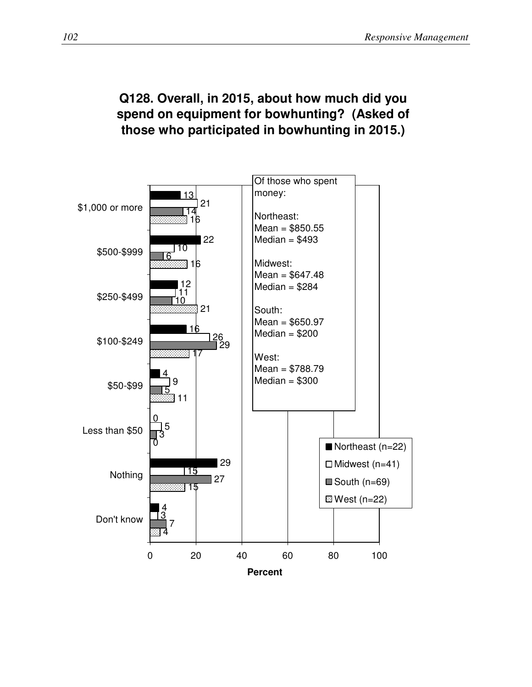#### **Q128. Overall, in 2015, about how much did you spend on equipment for bowhunting? (Asked of those who participated in bowhunting in 2015.)**

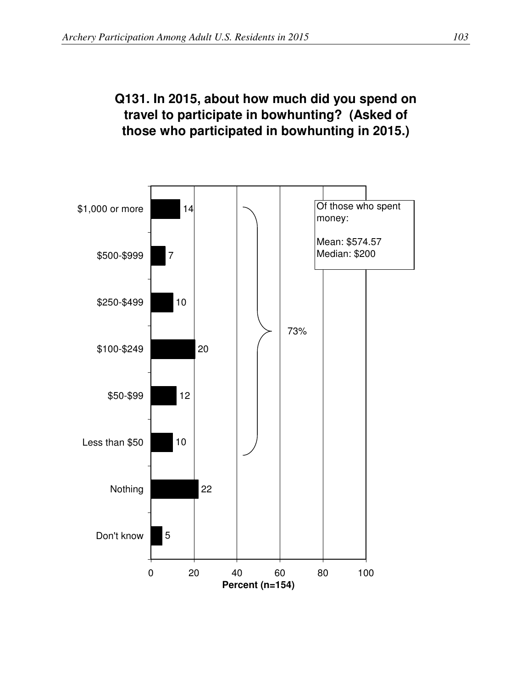### **Q131. In 2015, about how much did you spend on travel to participate in bowhunting? (Asked of those who participated in bowhunting in 2015.)**

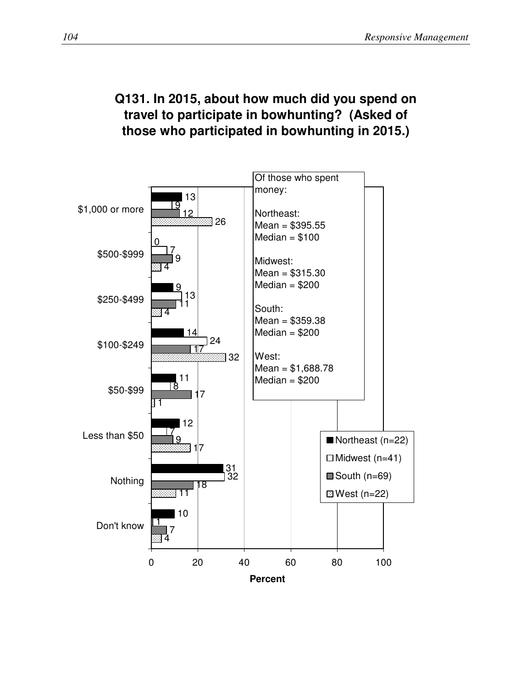## **Q131. In 2015, about how much did you spend on travel to participate in bowhunting? (Asked of those who participated in bowhunting in 2015.)**

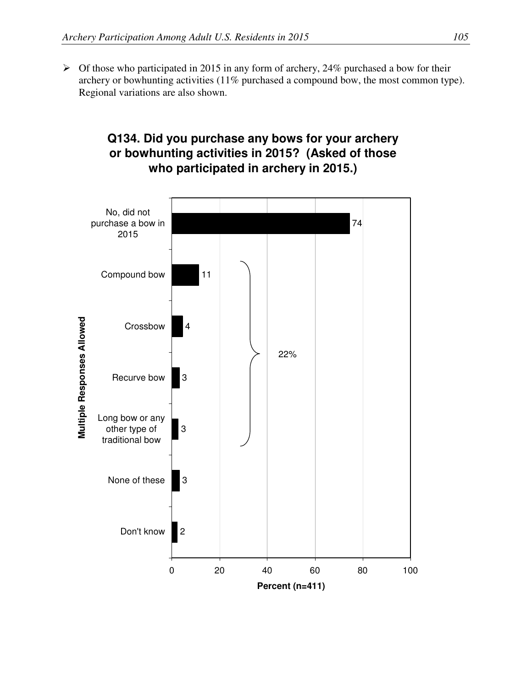$\triangleright$  Of those who participated in 2015 in any form of archery, 24% purchased a bow for their archery or bowhunting activities (11% purchased a compound bow, the most common type). Regional variations are also shown.

#### **Q134. Did you purchase any bows for your archery or bowhunting activities in 2015? (Asked of those who participated in archery in 2015.)**

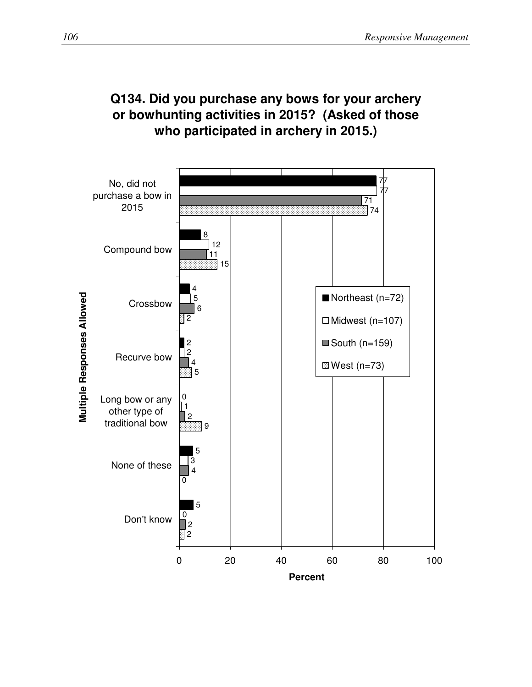

## **Q134. Did you purchase any bows for your archery or bowhunting activities in 2015? (Asked of those who participated in archery in 2015.)**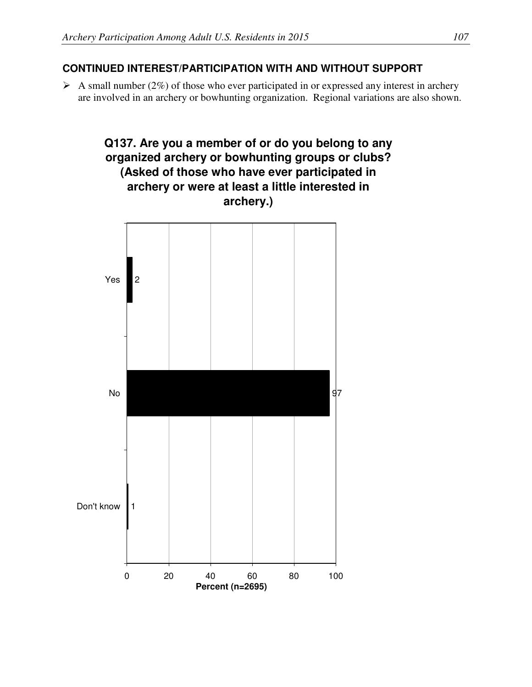#### **CONTINUED INTEREST/PARTICIPATION WITH AND WITHOUT SUPPORT**

 $\triangleright$  A small number (2%) of those who ever participated in or expressed any interest in archery are involved in an archery or bowhunting organization. Regional variations are also shown.

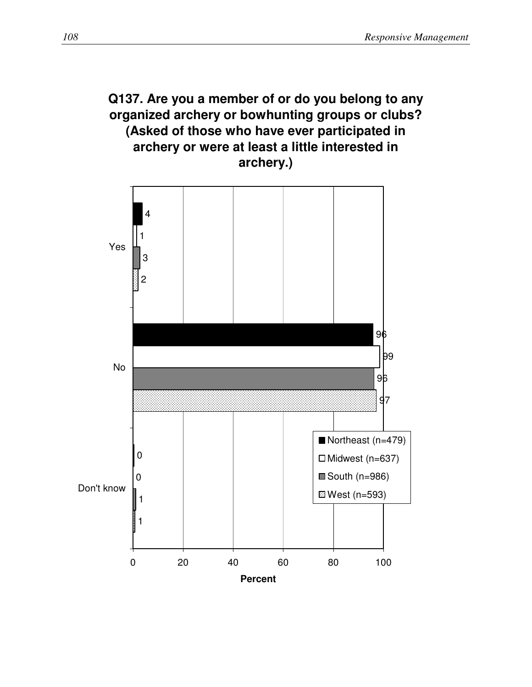## **Q137. Are you a member of or do you belong to any organized archery or bowhunting groups or clubs? (Asked of those who have ever participated in archery or were at least a little interested in archery.)**

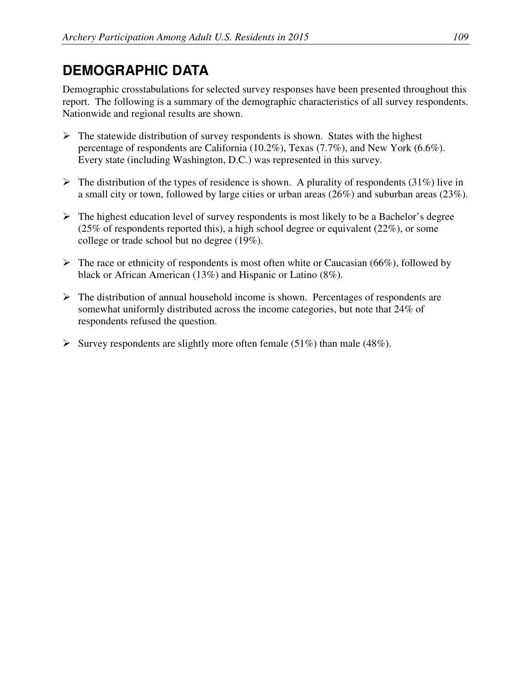# **DEMOGRAPHIC DATA**

Demographic crosstabulations for selected survey responses have been presented throughout this report. The following is a summary of the demographic characteristics of all survey respondents. Nationwide and regional results are shown.

- $\triangleright$  The statewide distribution of survey respondents is shown. States with the highest percentage of respondents are California (10.2%), Texas (7.7%), and New York (6.6%). Every state (including Washington, D.C.) was represented in this survey.
- $\triangleright$  The distribution of the types of residence is shown. A plurality of respondents (31%) live in a small city or town, followed by large cities or urban areas (26%) and suburban areas (23%).
- $\triangleright$  The highest education level of survey respondents is most likely to be a Bachelor's degree (25% of respondents reported this), a high school degree or equivalent (22%), or some college or trade school but no degree (19%).
- $\triangleright$  The race or ethnicity of respondents is most often white or Caucasian (66%), followed by black or African American (13%) and Hispanic or Latino (8%).
- $\triangleright$  The distribution of annual household income is shown. Percentages of respondents are somewhat uniformly distributed across the income categories, but note that 24% of respondents refused the question.
- Survey respondents are slightly more often female (51%) than male (48%).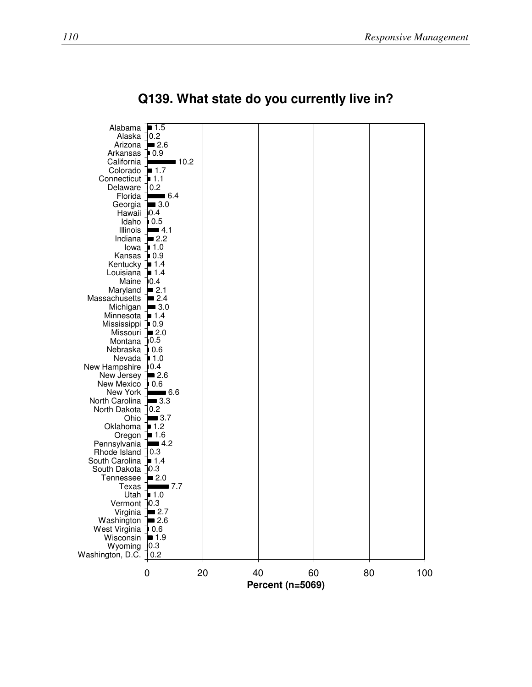

**Q139. What state do you currently live in?**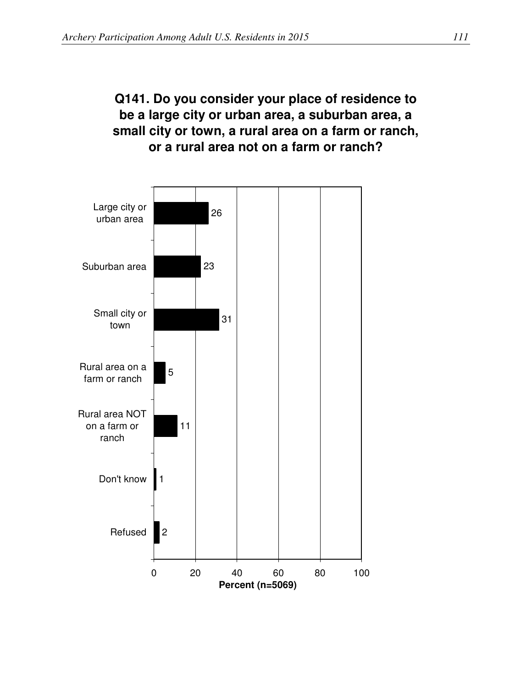## **Q141. Do you consider your place of residence to be a large city or urban area, a suburban area, a small city or town, a rural area on a farm or ranch, or a rural area not on a farm or ranch?**

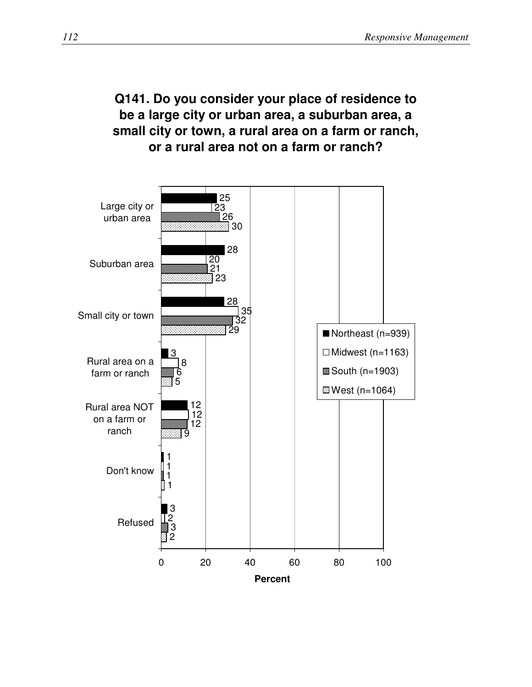## **Q141. Do you consider your place of residence to be a large city or urban area, a suburban area, a small city or town, a rural area on a farm or ranch, or a rural area not on a farm or ranch?**

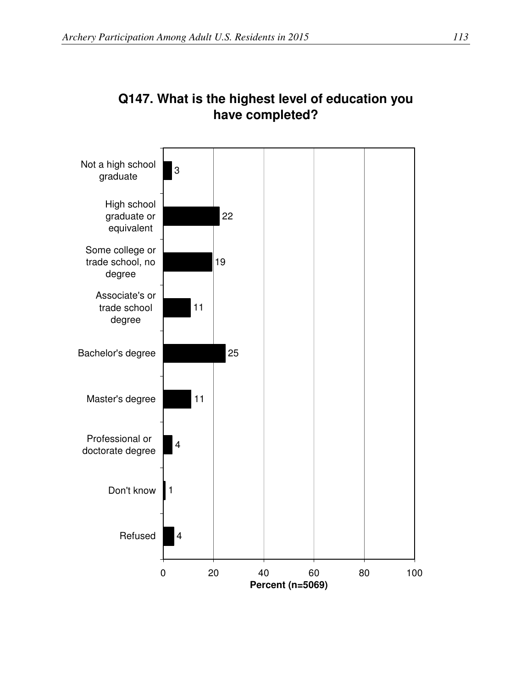

## **Q147. What is the highest level of education you have completed?**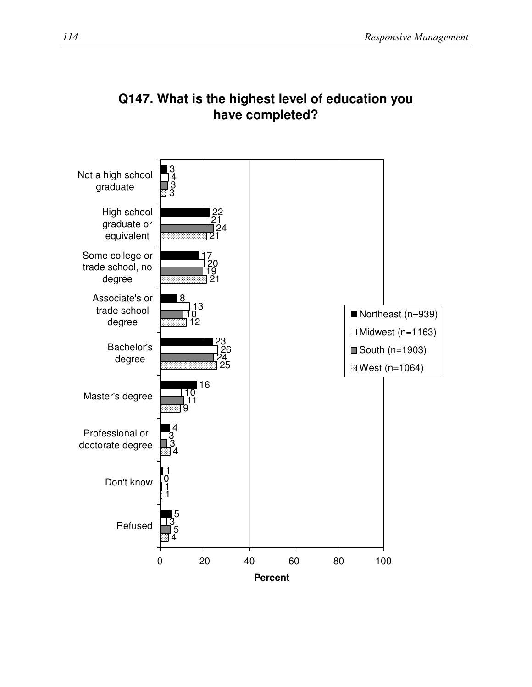

## **Q147. What is the highest level of education you have completed?**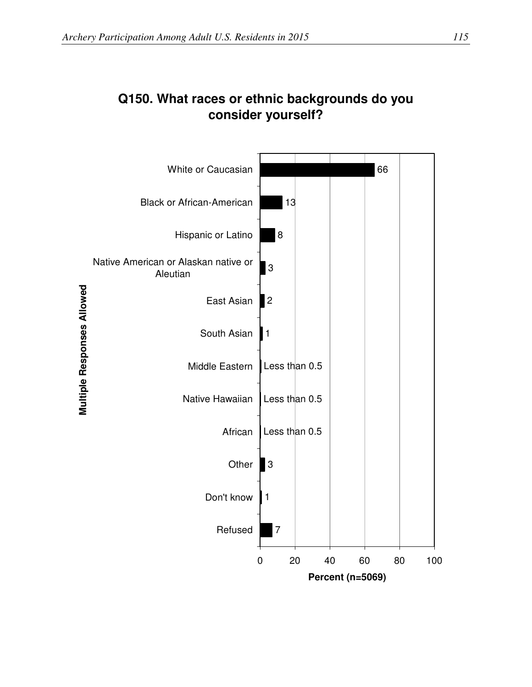

## **Q150. What races or ethnic backgrounds do you consider yourself?**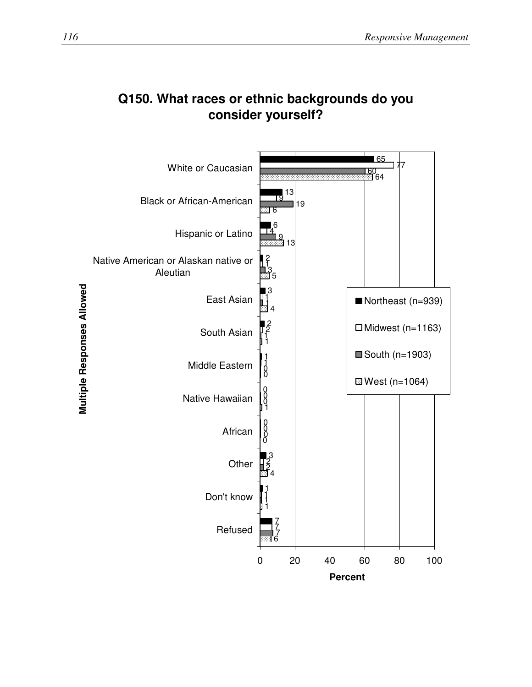

#### **Q150. What races or ethnic backgrounds do you consider yourself?**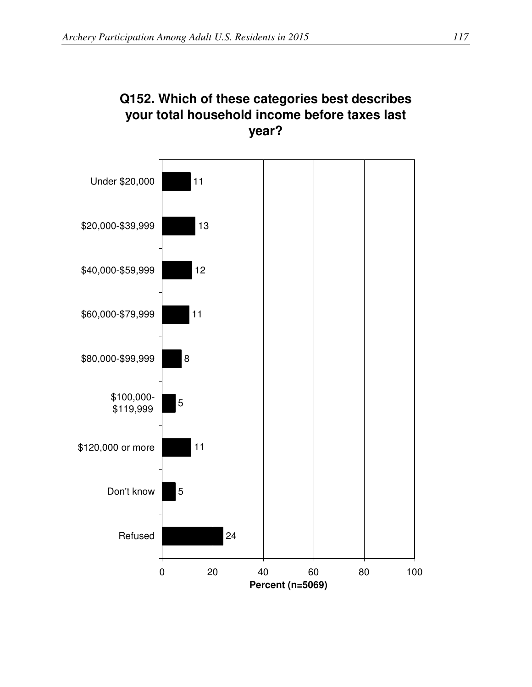

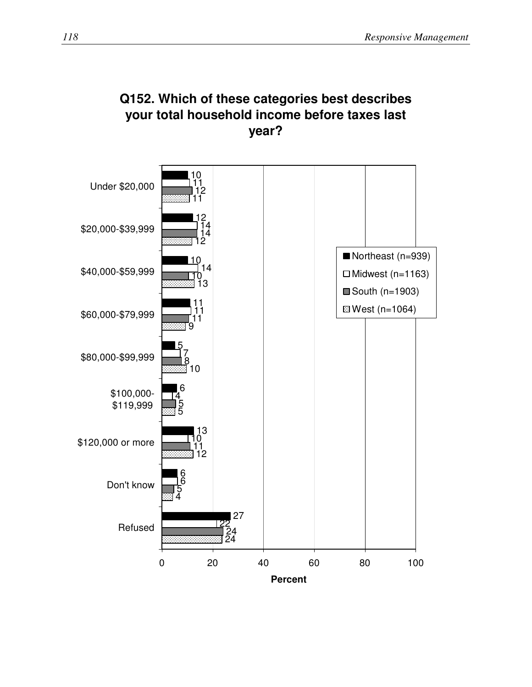

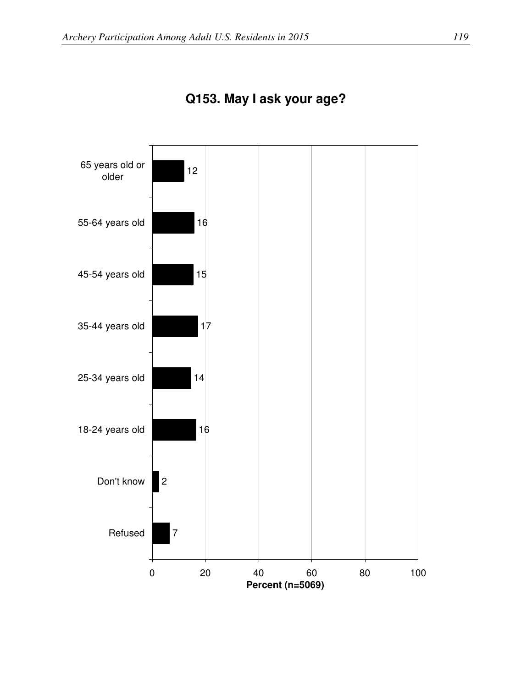

**Q153. May I ask your age?**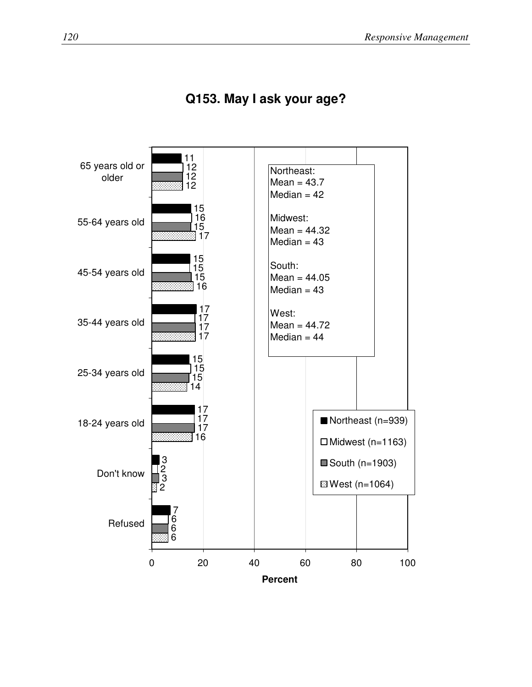

### **Q153. May I ask your age?**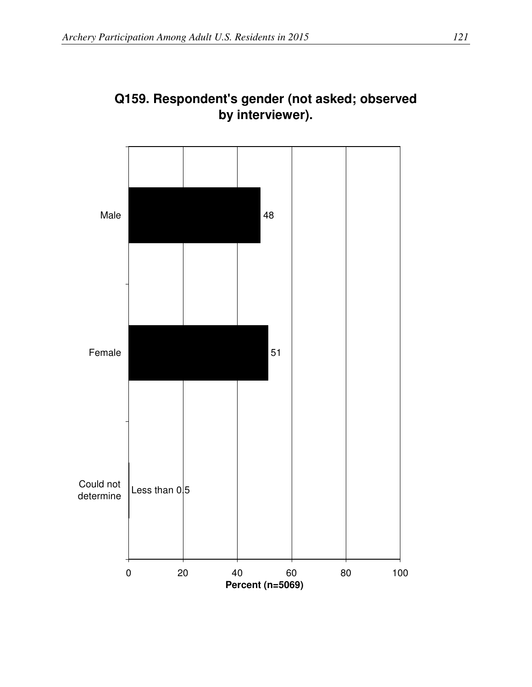

## **Q159. Respondent's gender (not asked; observed by interviewer).**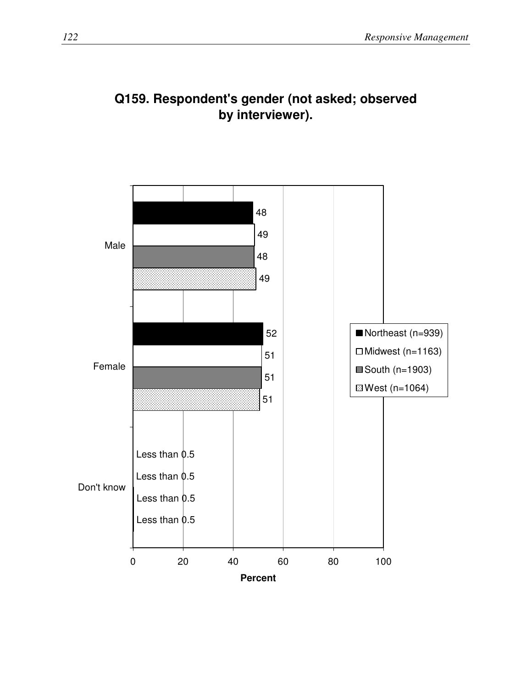

## **Q159. Respondent's gender (not asked; observed by interviewer).**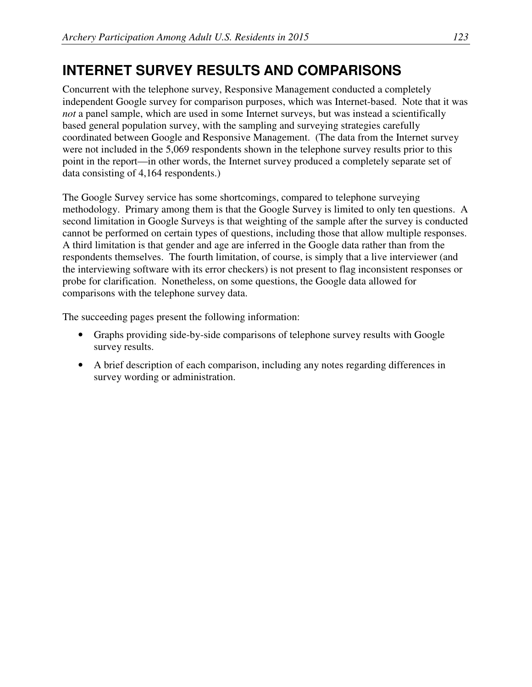## **INTERNET SURVEY RESULTS AND COMPARISONS**

Concurrent with the telephone survey, Responsive Management conducted a completely independent Google survey for comparison purposes, which was Internet-based. Note that it was *not* a panel sample, which are used in some Internet surveys, but was instead a scientifically based general population survey, with the sampling and surveying strategies carefully coordinated between Google and Responsive Management. (The data from the Internet survey were not included in the 5,069 respondents shown in the telephone survey results prior to this point in the report—in other words, the Internet survey produced a completely separate set of data consisting of 4,164 respondents.)

The Google Survey service has some shortcomings, compared to telephone surveying methodology. Primary among them is that the Google Survey is limited to only ten questions. A second limitation in Google Surveys is that weighting of the sample after the survey is conducted cannot be performed on certain types of questions, including those that allow multiple responses. A third limitation is that gender and age are inferred in the Google data rather than from the respondents themselves. The fourth limitation, of course, is simply that a live interviewer (and the interviewing software with its error checkers) is not present to flag inconsistent responses or probe for clarification. Nonetheless, on some questions, the Google data allowed for comparisons with the telephone survey data.

The succeeding pages present the following information:

- Graphs providing side-by-side comparisons of telephone survey results with Google survey results.
- A brief description of each comparison, including any notes regarding differences in survey wording or administration.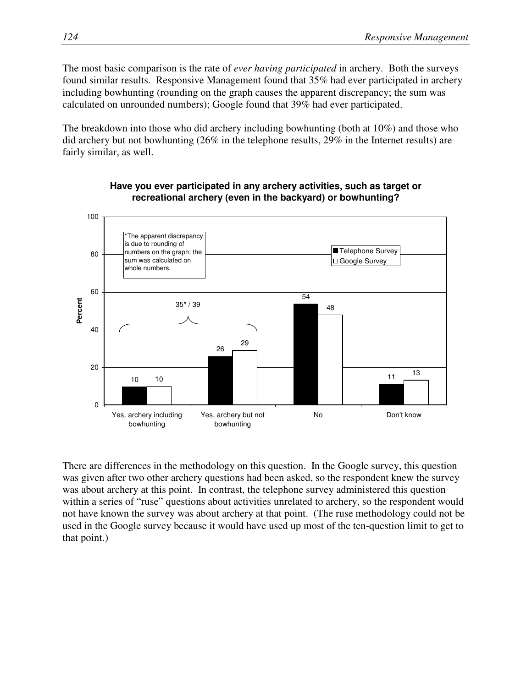The most basic comparison is the rate of *ever having participated* in archery. Both the surveys found similar results. Responsive Management found that 35% had ever participated in archery including bowhunting (rounding on the graph causes the apparent discrepancy; the sum was calculated on unrounded numbers); Google found that 39% had ever participated.

The breakdown into those who did archery including bowhunting (both at 10%) and those who did archery but not bowhunting (26% in the telephone results, 29% in the Internet results) are fairly similar, as well.



### **Have you ever participated in any archery activities, such as target or recreational archery (even in the backyard) or bowhunting?**

There are differences in the methodology on this question. In the Google survey, this question was given after two other archery questions had been asked, so the respondent knew the survey was about archery at this point. In contrast, the telephone survey administered this question within a series of "ruse" questions about activities unrelated to archery, so the respondent would not have known the survey was about archery at that point. (The ruse methodology could not be used in the Google survey because it would have used up most of the ten-question limit to get to that point.)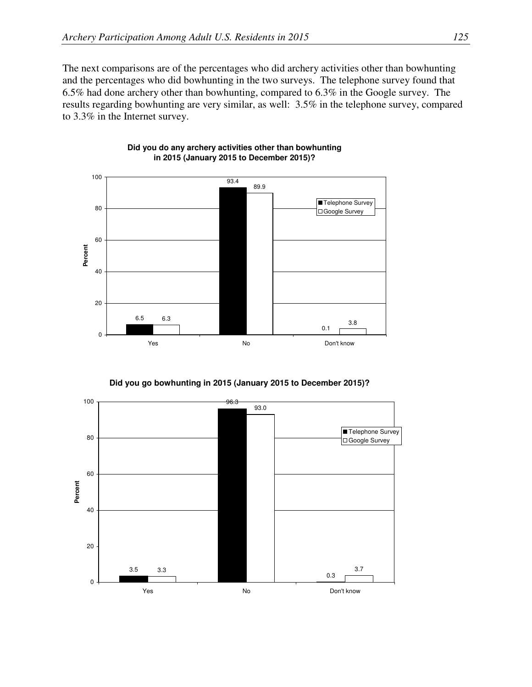The next comparisons are of the percentages who did archery activities other than bowhunting and the percentages who did bowhunting in the two surveys. The telephone survey found that 6.5% had done archery other than bowhunting, compared to 6.3% in the Google survey. The results regarding bowhunting are very similar, as well: 3.5% in the telephone survey, compared to 3.3% in the Internet survey.



#### **Did you do any archery activities other than bowhunting in 2015 (January 2015 to December 2015)?**

**Did you go bowhunting in 2015 (January 2015 to December 2015)?** 

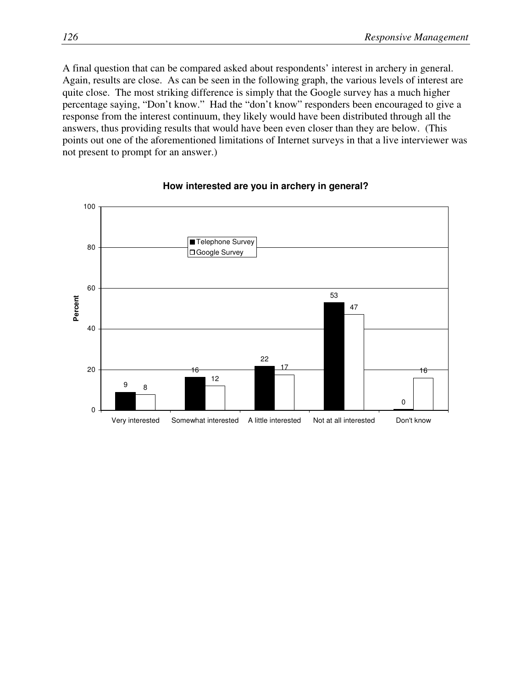A final question that can be compared asked about respondents' interest in archery in general. Again, results are close. As can be seen in the following graph, the various levels of interest are quite close. The most striking difference is simply that the Google survey has a much higher percentage saying, "Don't know." Had the "don't know" responders been encouraged to give a response from the interest continuum, they likely would have been distributed through all the answers, thus providing results that would have been even closer than they are below. (This points out one of the aforementioned limitations of Internet surveys in that a live interviewer was not present to prompt for an answer.)



#### **How interested are you in archery in general?**